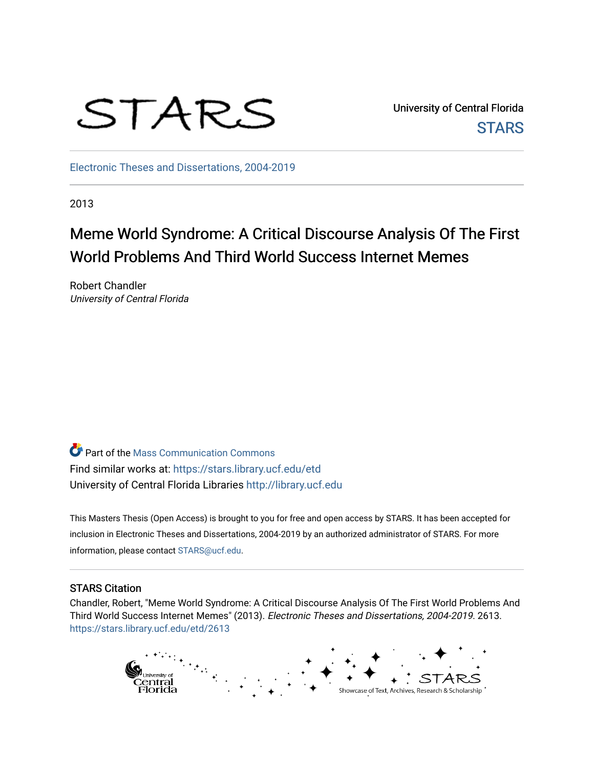

University of Central Florida **STARS** 

[Electronic Theses and Dissertations, 2004-2019](https://stars.library.ucf.edu/etd) 

2013

# Meme World Syndrome: A Critical Discourse Analysis Of The First World Problems And Third World Success Internet Memes

Robert Chandler University of Central Florida

Part of the [Mass Communication Commons](http://network.bepress.com/hgg/discipline/334?utm_source=stars.library.ucf.edu%2Fetd%2F2613&utm_medium=PDF&utm_campaign=PDFCoverPages)  Find similar works at: <https://stars.library.ucf.edu/etd> University of Central Florida Libraries [http://library.ucf.edu](http://library.ucf.edu/) 

This Masters Thesis (Open Access) is brought to you for free and open access by STARS. It has been accepted for inclusion in Electronic Theses and Dissertations, 2004-2019 by an authorized administrator of STARS. For more information, please contact [STARS@ucf.edu.](mailto:STARS@ucf.edu)

#### STARS Citation

Chandler, Robert, "Meme World Syndrome: A Critical Discourse Analysis Of The First World Problems And Third World Success Internet Memes" (2013). Electronic Theses and Dissertations, 2004-2019. 2613. [https://stars.library.ucf.edu/etd/2613](https://stars.library.ucf.edu/etd/2613?utm_source=stars.library.ucf.edu%2Fetd%2F2613&utm_medium=PDF&utm_campaign=PDFCoverPages) 

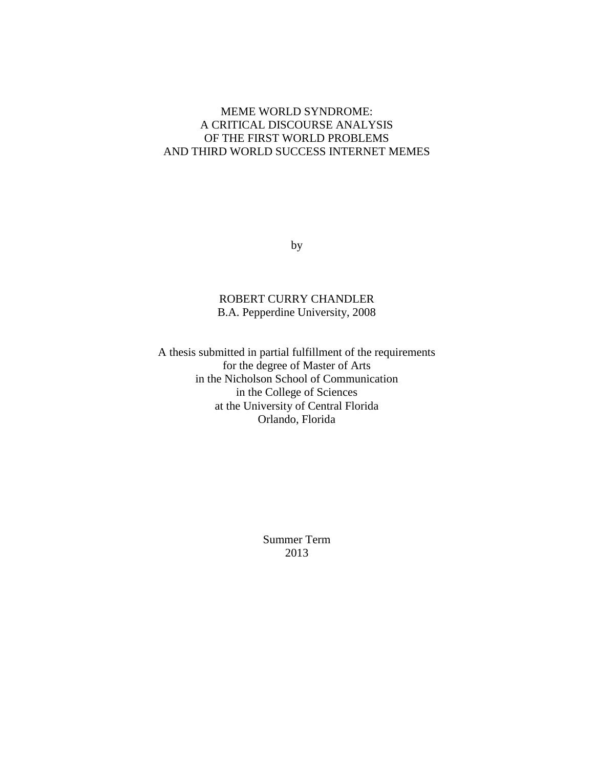### MEME WORLD SYNDROME: A CRITICAL DISCOURSE ANALYSIS OF THE FIRST WORLD PROBLEMS AND THIRD WORLD SUCCESS INTERNET MEMES

by

### ROBERT CURRY CHANDLER B.A. Pepperdine University, 2008

A thesis submitted in partial fulfillment of the requirements for the degree of Master of Arts in the Nicholson School of Communication in the College of Sciences at the University of Central Florida Orlando, Florida

> Summer Term 2013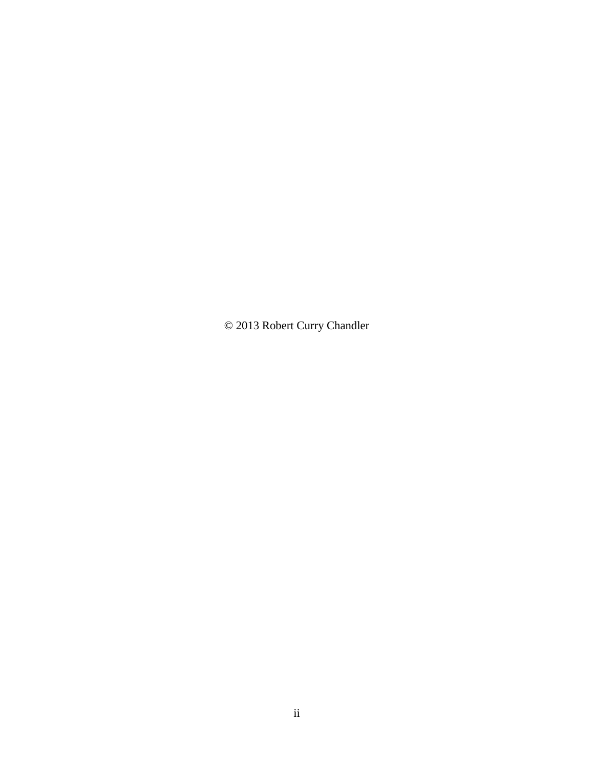© 2013 Robert Curry Chandler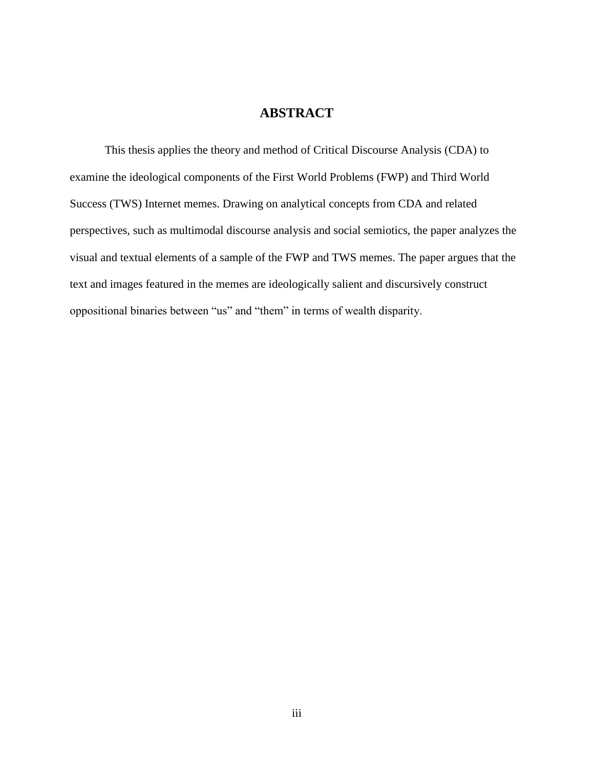## **ABSTRACT**

This thesis applies the theory and method of Critical Discourse Analysis (CDA) to examine the ideological components of the First World Problems (FWP) and Third World Success (TWS) Internet memes. Drawing on analytical concepts from CDA and related perspectives, such as multimodal discourse analysis and social semiotics, the paper analyzes the visual and textual elements of a sample of the FWP and TWS memes. The paper argues that the text and images featured in the memes are ideologically salient and discursively construct oppositional binaries between "us" and "them" in terms of wealth disparity.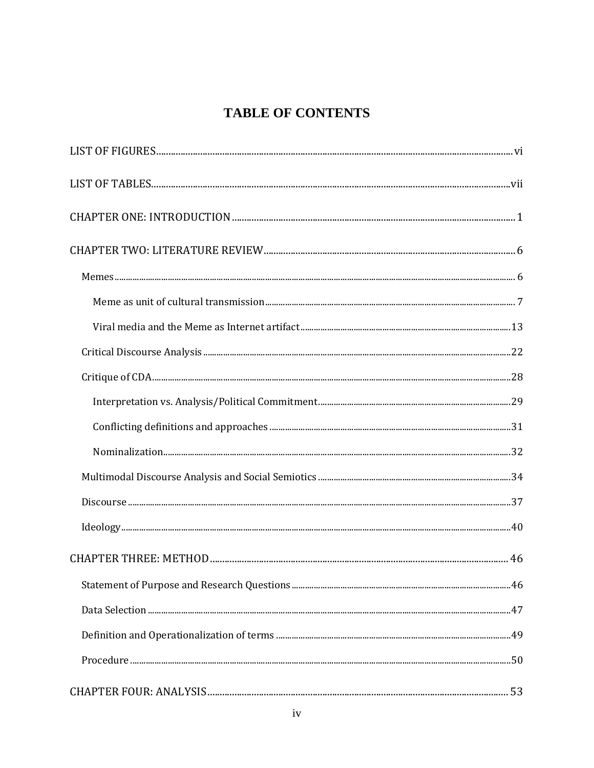## **TABLE OF CONTENTS**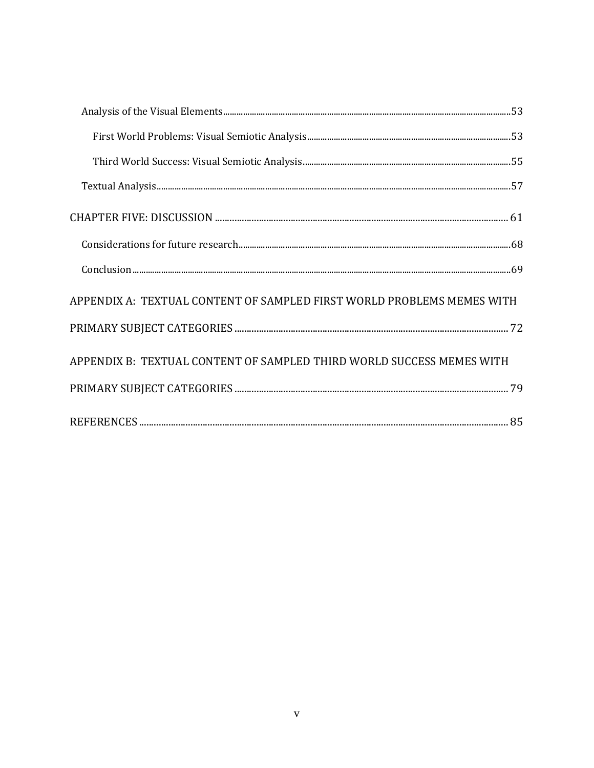| APPENDIX A: TEXTUAL CONTENT OF SAMPLED FIRST WORLD PROBLEMS MEMES WITH |
|------------------------------------------------------------------------|
|                                                                        |
| APPENDIX B: TEXTUAL CONTENT OF SAMPLED THIRD WORLD SUCCESS MEMES WITH  |
|                                                                        |
|                                                                        |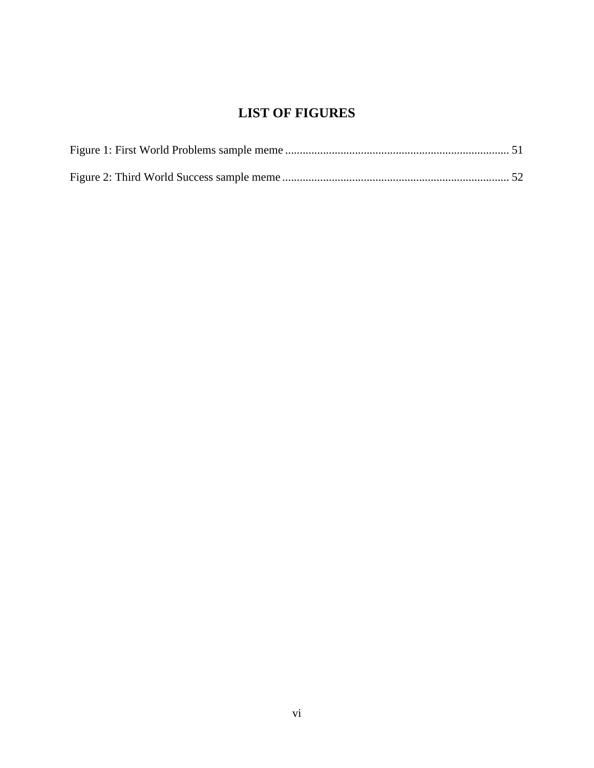## **LIST OF FIGURES**

<span id="page-6-0"></span>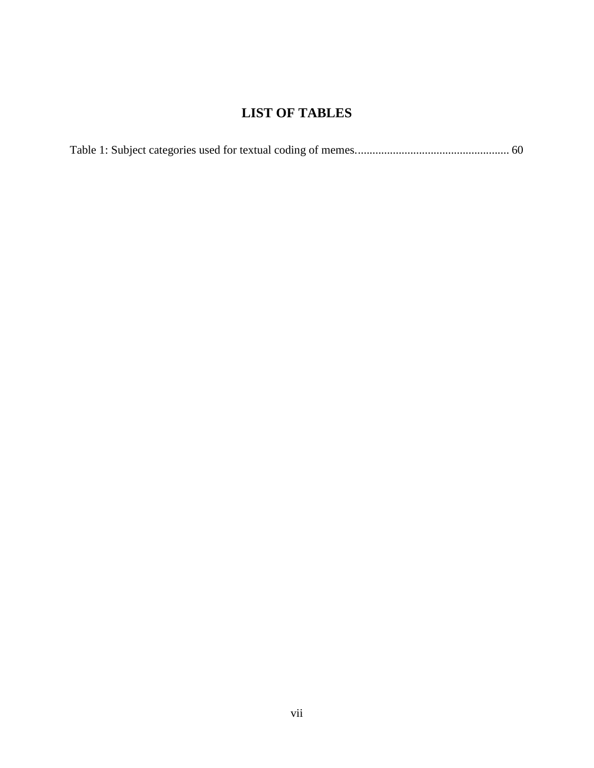## **LIST OF TABLES**

<span id="page-7-0"></span>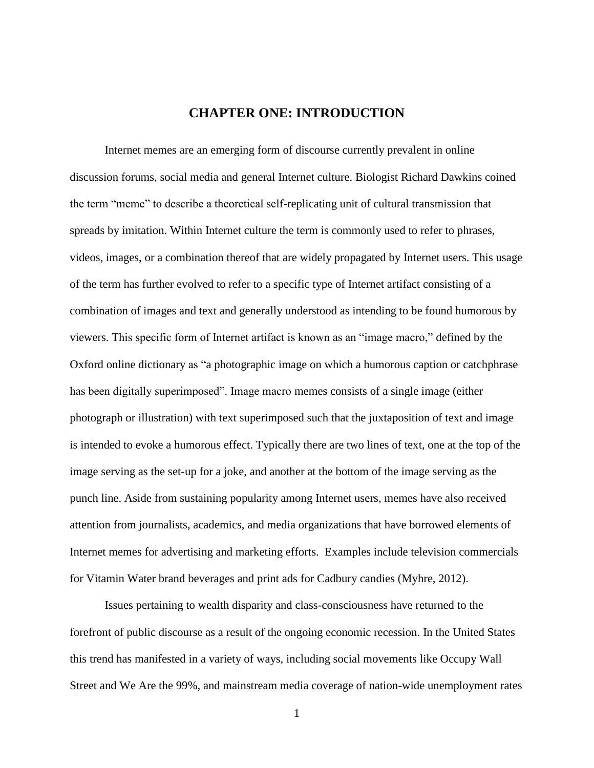## **CHAPTER ONE: INTRODUCTION**

<span id="page-8-0"></span>Internet memes are an emerging form of discourse currently prevalent in online discussion forums, social media and general Internet culture. Biologist Richard Dawkins coined the term "meme" to describe a theoretical self-replicating unit of cultural transmission that spreads by imitation. Within Internet culture the term is commonly used to refer to phrases, videos, images, or a combination thereof that are widely propagated by Internet users. This usage of the term has further evolved to refer to a specific type of Internet artifact consisting of a combination of images and text and generally understood as intending to be found humorous by viewers. This specific form of Internet artifact is known as an "image macro," defined by the Oxford online dictionary as "a photographic image on which a humorous caption or catchphrase has been digitally superimposed". Image macro memes consists of a single image (either photograph or illustration) with text superimposed such that the juxtaposition of text and image is intended to evoke a humorous effect. Typically there are two lines of text, one at the top of the image serving as the set-up for a joke, and another at the bottom of the image serving as the punch line. Aside from sustaining popularity among Internet users, memes have also received attention from journalists, academics, and media organizations that have borrowed elements of Internet memes for advertising and marketing efforts. Examples include television commercials for Vitamin Water brand beverages and print ads for Cadbury candies (Myhre, 2012).

Issues pertaining to wealth disparity and class-consciousness have returned to the forefront of public discourse as a result of the ongoing economic recession. In the United States this trend has manifested in a variety of ways, including social movements like Occupy Wall Street and We Are the 99%, and mainstream media coverage of nation-wide unemployment rates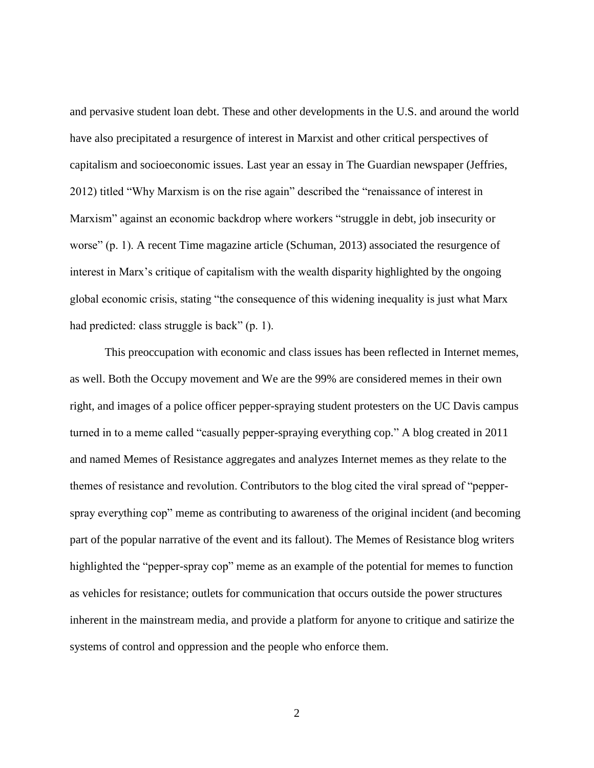and pervasive student loan debt. These and other developments in the U.S. and around the world have also precipitated a resurgence of interest in Marxist and other critical perspectives of capitalism and socioeconomic issues. Last year an essay in The Guardian newspaper (Jeffries, 2012) titled "Why Marxism is on the rise again" described the "renaissance of interest in Marxism" against an economic backdrop where workers "struggle in debt, job insecurity or worse" (p. 1). A recent Time magazine article (Schuman, 2013) associated the resurgence of interest in Marx's critique of capitalism with the wealth disparity highlighted by the ongoing global economic crisis, stating "the consequence of this widening inequality is just what Marx had predicted: class struggle is back" (p. 1).

This preoccupation with economic and class issues has been reflected in Internet memes, as well. Both the Occupy movement and We are the 99% are considered memes in their own right, and images of a police officer pepper-spraying student protesters on the UC Davis campus turned in to a meme called "casually pepper-spraying everything cop." A blog created in 2011 and named Memes of Resistance aggregates and analyzes Internet memes as they relate to the themes of resistance and revolution. Contributors to the blog cited the viral spread of "pepperspray everything cop" meme as contributing to awareness of the original incident (and becoming part of the popular narrative of the event and its fallout). The Memes of Resistance blog writers highlighted the "pepper-spray cop" meme as an example of the potential for memes to function as vehicles for resistance; outlets for communication that occurs outside the power structures inherent in the mainstream media, and provide a platform for anyone to critique and satirize the systems of control and oppression and the people who enforce them.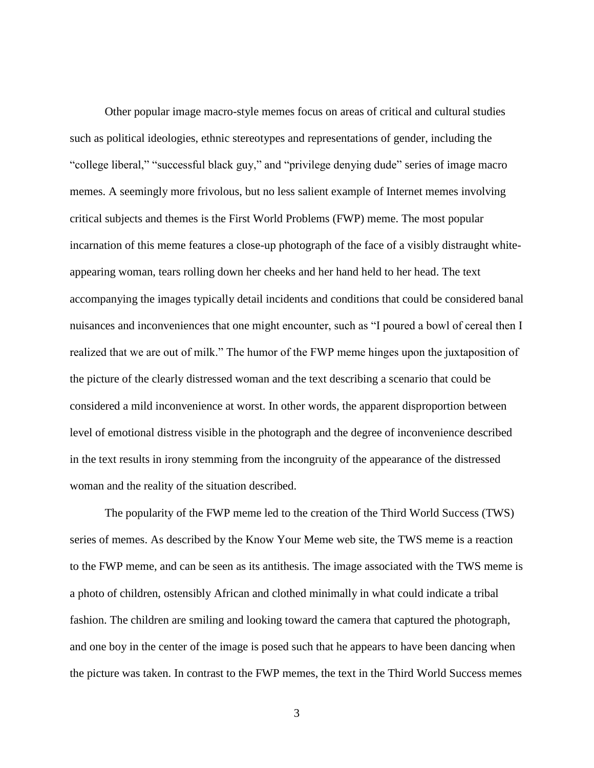Other popular image macro-style memes focus on areas of critical and cultural studies such as political ideologies, ethnic stereotypes and representations of gender, including the "college liberal," "successful black guy," and "privilege denying dude" series of image macro memes. A seemingly more frivolous, but no less salient example of Internet memes involving critical subjects and themes is the First World Problems (FWP) meme. The most popular incarnation of this meme features a close-up photograph of the face of a visibly distraught whiteappearing woman, tears rolling down her cheeks and her hand held to her head. The text accompanying the images typically detail incidents and conditions that could be considered banal nuisances and inconveniences that one might encounter, such as "I poured a bowl of cereal then I realized that we are out of milk." The humor of the FWP meme hinges upon the juxtaposition of the picture of the clearly distressed woman and the text describing a scenario that could be considered a mild inconvenience at worst. In other words, the apparent disproportion between level of emotional distress visible in the photograph and the degree of inconvenience described in the text results in irony stemming from the incongruity of the appearance of the distressed woman and the reality of the situation described.

The popularity of the FWP meme led to the creation of the Third World Success (TWS) series of memes. As described by the Know Your Meme web site, the TWS meme is a reaction to the FWP meme, and can be seen as its antithesis. The image associated with the TWS meme is a photo of children, ostensibly African and clothed minimally in what could indicate a tribal fashion. The children are smiling and looking toward the camera that captured the photograph, and one boy in the center of the image is posed such that he appears to have been dancing when the picture was taken. In contrast to the FWP memes, the text in the Third World Success memes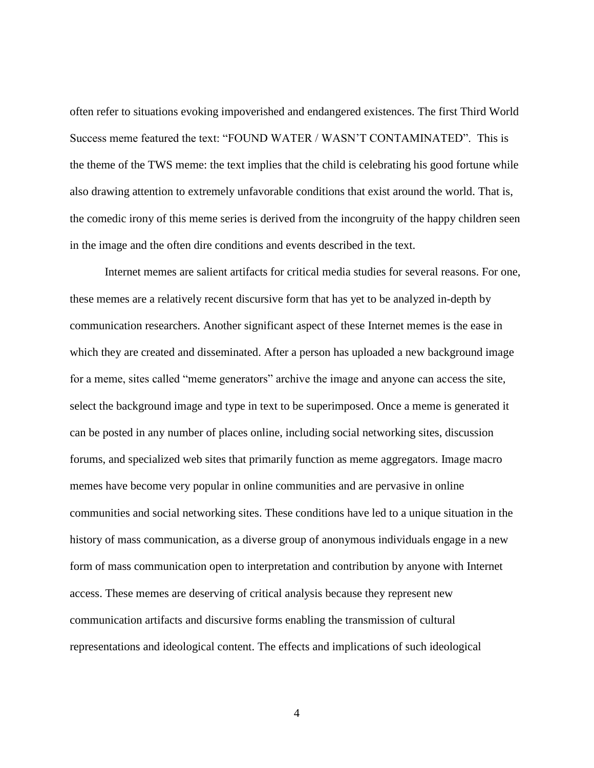often refer to situations evoking impoverished and endangered existences. The first Third World Success meme featured the text: "FOUND WATER / WASN'T CONTAMINATED". This is the theme of the TWS meme: the text implies that the child is celebrating his good fortune while also drawing attention to extremely unfavorable conditions that exist around the world. That is, the comedic irony of this meme series is derived from the incongruity of the happy children seen in the image and the often dire conditions and events described in the text.

Internet memes are salient artifacts for critical media studies for several reasons. For one, these memes are a relatively recent discursive form that has yet to be analyzed in-depth by communication researchers. Another significant aspect of these Internet memes is the ease in which they are created and disseminated. After a person has uploaded a new background image for a meme, sites called "meme generators" archive the image and anyone can access the site, select the background image and type in text to be superimposed. Once a meme is generated it can be posted in any number of places online, including social networking sites, discussion forums, and specialized web sites that primarily function as meme aggregators. Image macro memes have become very popular in online communities and are pervasive in online communities and social networking sites. These conditions have led to a unique situation in the history of mass communication, as a diverse group of anonymous individuals engage in a new form of mass communication open to interpretation and contribution by anyone with Internet access. These memes are deserving of critical analysis because they represent new communication artifacts and discursive forms enabling the transmission of cultural representations and ideological content. The effects and implications of such ideological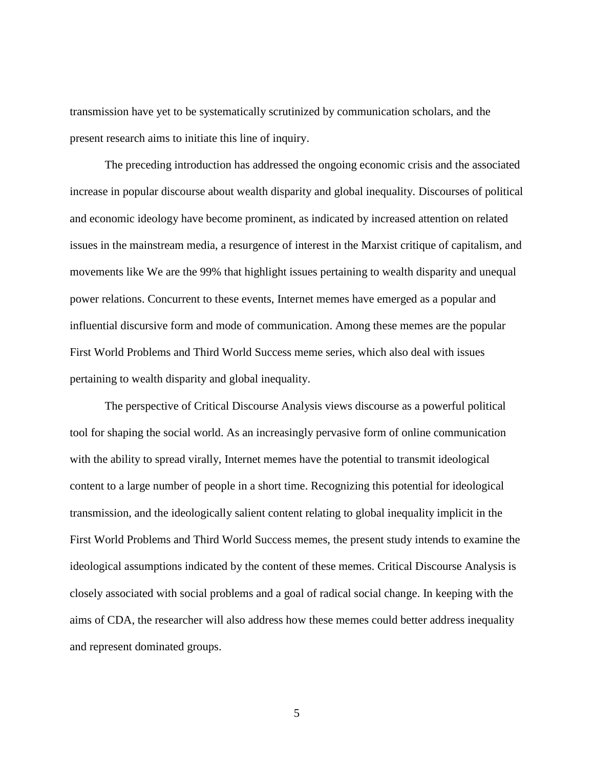transmission have yet to be systematically scrutinized by communication scholars, and the present research aims to initiate this line of inquiry.

The preceding introduction has addressed the ongoing economic crisis and the associated increase in popular discourse about wealth disparity and global inequality. Discourses of political and economic ideology have become prominent, as indicated by increased attention on related issues in the mainstream media, a resurgence of interest in the Marxist critique of capitalism, and movements like We are the 99% that highlight issues pertaining to wealth disparity and unequal power relations. Concurrent to these events, Internet memes have emerged as a popular and influential discursive form and mode of communication. Among these memes are the popular First World Problems and Third World Success meme series, which also deal with issues pertaining to wealth disparity and global inequality.

The perspective of Critical Discourse Analysis views discourse as a powerful political tool for shaping the social world. As an increasingly pervasive form of online communication with the ability to spread virally, Internet memes have the potential to transmit ideological content to a large number of people in a short time. Recognizing this potential for ideological transmission, and the ideologically salient content relating to global inequality implicit in the First World Problems and Third World Success memes, the present study intends to examine the ideological assumptions indicated by the content of these memes. Critical Discourse Analysis is closely associated with social problems and a goal of radical social change. In keeping with the aims of CDA, the researcher will also address how these memes could better address inequality and represent dominated groups.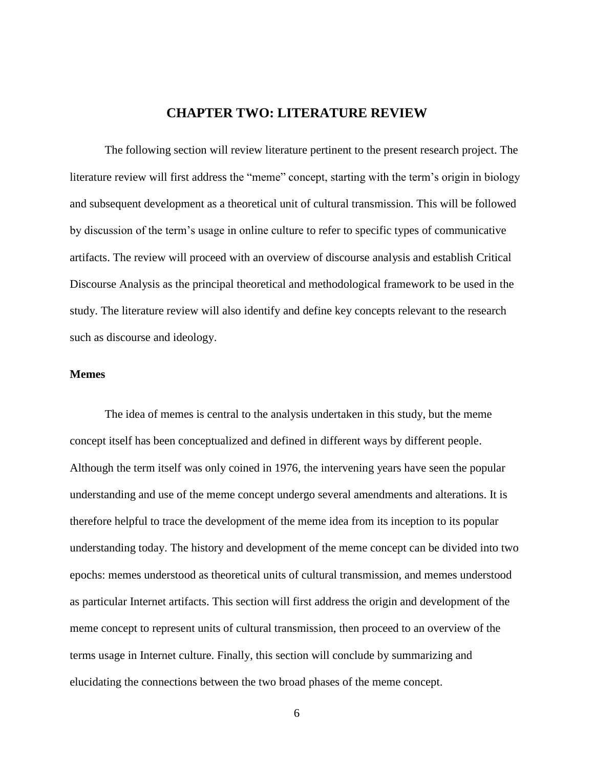## **CHAPTER TWO: LITERATURE REVIEW**

<span id="page-13-0"></span>The following section will review literature pertinent to the present research project. The literature review will first address the "meme" concept, starting with the term's origin in biology and subsequent development as a theoretical unit of cultural transmission. This will be followed by discussion of the term's usage in online culture to refer to specific types of communicative artifacts. The review will proceed with an overview of discourse analysis and establish Critical Discourse Analysis as the principal theoretical and methodological framework to be used in the study. The literature review will also identify and define key concepts relevant to the research such as discourse and ideology.

#### <span id="page-13-1"></span>**Memes**

The idea of memes is central to the analysis undertaken in this study, but the meme concept itself has been conceptualized and defined in different ways by different people. Although the term itself was only coined in 1976, the intervening years have seen the popular understanding and use of the meme concept undergo several amendments and alterations. It is therefore helpful to trace the development of the meme idea from its inception to its popular understanding today. The history and development of the meme concept can be divided into two epochs: memes understood as theoretical units of cultural transmission, and memes understood as particular Internet artifacts. This section will first address the origin and development of the meme concept to represent units of cultural transmission, then proceed to an overview of the terms usage in Internet culture. Finally, this section will conclude by summarizing and elucidating the connections between the two broad phases of the meme concept.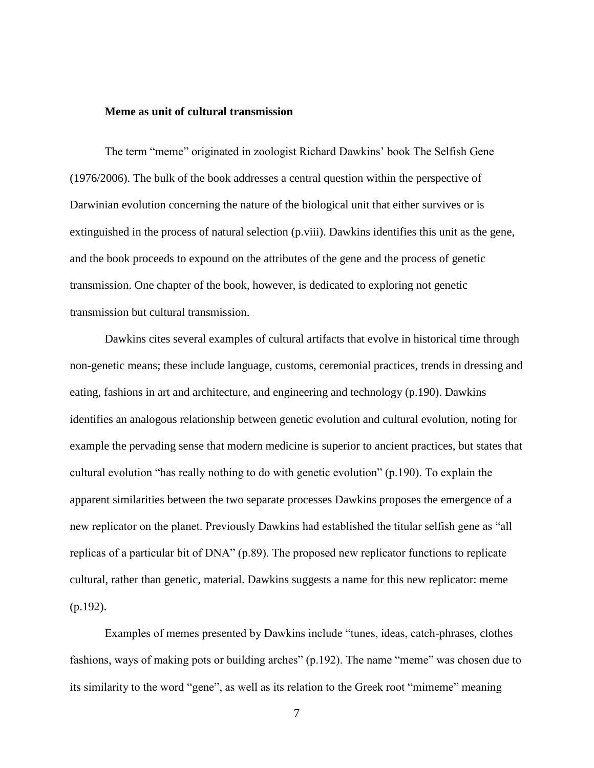### <span id="page-14-0"></span>**Meme as unit of cultural transmission**

The term "meme" originated in zoologist Richard Dawkins' book The Selfish Gene (1976/2006). The bulk of the book addresses a central question within the perspective of Darwinian evolution concerning the nature of the biological unit that either survives or is extinguished in the process of natural selection (p.viii). Dawkins identifies this unit as the gene, and the book proceeds to expound on the attributes of the gene and the process of genetic transmission. One chapter of the book, however, is dedicated to exploring not genetic transmission but cultural transmission.

Dawkins cites several examples of cultural artifacts that evolve in historical time through non-genetic means; these include language, customs, ceremonial practices, trends in dressing and eating, fashions in art and architecture, and engineering and technology (p.190). Dawkins identifies an analogous relationship between genetic evolution and cultural evolution, noting for example the pervading sense that modern medicine is superior to ancient practices, but states that cultural evolution "has really nothing to do with genetic evolution" (p.190). To explain the apparent similarities between the two separate processes Dawkins proposes the emergence of a new replicator on the planet. Previously Dawkins had established the titular selfish gene as "all replicas of a particular bit of DNA" (p.89). The proposed new replicator functions to replicate cultural, rather than genetic, material. Dawkins suggests a name for this new replicator: meme (p.192).

Examples of memes presented by Dawkins include "tunes, ideas, catch-phrases, clothes fashions, ways of making pots or building arches" (p.192). The name "meme" was chosen due to its similarity to the word "gene", as well as its relation to the Greek root "mimeme" meaning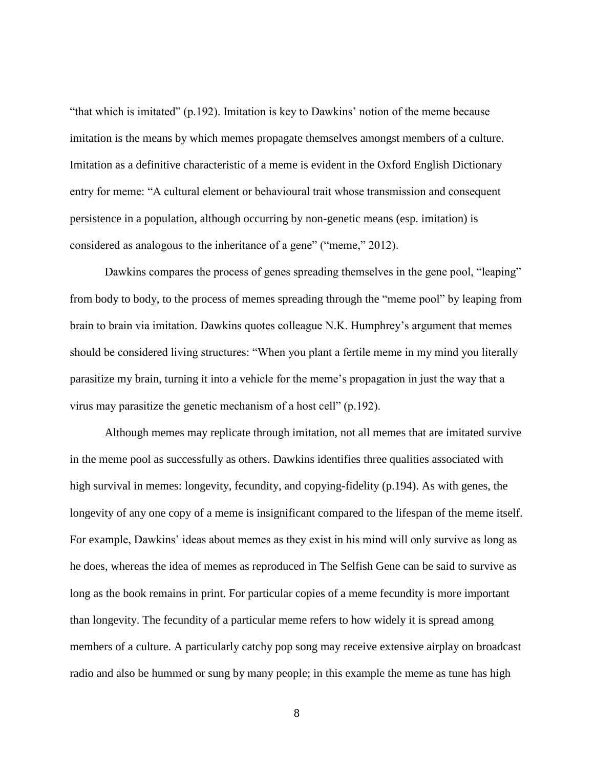"that which is imitated" (p.192). Imitation is key to Dawkins' notion of the meme because imitation is the means by which memes propagate themselves amongst members of a culture. Imitation as a definitive characteristic of a meme is evident in the Oxford English Dictionary entry for meme: "A cultural element or behavioural trait whose transmission and consequent persistence in a population, although occurring by non-genetic means (esp. imitation) is considered as analogous to the inheritance of a gene" ("meme," 2012).

Dawkins compares the process of genes spreading themselves in the gene pool, "leaping" from body to body, to the process of memes spreading through the "meme pool" by leaping from brain to brain via imitation. Dawkins quotes colleague N.K. Humphrey's argument that memes should be considered living structures: "When you plant a fertile meme in my mind you literally parasitize my brain, turning it into a vehicle for the meme's propagation in just the way that a virus may parasitize the genetic mechanism of a host cell" (p.192).

Although memes may replicate through imitation, not all memes that are imitated survive in the meme pool as successfully as others. Dawkins identifies three qualities associated with high survival in memes: longevity, fecundity, and copying-fidelity (p.194). As with genes, the longevity of any one copy of a meme is insignificant compared to the lifespan of the meme itself. For example, Dawkins' ideas about memes as they exist in his mind will only survive as long as he does, whereas the idea of memes as reproduced in The Selfish Gene can be said to survive as long as the book remains in print. For particular copies of a meme fecundity is more important than longevity. The fecundity of a particular meme refers to how widely it is spread among members of a culture. A particularly catchy pop song may receive extensive airplay on broadcast radio and also be hummed or sung by many people; in this example the meme as tune has high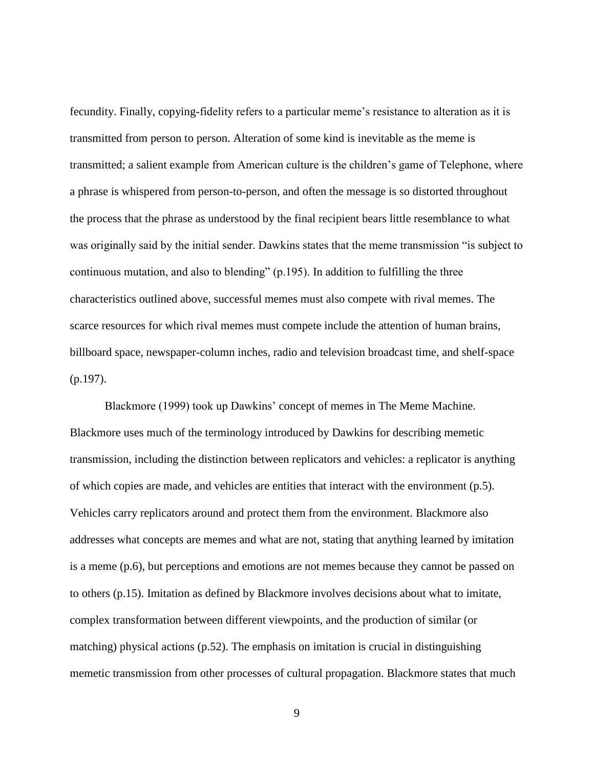fecundity. Finally, copying-fidelity refers to a particular meme's resistance to alteration as it is transmitted from person to person. Alteration of some kind is inevitable as the meme is transmitted; a salient example from American culture is the children's game of Telephone, where a phrase is whispered from person-to-person, and often the message is so distorted throughout the process that the phrase as understood by the final recipient bears little resemblance to what was originally said by the initial sender. Dawkins states that the meme transmission "is subject to continuous mutation, and also to blending" (p.195). In addition to fulfilling the three characteristics outlined above, successful memes must also compete with rival memes. The scarce resources for which rival memes must compete include the attention of human brains, billboard space, newspaper-column inches, radio and television broadcast time, and shelf-space (p.197).

Blackmore (1999) took up Dawkins' concept of memes in The Meme Machine. Blackmore uses much of the terminology introduced by Dawkins for describing memetic transmission, including the distinction between replicators and vehicles: a replicator is anything of which copies are made, and vehicles are entities that interact with the environment (p.5). Vehicles carry replicators around and protect them from the environment. Blackmore also addresses what concepts are memes and what are not, stating that anything learned by imitation is a meme (p.6), but perceptions and emotions are not memes because they cannot be passed on to others (p.15). Imitation as defined by Blackmore involves decisions about what to imitate, complex transformation between different viewpoints, and the production of similar (or matching) physical actions (p.52). The emphasis on imitation is crucial in distinguishing memetic transmission from other processes of cultural propagation. Blackmore states that much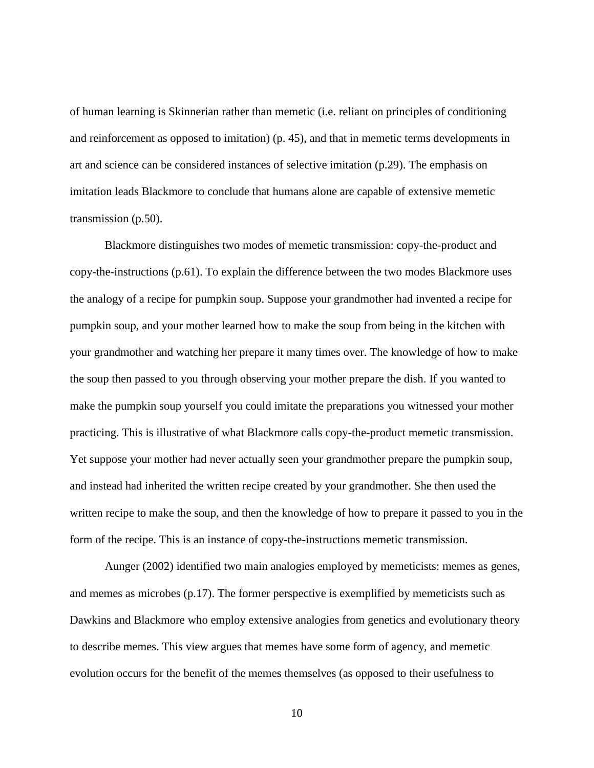of human learning is Skinnerian rather than memetic (i.e. reliant on principles of conditioning and reinforcement as opposed to imitation) (p. 45), and that in memetic terms developments in art and science can be considered instances of selective imitation (p.29). The emphasis on imitation leads Blackmore to conclude that humans alone are capable of extensive memetic transmission (p.50).

Blackmore distinguishes two modes of memetic transmission: copy-the-product and copy-the-instructions (p.61). To explain the difference between the two modes Blackmore uses the analogy of a recipe for pumpkin soup. Suppose your grandmother had invented a recipe for pumpkin soup, and your mother learned how to make the soup from being in the kitchen with your grandmother and watching her prepare it many times over. The knowledge of how to make the soup then passed to you through observing your mother prepare the dish. If you wanted to make the pumpkin soup yourself you could imitate the preparations you witnessed your mother practicing. This is illustrative of what Blackmore calls copy-the-product memetic transmission. Yet suppose your mother had never actually seen your grandmother prepare the pumpkin soup, and instead had inherited the written recipe created by your grandmother. She then used the written recipe to make the soup, and then the knowledge of how to prepare it passed to you in the form of the recipe. This is an instance of copy-the-instructions memetic transmission.

Aunger (2002) identified two main analogies employed by memeticists: memes as genes, and memes as microbes (p.17). The former perspective is exemplified by memeticists such as Dawkins and Blackmore who employ extensive analogies from genetics and evolutionary theory to describe memes. This view argues that memes have some form of agency, and memetic evolution occurs for the benefit of the memes themselves (as opposed to their usefulness to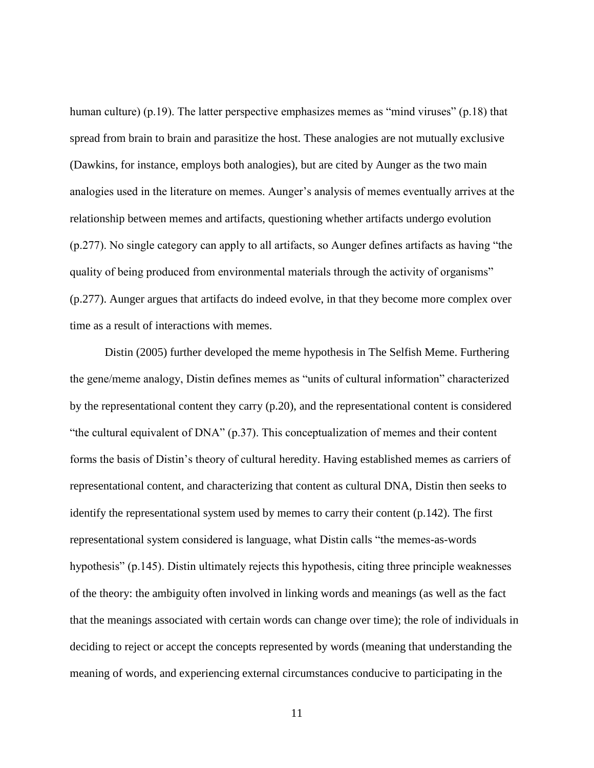human culture) (p.19). The latter perspective emphasizes memes as "mind viruses" (p.18) that spread from brain to brain and parasitize the host. These analogies are not mutually exclusive (Dawkins, for instance, employs both analogies), but are cited by Aunger as the two main analogies used in the literature on memes. Aunger's analysis of memes eventually arrives at the relationship between memes and artifacts, questioning whether artifacts undergo evolution (p.277). No single category can apply to all artifacts, so Aunger defines artifacts as having "the quality of being produced from environmental materials through the activity of organisms" (p.277). Aunger argues that artifacts do indeed evolve, in that they become more complex over time as a result of interactions with memes.

Distin (2005) further developed the meme hypothesis in The Selfish Meme. Furthering the gene/meme analogy, Distin defines memes as "units of cultural information" characterized by the representational content they carry (p.20), and the representational content is considered "the cultural equivalent of DNA" (p.37). This conceptualization of memes and their content forms the basis of Distin's theory of cultural heredity. Having established memes as carriers of representational content, and characterizing that content as cultural DNA, Distin then seeks to identify the representational system used by memes to carry their content (p.142). The first representational system considered is language, what Distin calls "the memes-as-words hypothesis" (p.145). Distin ultimately rejects this hypothesis, citing three principle weaknesses of the theory: the ambiguity often involved in linking words and meanings (as well as the fact that the meanings associated with certain words can change over time); the role of individuals in deciding to reject or accept the concepts represented by words (meaning that understanding the meaning of words, and experiencing external circumstances conducive to participating in the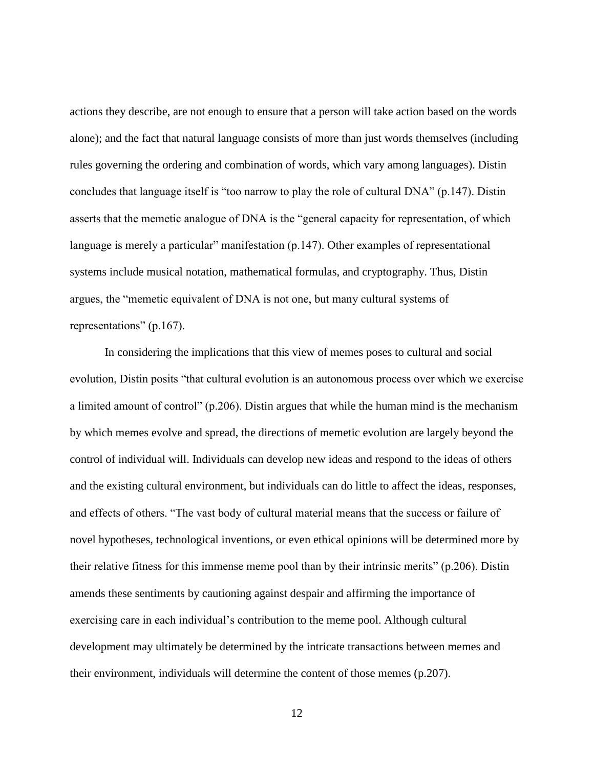actions they describe, are not enough to ensure that a person will take action based on the words alone); and the fact that natural language consists of more than just words themselves (including rules governing the ordering and combination of words, which vary among languages). Distin concludes that language itself is "too narrow to play the role of cultural DNA" (p.147). Distin asserts that the memetic analogue of DNA is the "general capacity for representation, of which language is merely a particular" manifestation (p.147). Other examples of representational systems include musical notation, mathematical formulas, and cryptography. Thus, Distin argues, the "memetic equivalent of DNA is not one, but many cultural systems of representations" (p.167).

In considering the implications that this view of memes poses to cultural and social evolution, Distin posits "that cultural evolution is an autonomous process over which we exercise a limited amount of control" (p.206). Distin argues that while the human mind is the mechanism by which memes evolve and spread, the directions of memetic evolution are largely beyond the control of individual will. Individuals can develop new ideas and respond to the ideas of others and the existing cultural environment, but individuals can do little to affect the ideas, responses, and effects of others. "The vast body of cultural material means that the success or failure of novel hypotheses, technological inventions, or even ethical opinions will be determined more by their relative fitness for this immense meme pool than by their intrinsic merits" (p.206). Distin amends these sentiments by cautioning against despair and affirming the importance of exercising care in each individual's contribution to the meme pool. Although cultural development may ultimately be determined by the intricate transactions between memes and their environment, individuals will determine the content of those memes (p.207).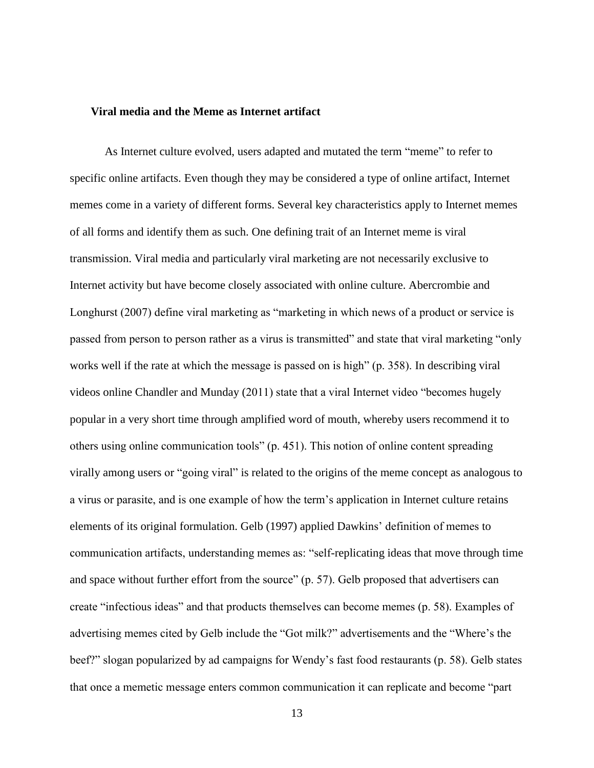#### <span id="page-20-0"></span>**Viral media and the Meme as Internet artifact**

As Internet culture evolved, users adapted and mutated the term "meme" to refer to specific online artifacts. Even though they may be considered a type of online artifact, Internet memes come in a variety of different forms. Several key characteristics apply to Internet memes of all forms and identify them as such. One defining trait of an Internet meme is viral transmission. Viral media and particularly viral marketing are not necessarily exclusive to Internet activity but have become closely associated with online culture. Abercrombie and Longhurst (2007) define viral marketing as "marketing in which news of a product or service is passed from person to person rather as a virus is transmitted" and state that viral marketing "only works well if the rate at which the message is passed on is high" (p. 358). In describing viral videos online Chandler and Munday (2011) state that a viral Internet video "becomes hugely popular in a very short time through amplified word of mouth, whereby users recommend it to others using online communication tools" (p. 451). This notion of online content spreading virally among users or "going viral" is related to the origins of the meme concept as analogous to a virus or parasite, and is one example of how the term's application in Internet culture retains elements of its original formulation. Gelb (1997) applied Dawkins' definition of memes to communication artifacts, understanding memes as: "self-replicating ideas that move through time and space without further effort from the source" (p. 57). Gelb proposed that advertisers can create "infectious ideas" and that products themselves can become memes (p. 58). Examples of advertising memes cited by Gelb include the "Got milk?" advertisements and the "Where's the beef?" slogan popularized by ad campaigns for Wendy's fast food restaurants (p. 58). Gelb states that once a memetic message enters common communication it can replicate and become "part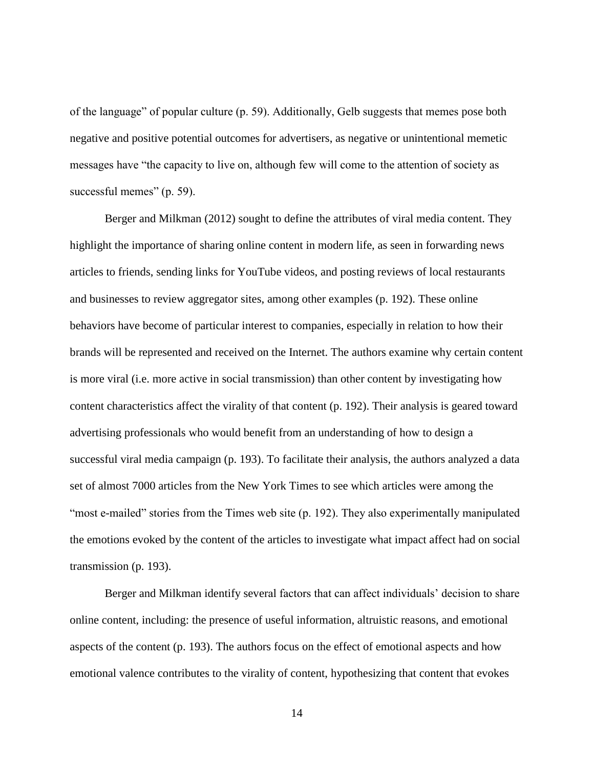of the language" of popular culture (p. 59). Additionally, Gelb suggests that memes pose both negative and positive potential outcomes for advertisers, as negative or unintentional memetic messages have "the capacity to live on, although few will come to the attention of society as successful memes" (p. 59).

Berger and Milkman (2012) sought to define the attributes of viral media content. They highlight the importance of sharing online content in modern life, as seen in forwarding news articles to friends, sending links for YouTube videos, and posting reviews of local restaurants and businesses to review aggregator sites, among other examples (p. 192). These online behaviors have become of particular interest to companies, especially in relation to how their brands will be represented and received on the Internet. The authors examine why certain content is more viral (i.e. more active in social transmission) than other content by investigating how content characteristics affect the virality of that content (p. 192). Their analysis is geared toward advertising professionals who would benefit from an understanding of how to design a successful viral media campaign (p. 193). To facilitate their analysis, the authors analyzed a data set of almost 7000 articles from the New York Times to see which articles were among the "most e-mailed" stories from the Times web site (p. 192). They also experimentally manipulated the emotions evoked by the content of the articles to investigate what impact affect had on social transmission (p. 193).

Berger and Milkman identify several factors that can affect individuals' decision to share online content, including: the presence of useful information, altruistic reasons, and emotional aspects of the content (p. 193). The authors focus on the effect of emotional aspects and how emotional valence contributes to the virality of content, hypothesizing that content that evokes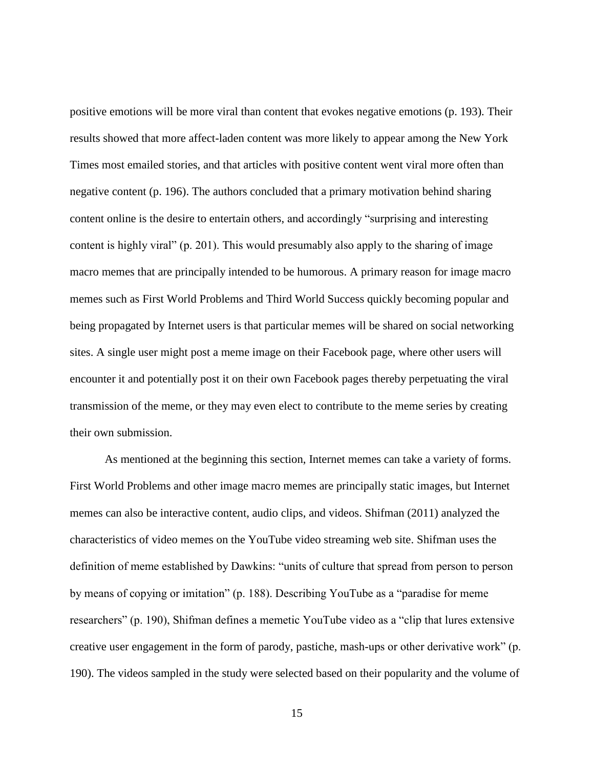positive emotions will be more viral than content that evokes negative emotions (p. 193). Their results showed that more affect-laden content was more likely to appear among the New York Times most emailed stories, and that articles with positive content went viral more often than negative content (p. 196). The authors concluded that a primary motivation behind sharing content online is the desire to entertain others, and accordingly "surprising and interesting content is highly viral" (p. 201). This would presumably also apply to the sharing of image macro memes that are principally intended to be humorous. A primary reason for image macro memes such as First World Problems and Third World Success quickly becoming popular and being propagated by Internet users is that particular memes will be shared on social networking sites. A single user might post a meme image on their Facebook page, where other users will encounter it and potentially post it on their own Facebook pages thereby perpetuating the viral transmission of the meme, or they may even elect to contribute to the meme series by creating their own submission.

As mentioned at the beginning this section, Internet memes can take a variety of forms. First World Problems and other image macro memes are principally static images, but Internet memes can also be interactive content, audio clips, and videos. Shifman (2011) analyzed the characteristics of video memes on the YouTube video streaming web site. Shifman uses the definition of meme established by Dawkins: "units of culture that spread from person to person by means of copying or imitation" (p. 188). Describing YouTube as a "paradise for meme researchers" (p. 190), Shifman defines a memetic YouTube video as a "clip that lures extensive creative user engagement in the form of parody, pastiche, mash-ups or other derivative work" (p. 190). The videos sampled in the study were selected based on their popularity and the volume of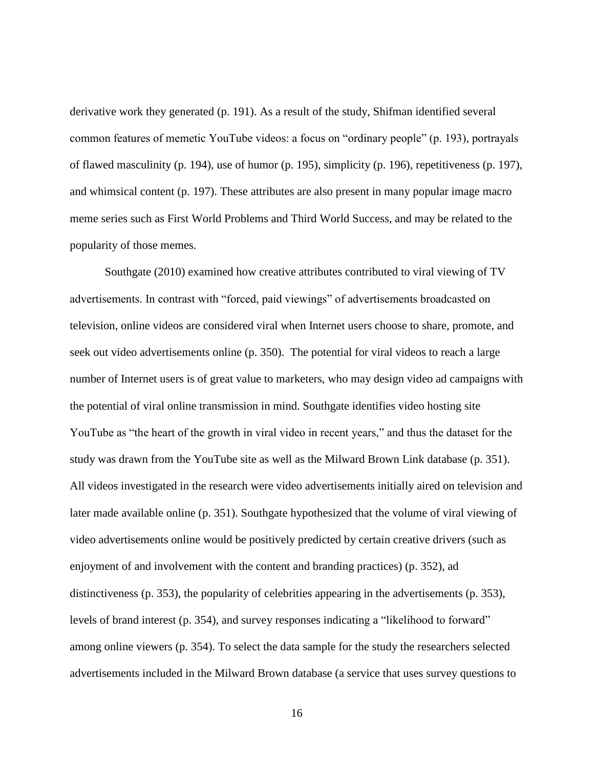derivative work they generated (p. 191). As a result of the study, Shifman identified several common features of memetic YouTube videos: a focus on "ordinary people" (p. 193), portrayals of flawed masculinity (p. 194), use of humor (p. 195), simplicity (p. 196), repetitiveness (p. 197), and whimsical content (p. 197). These attributes are also present in many popular image macro meme series such as First World Problems and Third World Success, and may be related to the popularity of those memes.

Southgate (2010) examined how creative attributes contributed to viral viewing of TV advertisements. In contrast with "forced, paid viewings" of advertisements broadcasted on television, online videos are considered viral when Internet users choose to share, promote, and seek out video advertisements online (p. 350). The potential for viral videos to reach a large number of Internet users is of great value to marketers, who may design video ad campaigns with the potential of viral online transmission in mind. Southgate identifies video hosting site YouTube as "the heart of the growth in viral video in recent years," and thus the dataset for the study was drawn from the YouTube site as well as the Milward Brown Link database (p. 351). All videos investigated in the research were video advertisements initially aired on television and later made available online (p. 351). Southgate hypothesized that the volume of viral viewing of video advertisements online would be positively predicted by certain creative drivers (such as enjoyment of and involvement with the content and branding practices) (p. 352), ad distinctiveness (p. 353), the popularity of celebrities appearing in the advertisements (p. 353), levels of brand interest (p. 354), and survey responses indicating a "likelihood to forward" among online viewers (p. 354). To select the data sample for the study the researchers selected advertisements included in the Milward Brown database (a service that uses survey questions to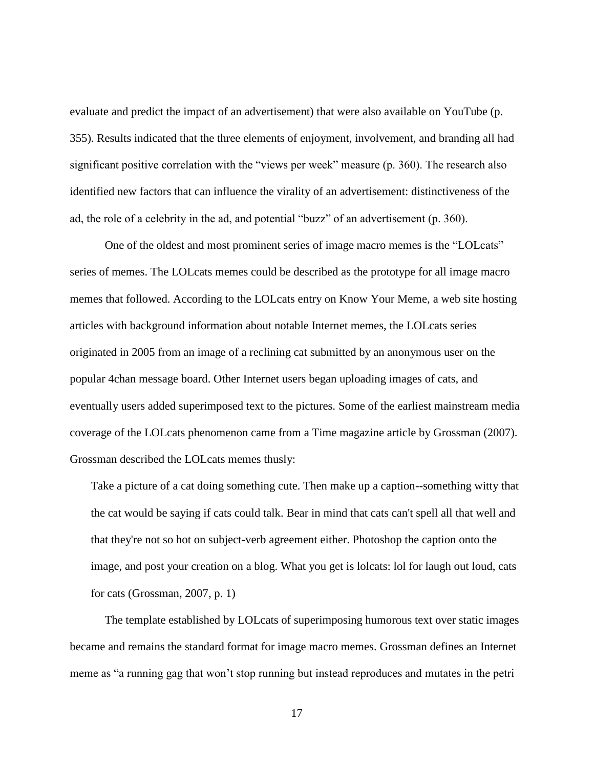evaluate and predict the impact of an advertisement) that were also available on YouTube (p. 355). Results indicated that the three elements of enjoyment, involvement, and branding all had significant positive correlation with the "views per week" measure (p. 360). The research also identified new factors that can influence the virality of an advertisement: distinctiveness of the ad, the role of a celebrity in the ad, and potential "buzz" of an advertisement (p. 360).

One of the oldest and most prominent series of image macro memes is the "LOLcats" series of memes. The LOLcats memes could be described as the prototype for all image macro memes that followed. According to the LOLcats entry on Know Your Meme, a web site hosting articles with background information about notable Internet memes, the LOLcats series originated in 2005 from an image of a reclining cat submitted by an anonymous user on the popular 4chan message board. Other Internet users began uploading images of cats, and eventually users added superimposed text to the pictures. Some of the earliest mainstream media coverage of the LOLcats phenomenon came from a Time magazine article by Grossman (2007). Grossman described the LOLcats memes thusly:

Take a picture of a cat doing something cute. Then make up a caption--something witty that the cat would be saying if cats could talk. Bear in mind that cats can't spell all that well and that they're not so hot on subject-verb agreement either. Photoshop the caption onto the image, and post your creation on a blog. What you get is lolcats: lol for laugh out loud, cats for cats (Grossman, 2007, p. 1)

The template established by LOLcats of superimposing humorous text over static images became and remains the standard format for image macro memes. Grossman defines an Internet meme as "a running gag that won't stop running but instead reproduces and mutates in the petri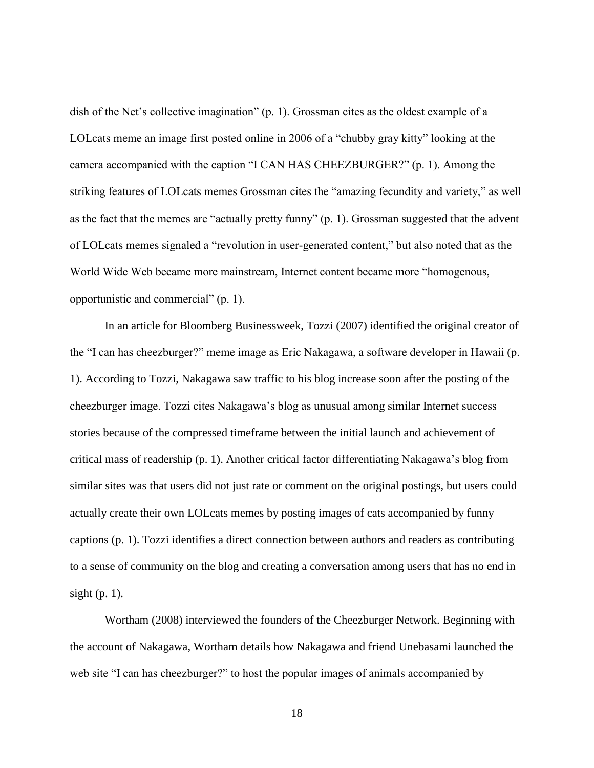dish of the Net's collective imagination" (p. 1). Grossman cites as the oldest example of a LOLcats meme an image first posted online in 2006 of a "chubby gray kitty" looking at the camera accompanied with the caption "I CAN HAS CHEEZBURGER?" (p. 1). Among the striking features of LOLcats memes Grossman cites the "amazing fecundity and variety," as well as the fact that the memes are "actually pretty funny" (p. 1). Grossman suggested that the advent of LOLcats memes signaled a "revolution in user-generated content," but also noted that as the World Wide Web became more mainstream, Internet content became more "homogenous, opportunistic and commercial" (p. 1).

In an article for Bloomberg Businessweek, Tozzi (2007) identified the original creator of the "I can has cheezburger?" meme image as Eric Nakagawa, a software developer in Hawaii (p. 1). According to Tozzi, Nakagawa saw traffic to his blog increase soon after the posting of the cheezburger image. Tozzi cites Nakagawa's blog as unusual among similar Internet success stories because of the compressed timeframe between the initial launch and achievement of critical mass of readership (p. 1). Another critical factor differentiating Nakagawa's blog from similar sites was that users did not just rate or comment on the original postings, but users could actually create their own LOLcats memes by posting images of cats accompanied by funny captions (p. 1). Tozzi identifies a direct connection between authors and readers as contributing to a sense of community on the blog and creating a conversation among users that has no end in sight  $(p, 1)$ .

Wortham (2008) interviewed the founders of the Cheezburger Network. Beginning with the account of Nakagawa, Wortham details how Nakagawa and friend Unebasami launched the web site "I can has cheezburger?" to host the popular images of animals accompanied by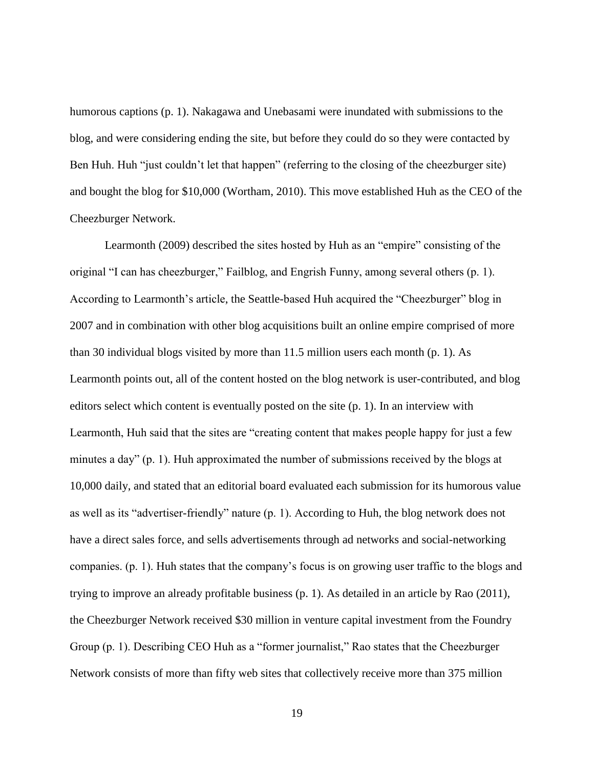humorous captions (p. 1). Nakagawa and Unebasami were inundated with submissions to the blog, and were considering ending the site, but before they could do so they were contacted by Ben Huh. Huh "just couldn't let that happen" (referring to the closing of the cheezburger site) and bought the blog for \$10,000 (Wortham, 2010). This move established Huh as the CEO of the Cheezburger Network.

Learmonth (2009) described the sites hosted by Huh as an "empire" consisting of the original "I can has cheezburger," Failblog, and Engrish Funny, among several others (p. 1). According to Learmonth's article, the Seattle-based Huh acquired the "Cheezburger" blog in 2007 and in combination with other blog acquisitions built an online empire comprised of more than 30 individual blogs visited by more than 11.5 million users each month (p. 1). As Learmonth points out, all of the content hosted on the blog network is user-contributed, and blog editors select which content is eventually posted on the site (p. 1). In an interview with Learmonth, Huh said that the sites are "creating content that makes people happy for just a few minutes a day" (p. 1). Huh approximated the number of submissions received by the blogs at 10,000 daily, and stated that an editorial board evaluated each submission for its humorous value as well as its "advertiser-friendly" nature (p. 1). According to Huh, the blog network does not have a direct sales force, and sells advertisements through ad networks and social-networking companies. (p. 1). Huh states that the company's focus is on growing user traffic to the blogs and trying to improve an already profitable business (p. 1). As detailed in an article by Rao (2011), the Cheezburger Network received \$30 million in venture capital investment from the Foundry Group (p. 1). Describing CEO Huh as a "former journalist," Rao states that the Cheezburger Network consists of more than fifty web sites that collectively receive more than 375 million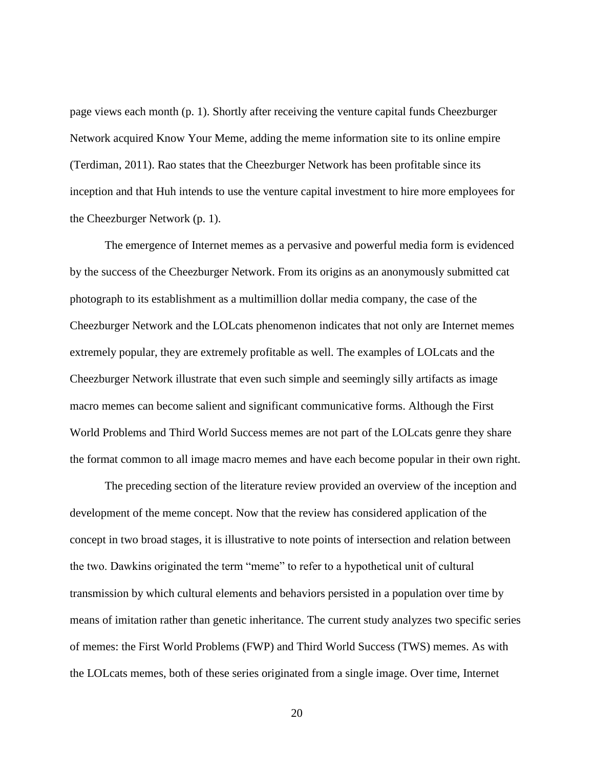page views each month (p. 1). Shortly after receiving the venture capital funds Cheezburger Network acquired Know Your Meme, adding the meme information site to its online empire (Terdiman, 2011). Rao states that the Cheezburger Network has been profitable since its inception and that Huh intends to use the venture capital investment to hire more employees for the Cheezburger Network (p. 1).

The emergence of Internet memes as a pervasive and powerful media form is evidenced by the success of the Cheezburger Network. From its origins as an anonymously submitted cat photograph to its establishment as a multimillion dollar media company, the case of the Cheezburger Network and the LOLcats phenomenon indicates that not only are Internet memes extremely popular, they are extremely profitable as well. The examples of LOLcats and the Cheezburger Network illustrate that even such simple and seemingly silly artifacts as image macro memes can become salient and significant communicative forms. Although the First World Problems and Third World Success memes are not part of the LOLcats genre they share the format common to all image macro memes and have each become popular in their own right.

The preceding section of the literature review provided an overview of the inception and development of the meme concept. Now that the review has considered application of the concept in two broad stages, it is illustrative to note points of intersection and relation between the two. Dawkins originated the term "meme" to refer to a hypothetical unit of cultural transmission by which cultural elements and behaviors persisted in a population over time by means of imitation rather than genetic inheritance. The current study analyzes two specific series of memes: the First World Problems (FWP) and Third World Success (TWS) memes. As with the LOLcats memes, both of these series originated from a single image. Over time, Internet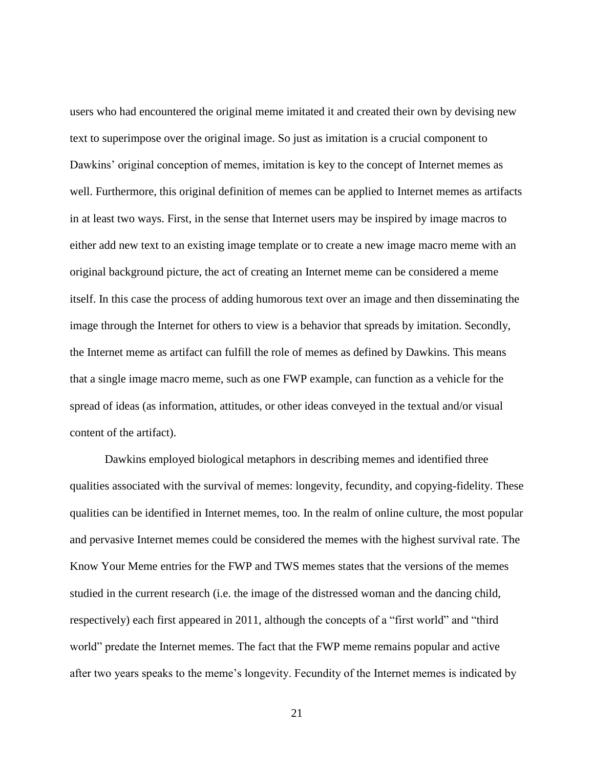users who had encountered the original meme imitated it and created their own by devising new text to superimpose over the original image. So just as imitation is a crucial component to Dawkins' original conception of memes, imitation is key to the concept of Internet memes as well. Furthermore, this original definition of memes can be applied to Internet memes as artifacts in at least two ways. First, in the sense that Internet users may be inspired by image macros to either add new text to an existing image template or to create a new image macro meme with an original background picture, the act of creating an Internet meme can be considered a meme itself. In this case the process of adding humorous text over an image and then disseminating the image through the Internet for others to view is a behavior that spreads by imitation. Secondly, the Internet meme as artifact can fulfill the role of memes as defined by Dawkins. This means that a single image macro meme, such as one FWP example, can function as a vehicle for the spread of ideas (as information, attitudes, or other ideas conveyed in the textual and/or visual content of the artifact).

Dawkins employed biological metaphors in describing memes and identified three qualities associated with the survival of memes: longevity, fecundity, and copying-fidelity. These qualities can be identified in Internet memes, too. In the realm of online culture, the most popular and pervasive Internet memes could be considered the memes with the highest survival rate. The Know Your Meme entries for the FWP and TWS memes states that the versions of the memes studied in the current research (i.e. the image of the distressed woman and the dancing child, respectively) each first appeared in 2011, although the concepts of a "first world" and "third world" predate the Internet memes. The fact that the FWP meme remains popular and active after two years speaks to the meme's longevity. Fecundity of the Internet memes is indicated by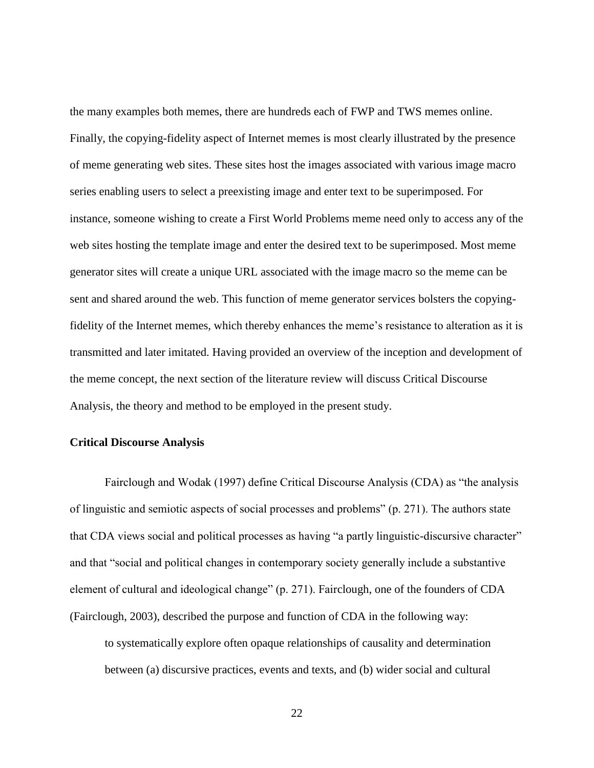the many examples both memes, there are hundreds each of FWP and TWS memes online. Finally, the copying-fidelity aspect of Internet memes is most clearly illustrated by the presence of meme generating web sites. These sites host the images associated with various image macro series enabling users to select a preexisting image and enter text to be superimposed. For instance, someone wishing to create a First World Problems meme need only to access any of the web sites hosting the template image and enter the desired text to be superimposed. Most meme generator sites will create a unique URL associated with the image macro so the meme can be sent and shared around the web. This function of meme generator services bolsters the copyingfidelity of the Internet memes, which thereby enhances the meme's resistance to alteration as it is transmitted and later imitated. Having provided an overview of the inception and development of the meme concept, the next section of the literature review will discuss Critical Discourse Analysis, the theory and method to be employed in the present study.

### <span id="page-29-0"></span>**Critical Discourse Analysis**

Fairclough and Wodak (1997) define Critical Discourse Analysis (CDA) as "the analysis of linguistic and semiotic aspects of social processes and problems" (p. 271). The authors state that CDA views social and political processes as having "a partly linguistic-discursive character" and that "social and political changes in contemporary society generally include a substantive element of cultural and ideological change" (p. 271). Fairclough, one of the founders of CDA (Fairclough, 2003), described the purpose and function of CDA in the following way:

to systematically explore often opaque relationships of causality and determination between (a) discursive practices, events and texts, and (b) wider social and cultural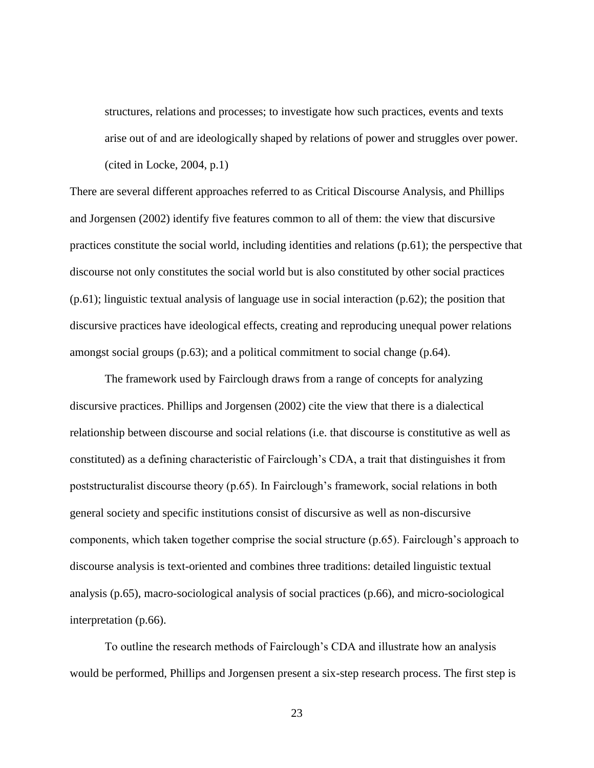structures, relations and processes; to investigate how such practices, events and texts arise out of and are ideologically shaped by relations of power and struggles over power. (cited in Locke, 2004, p.1)

There are several different approaches referred to as Critical Discourse Analysis, and Phillips and Jorgensen (2002) identify five features common to all of them: the view that discursive practices constitute the social world, including identities and relations (p.61); the perspective that discourse not only constitutes the social world but is also constituted by other social practices (p.61); linguistic textual analysis of language use in social interaction (p.62); the position that discursive practices have ideological effects, creating and reproducing unequal power relations amongst social groups (p.63); and a political commitment to social change (p.64).

The framework used by Fairclough draws from a range of concepts for analyzing discursive practices. Phillips and Jorgensen (2002) cite the view that there is a dialectical relationship between discourse and social relations (i.e. that discourse is constitutive as well as constituted) as a defining characteristic of Fairclough's CDA, a trait that distinguishes it from poststructuralist discourse theory (p.65). In Fairclough's framework, social relations in both general society and specific institutions consist of discursive as well as non-discursive components, which taken together comprise the social structure (p.65). Fairclough's approach to discourse analysis is text-oriented and combines three traditions: detailed linguistic textual analysis (p.65), macro-sociological analysis of social practices (p.66), and micro-sociological interpretation (p.66).

To outline the research methods of Fairclough's CDA and illustrate how an analysis would be performed, Phillips and Jorgensen present a six-step research process. The first step is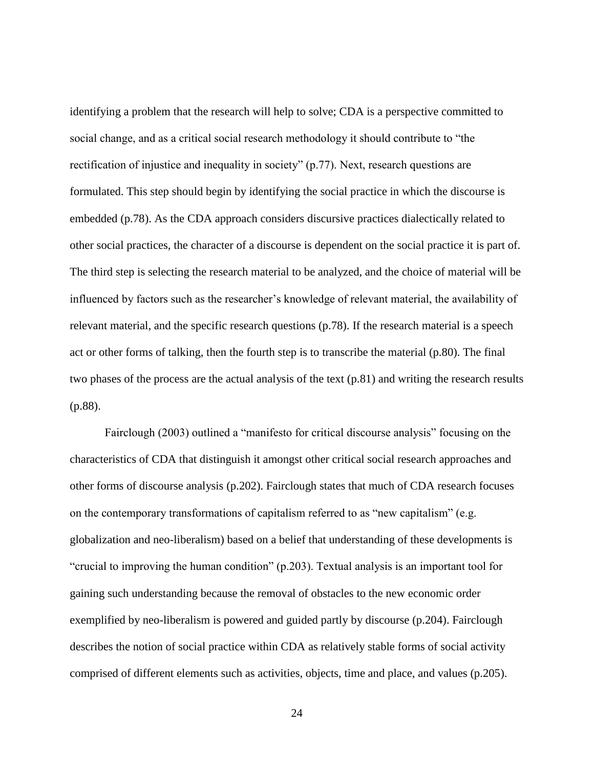identifying a problem that the research will help to solve; CDA is a perspective committed to social change, and as a critical social research methodology it should contribute to "the rectification of injustice and inequality in society" (p.77). Next, research questions are formulated. This step should begin by identifying the social practice in which the discourse is embedded (p.78). As the CDA approach considers discursive practices dialectically related to other social practices, the character of a discourse is dependent on the social practice it is part of. The third step is selecting the research material to be analyzed, and the choice of material will be influenced by factors such as the researcher's knowledge of relevant material, the availability of relevant material, and the specific research questions (p.78). If the research material is a speech act or other forms of talking, then the fourth step is to transcribe the material (p.80). The final two phases of the process are the actual analysis of the text (p.81) and writing the research results (p.88).

Fairclough (2003) outlined a "manifesto for critical discourse analysis" focusing on the characteristics of CDA that distinguish it amongst other critical social research approaches and other forms of discourse analysis (p.202). Fairclough states that much of CDA research focuses on the contemporary transformations of capitalism referred to as "new capitalism" (e.g. globalization and neo-liberalism) based on a belief that understanding of these developments is "crucial to improving the human condition" (p.203). Textual analysis is an important tool for gaining such understanding because the removal of obstacles to the new economic order exemplified by neo-liberalism is powered and guided partly by discourse (p.204). Fairclough describes the notion of social practice within CDA as relatively stable forms of social activity comprised of different elements such as activities, objects, time and place, and values (p.205).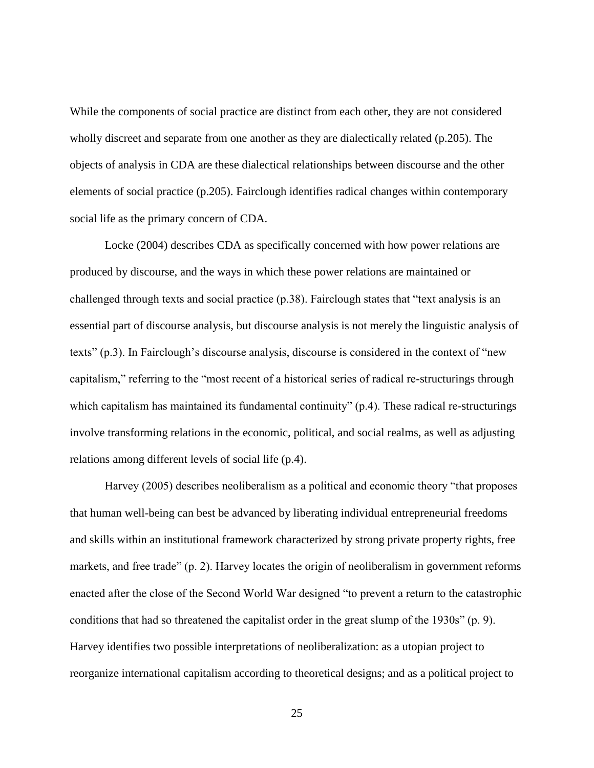While the components of social practice are distinct from each other, they are not considered wholly discreet and separate from one another as they are dialectically related (p.205). The objects of analysis in CDA are these dialectical relationships between discourse and the other elements of social practice (p.205). Fairclough identifies radical changes within contemporary social life as the primary concern of CDA.

Locke (2004) describes CDA as specifically concerned with how power relations are produced by discourse, and the ways in which these power relations are maintained or challenged through texts and social practice (p.38). Fairclough states that "text analysis is an essential part of discourse analysis, but discourse analysis is not merely the linguistic analysis of texts" (p.3). In Fairclough's discourse analysis, discourse is considered in the context of "new capitalism," referring to the "most recent of a historical series of radical re-structurings through which capitalism has maintained its fundamental continuity" (p.4). These radical re-structurings involve transforming relations in the economic, political, and social realms, as well as adjusting relations among different levels of social life (p.4).

Harvey (2005) describes neoliberalism as a political and economic theory "that proposes that human well-being can best be advanced by liberating individual entrepreneurial freedoms and skills within an institutional framework characterized by strong private property rights, free markets, and free trade" (p. 2). Harvey locates the origin of neoliberalism in government reforms enacted after the close of the Second World War designed "to prevent a return to the catastrophic conditions that had so threatened the capitalist order in the great slump of the 1930s" (p. 9). Harvey identifies two possible interpretations of neoliberalization: as a utopian project to reorganize international capitalism according to theoretical designs; and as a political project to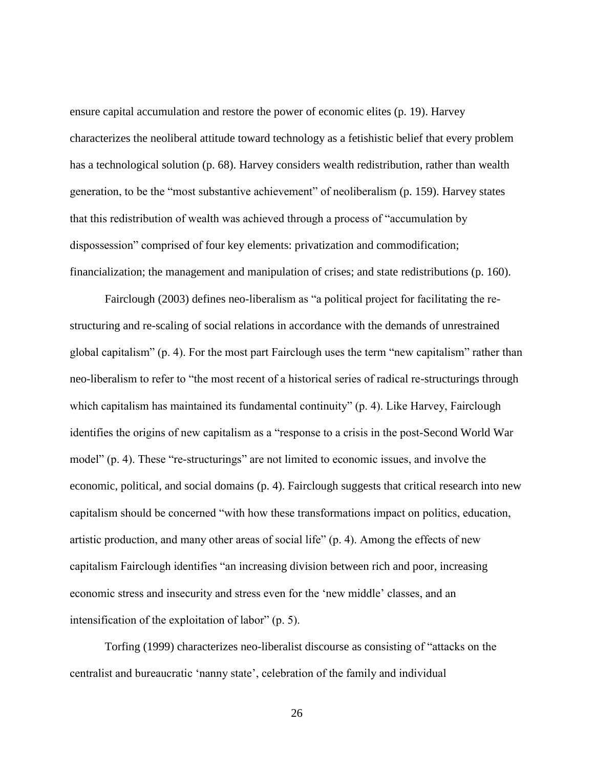ensure capital accumulation and restore the power of economic elites (p. 19). Harvey characterizes the neoliberal attitude toward technology as a fetishistic belief that every problem has a technological solution (p. 68). Harvey considers wealth redistribution, rather than wealth generation, to be the "most substantive achievement" of neoliberalism (p. 159). Harvey states that this redistribution of wealth was achieved through a process of "accumulation by dispossession" comprised of four key elements: privatization and commodification; financialization; the management and manipulation of crises; and state redistributions (p. 160).

Fairclough (2003) defines neo-liberalism as "a political project for facilitating the restructuring and re-scaling of social relations in accordance with the demands of unrestrained global capitalism" (p. 4). For the most part Fairclough uses the term "new capitalism" rather than neo-liberalism to refer to "the most recent of a historical series of radical re-structurings through which capitalism has maintained its fundamental continuity" (p. 4). Like Harvey, Fairclough identifies the origins of new capitalism as a "response to a crisis in the post-Second World War model" (p. 4). These "re-structurings" are not limited to economic issues, and involve the economic, political, and social domains (p. 4). Fairclough suggests that critical research into new capitalism should be concerned "with how these transformations impact on politics, education, artistic production, and many other areas of social life" (p. 4). Among the effects of new capitalism Fairclough identifies "an increasing division between rich and poor, increasing economic stress and insecurity and stress even for the 'new middle' classes, and an intensification of the exploitation of labor" (p. 5).

Torfing (1999) characterizes neo-liberalist discourse as consisting of "attacks on the centralist and bureaucratic 'nanny state', celebration of the family and individual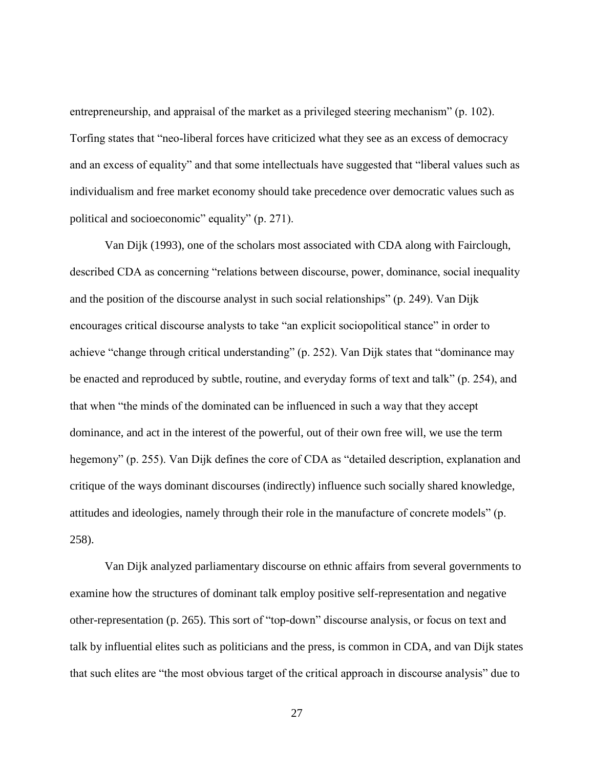entrepreneurship, and appraisal of the market as a privileged steering mechanism" (p. 102). Torfing states that "neo-liberal forces have criticized what they see as an excess of democracy and an excess of equality" and that some intellectuals have suggested that "liberal values such as individualism and free market economy should take precedence over democratic values such as political and socioeconomic" equality" (p. 271).

Van Dijk (1993), one of the scholars most associated with CDA along with Fairclough, described CDA as concerning "relations between discourse, power, dominance, social inequality and the position of the discourse analyst in such social relationships" (p. 249). Van Dijk encourages critical discourse analysts to take "an explicit sociopolitical stance" in order to achieve "change through critical understanding" (p. 252). Van Dijk states that "dominance may be enacted and reproduced by subtle, routine, and everyday forms of text and talk" (p. 254), and that when "the minds of the dominated can be influenced in such a way that they accept dominance, and act in the interest of the powerful, out of their own free will, we use the term hegemony" (p. 255). Van Dijk defines the core of CDA as "detailed description, explanation and critique of the ways dominant discourses (indirectly) influence such socially shared knowledge, attitudes and ideologies, namely through their role in the manufacture of concrete models" (p. 258).

Van Dijk analyzed parliamentary discourse on ethnic affairs from several governments to examine how the structures of dominant talk employ positive self-representation and negative other-representation (p. 265). This sort of "top-down" discourse analysis, or focus on text and talk by influential elites such as politicians and the press, is common in CDA, and van Dijk states that such elites are "the most obvious target of the critical approach in discourse analysis" due to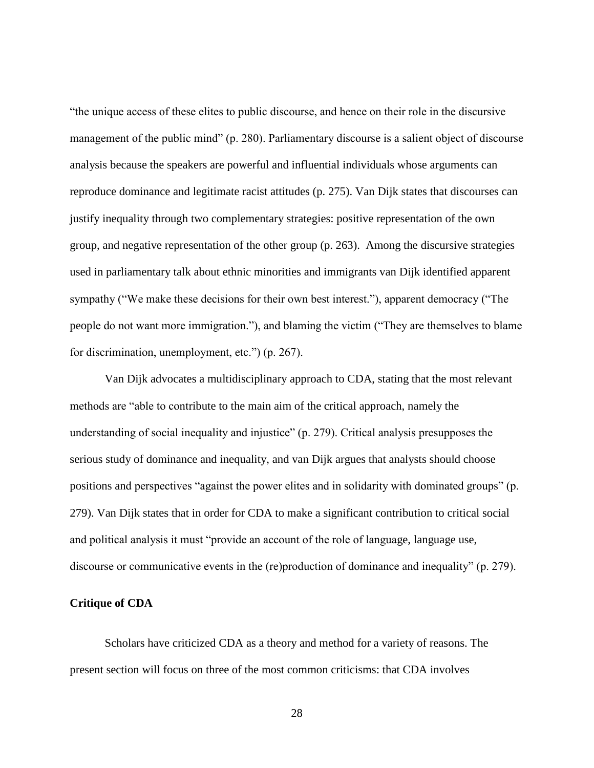"the unique access of these elites to public discourse, and hence on their role in the discursive management of the public mind" (p. 280). Parliamentary discourse is a salient object of discourse analysis because the speakers are powerful and influential individuals whose arguments can reproduce dominance and legitimate racist attitudes (p. 275). Van Dijk states that discourses can justify inequality through two complementary strategies: positive representation of the own group, and negative representation of the other group (p. 263). Among the discursive strategies used in parliamentary talk about ethnic minorities and immigrants van Dijk identified apparent sympathy ("We make these decisions for their own best interest."), apparent democracy ("The people do not want more immigration."), and blaming the victim ("They are themselves to blame for discrimination, unemployment, etc.") (p. 267).

Van Dijk advocates a multidisciplinary approach to CDA, stating that the most relevant methods are "able to contribute to the main aim of the critical approach, namely the understanding of social inequality and injustice" (p. 279). Critical analysis presupposes the serious study of dominance and inequality, and van Dijk argues that analysts should choose positions and perspectives "against the power elites and in solidarity with dominated groups" (p. 279). Van Dijk states that in order for CDA to make a significant contribution to critical social and political analysis it must "provide an account of the role of language, language use, discourse or communicative events in the (re)production of dominance and inequality" (p. 279).

#### <span id="page-35-0"></span>**Critique of CDA**

Scholars have criticized CDA as a theory and method for a variety of reasons. The present section will focus on three of the most common criticisms: that CDA involves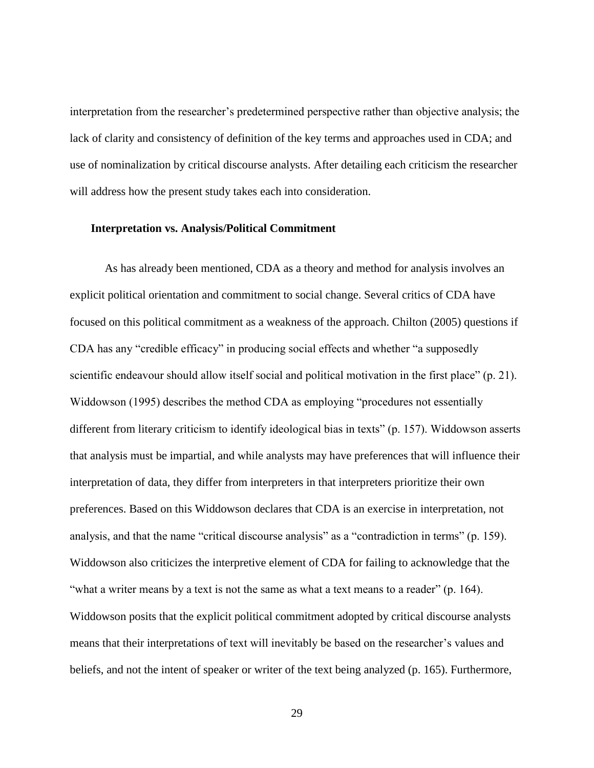interpretation from the researcher's predetermined perspective rather than objective analysis; the lack of clarity and consistency of definition of the key terms and approaches used in CDA; and use of nominalization by critical discourse analysts. After detailing each criticism the researcher will address how the present study takes each into consideration.

#### **Interpretation vs. Analysis/Political Commitment**

As has already been mentioned, CDA as a theory and method for analysis involves an explicit political orientation and commitment to social change. Several critics of CDA have focused on this political commitment as a weakness of the approach. Chilton (2005) questions if CDA has any "credible efficacy" in producing social effects and whether "a supposedly scientific endeavour should allow itself social and political motivation in the first place" (p. 21). Widdowson (1995) describes the method CDA as employing "procedures not essentially different from literary criticism to identify ideological bias in texts" (p. 157). Widdowson asserts that analysis must be impartial, and while analysts may have preferences that will influence their interpretation of data, they differ from interpreters in that interpreters prioritize their own preferences. Based on this Widdowson declares that CDA is an exercise in interpretation, not analysis, and that the name "critical discourse analysis" as a "contradiction in terms" (p. 159). Widdowson also criticizes the interpretive element of CDA for failing to acknowledge that the "what a writer means by a text is not the same as what a text means to a reader" (p. 164). Widdowson posits that the explicit political commitment adopted by critical discourse analysts means that their interpretations of text will inevitably be based on the researcher's values and beliefs, and not the intent of speaker or writer of the text being analyzed (p. 165). Furthermore,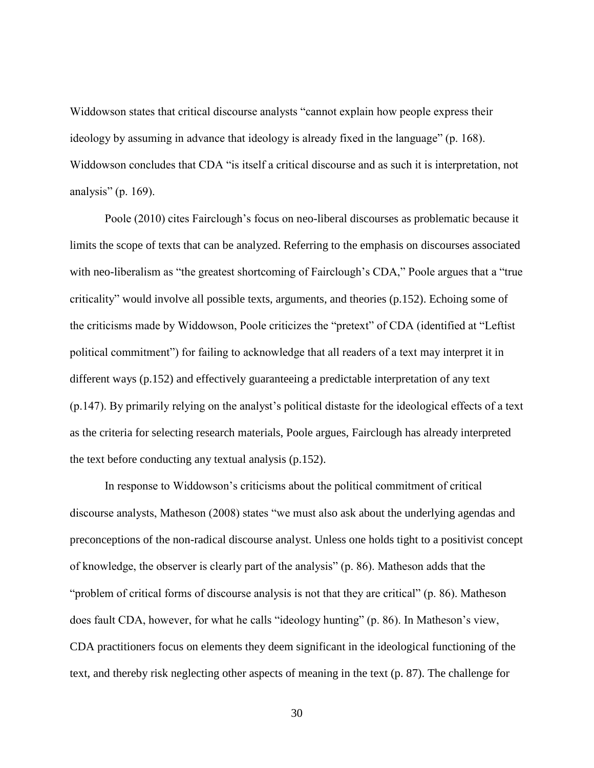Widdowson states that critical discourse analysts "cannot explain how people express their ideology by assuming in advance that ideology is already fixed in the language" (p. 168). Widdowson concludes that CDA "is itself a critical discourse and as such it is interpretation, not analysis" (p. 169).

Poole (2010) cites Fairclough's focus on neo-liberal discourses as problematic because it limits the scope of texts that can be analyzed. Referring to the emphasis on discourses associated with neo-liberalism as "the greatest shortcoming of Fairclough's CDA," Poole argues that a "true criticality" would involve all possible texts, arguments, and theories (p.152). Echoing some of the criticisms made by Widdowson, Poole criticizes the "pretext" of CDA (identified at "Leftist political commitment") for failing to acknowledge that all readers of a text may interpret it in different ways (p.152) and effectively guaranteeing a predictable interpretation of any text (p.147). By primarily relying on the analyst's political distaste for the ideological effects of a text as the criteria for selecting research materials, Poole argues, Fairclough has already interpreted the text before conducting any textual analysis (p.152).

In response to Widdowson's criticisms about the political commitment of critical discourse analysts, Matheson (2008) states "we must also ask about the underlying agendas and preconceptions of the non-radical discourse analyst. Unless one holds tight to a positivist concept of knowledge, the observer is clearly part of the analysis" (p. 86). Matheson adds that the "problem of critical forms of discourse analysis is not that they are critical" (p. 86). Matheson does fault CDA, however, for what he calls "ideology hunting" (p. 86). In Matheson's view, CDA practitioners focus on elements they deem significant in the ideological functioning of the text, and thereby risk neglecting other aspects of meaning in the text (p. 87). The challenge for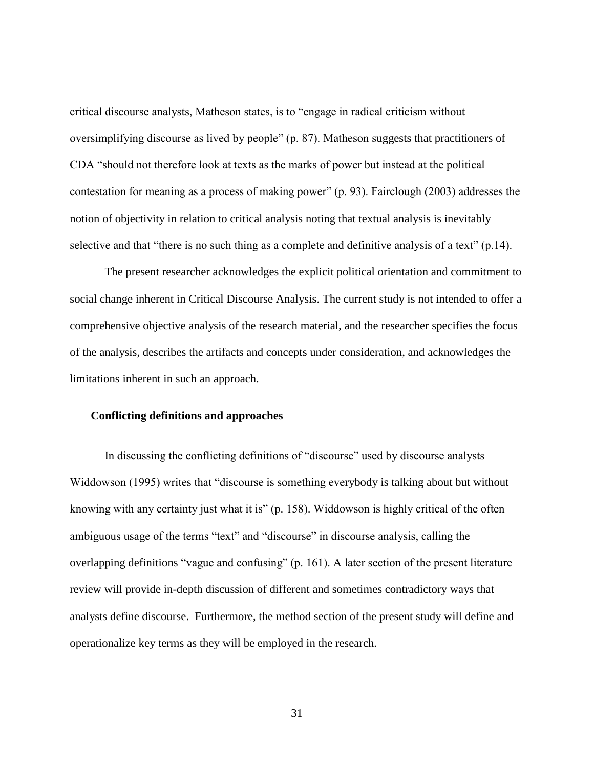critical discourse analysts, Matheson states, is to "engage in radical criticism without oversimplifying discourse as lived by people" (p. 87). Matheson suggests that practitioners of CDA "should not therefore look at texts as the marks of power but instead at the political contestation for meaning as a process of making power" (p. 93). Fairclough (2003) addresses the notion of objectivity in relation to critical analysis noting that textual analysis is inevitably selective and that "there is no such thing as a complete and definitive analysis of a text" (p.14).

The present researcher acknowledges the explicit political orientation and commitment to social change inherent in Critical Discourse Analysis. The current study is not intended to offer a comprehensive objective analysis of the research material, and the researcher specifies the focus of the analysis, describes the artifacts and concepts under consideration, and acknowledges the limitations inherent in such an approach.

## **Conflicting definitions and approaches**

In discussing the conflicting definitions of "discourse" used by discourse analysts Widdowson (1995) writes that "discourse is something everybody is talking about but without knowing with any certainty just what it is" (p. 158). Widdowson is highly critical of the often ambiguous usage of the terms "text" and "discourse" in discourse analysis, calling the overlapping definitions "vague and confusing" (p. 161). A later section of the present literature review will provide in-depth discussion of different and sometimes contradictory ways that analysts define discourse. Furthermore, the method section of the present study will define and operationalize key terms as they will be employed in the research.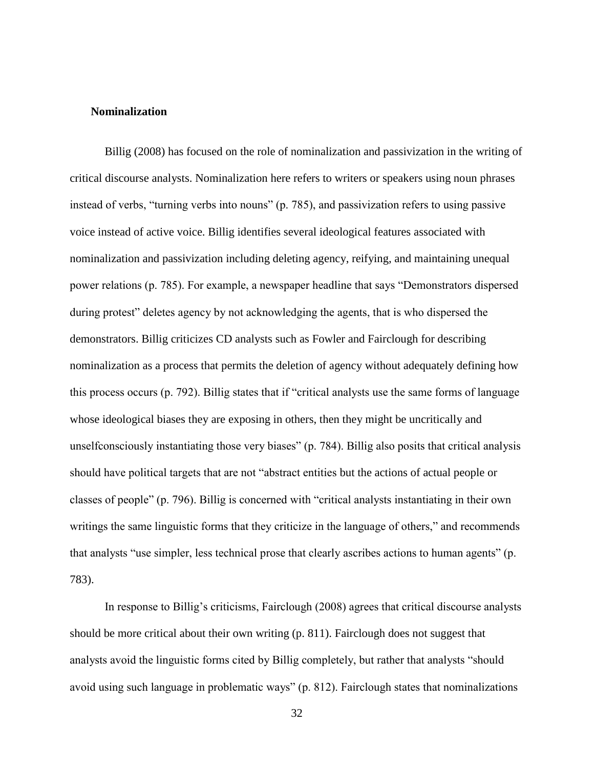## **Nominalization**

Billig (2008) has focused on the role of nominalization and passivization in the writing of critical discourse analysts. Nominalization here refers to writers or speakers using noun phrases instead of verbs, "turning verbs into nouns" (p. 785), and passivization refers to using passive voice instead of active voice. Billig identifies several ideological features associated with nominalization and passivization including deleting agency, reifying, and maintaining unequal power relations (p. 785). For example, a newspaper headline that says "Demonstrators dispersed during protest" deletes agency by not acknowledging the agents, that is who dispersed the demonstrators. Billig criticizes CD analysts such as Fowler and Fairclough for describing nominalization as a process that permits the deletion of agency without adequately defining how this process occurs (p. 792). Billig states that if "critical analysts use the same forms of language whose ideological biases they are exposing in others, then they might be uncritically and unselfconsciously instantiating those very biases" (p. 784). Billig also posits that critical analysis should have political targets that are not "abstract entities but the actions of actual people or classes of people" (p. 796). Billig is concerned with "critical analysts instantiating in their own writings the same linguistic forms that they criticize in the language of others," and recommends that analysts "use simpler, less technical prose that clearly ascribes actions to human agents" (p. 783).

In response to Billig's criticisms, Fairclough (2008) agrees that critical discourse analysts should be more critical about their own writing (p. 811). Fairclough does not suggest that analysts avoid the linguistic forms cited by Billig completely, but rather that analysts "should avoid using such language in problematic ways" (p. 812). Fairclough states that nominalizations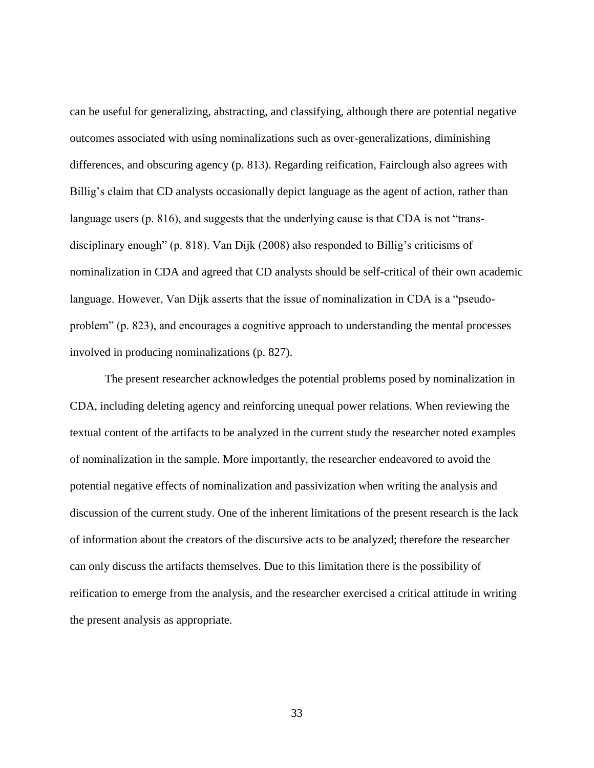can be useful for generalizing, abstracting, and classifying, although there are potential negative outcomes associated with using nominalizations such as over-generalizations, diminishing differences, and obscuring agency (p. 813). Regarding reification, Fairclough also agrees with Billig's claim that CD analysts occasionally depict language as the agent of action, rather than language users (p. 816), and suggests that the underlying cause is that CDA is not "transdisciplinary enough" (p. 818). Van Dijk (2008) also responded to Billig's criticisms of nominalization in CDA and agreed that CD analysts should be self-critical of their own academic language. However, Van Dijk asserts that the issue of nominalization in CDA is a "pseudoproblem" (p. 823), and encourages a cognitive approach to understanding the mental processes involved in producing nominalizations (p. 827).

The present researcher acknowledges the potential problems posed by nominalization in CDA, including deleting agency and reinforcing unequal power relations. When reviewing the textual content of the artifacts to be analyzed in the current study the researcher noted examples of nominalization in the sample. More importantly, the researcher endeavored to avoid the potential negative effects of nominalization and passivization when writing the analysis and discussion of the current study. One of the inherent limitations of the present research is the lack of information about the creators of the discursive acts to be analyzed; therefore the researcher can only discuss the artifacts themselves. Due to this limitation there is the possibility of reification to emerge from the analysis, and the researcher exercised a critical attitude in writing the present analysis as appropriate.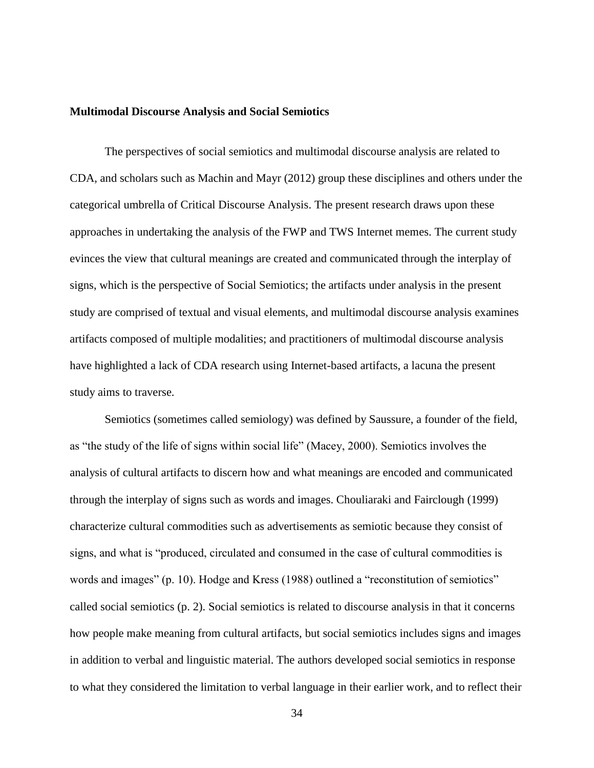#### **Multimodal Discourse Analysis and Social Semiotics**

The perspectives of social semiotics and multimodal discourse analysis are related to CDA, and scholars such as Machin and Mayr (2012) group these disciplines and others under the categorical umbrella of Critical Discourse Analysis. The present research draws upon these approaches in undertaking the analysis of the FWP and TWS Internet memes. The current study evinces the view that cultural meanings are created and communicated through the interplay of signs, which is the perspective of Social Semiotics; the artifacts under analysis in the present study are comprised of textual and visual elements, and multimodal discourse analysis examines artifacts composed of multiple modalities; and practitioners of multimodal discourse analysis have highlighted a lack of CDA research using Internet-based artifacts, a lacuna the present study aims to traverse.

Semiotics (sometimes called semiology) was defined by Saussure, a founder of the field, as "the study of the life of signs within social life" (Macey, 2000). Semiotics involves the analysis of cultural artifacts to discern how and what meanings are encoded and communicated through the interplay of signs such as words and images. Chouliaraki and Fairclough (1999) characterize cultural commodities such as advertisements as semiotic because they consist of signs, and what is "produced, circulated and consumed in the case of cultural commodities is words and images" (p. 10). Hodge and Kress (1988) outlined a "reconstitution of semiotics" called social semiotics (p. 2). Social semiotics is related to discourse analysis in that it concerns how people make meaning from cultural artifacts, but social semiotics includes signs and images in addition to verbal and linguistic material. The authors developed social semiotics in response to what they considered the limitation to verbal language in their earlier work, and to reflect their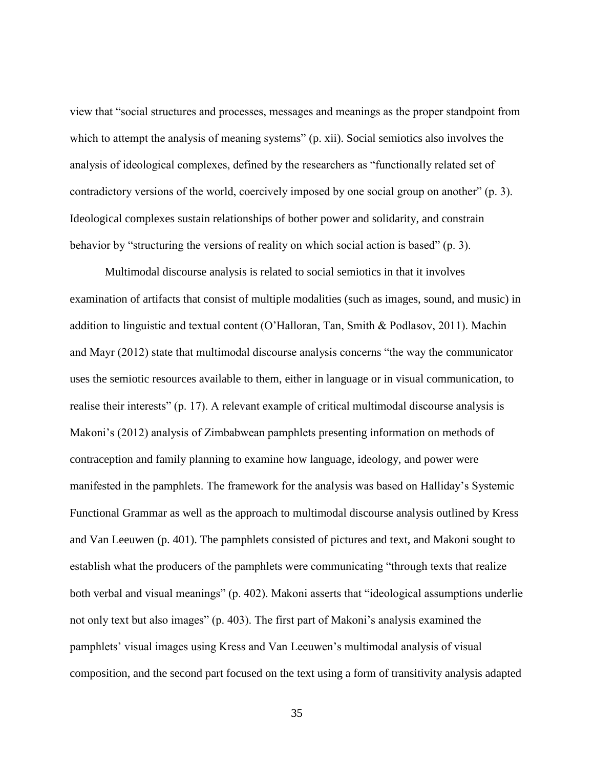view that "social structures and processes, messages and meanings as the proper standpoint from which to attempt the analysis of meaning systems" (p. xii). Social semiotics also involves the analysis of ideological complexes, defined by the researchers as "functionally related set of contradictory versions of the world, coercively imposed by one social group on another" (p. 3). Ideological complexes sustain relationships of bother power and solidarity, and constrain behavior by "structuring the versions of reality on which social action is based" (p. 3).

Multimodal discourse analysis is related to social semiotics in that it involves examination of artifacts that consist of multiple modalities (such as images, sound, and music) in addition to linguistic and textual content (O'Halloran, Tan, Smith & Podlasov, 2011). Machin and Mayr (2012) state that multimodal discourse analysis concerns "the way the communicator uses the semiotic resources available to them, either in language or in visual communication, to realise their interests" (p. 17). A relevant example of critical multimodal discourse analysis is Makoni's (2012) analysis of Zimbabwean pamphlets presenting information on methods of contraception and family planning to examine how language, ideology, and power were manifested in the pamphlets. The framework for the analysis was based on Halliday's Systemic Functional Grammar as well as the approach to multimodal discourse analysis outlined by Kress and Van Leeuwen (p. 401). The pamphlets consisted of pictures and text, and Makoni sought to establish what the producers of the pamphlets were communicating "through texts that realize both verbal and visual meanings" (p. 402). Makoni asserts that "ideological assumptions underlie not only text but also images" (p. 403). The first part of Makoni's analysis examined the pamphlets' visual images using Kress and Van Leeuwen's multimodal analysis of visual composition, and the second part focused on the text using a form of transitivity analysis adapted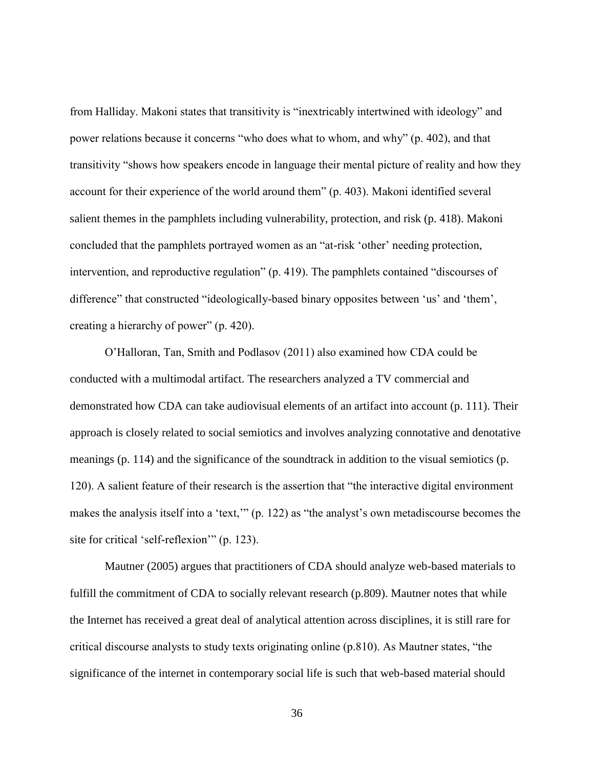from Halliday. Makoni states that transitivity is "inextricably intertwined with ideology" and power relations because it concerns "who does what to whom, and why" (p. 402), and that transitivity "shows how speakers encode in language their mental picture of reality and how they account for their experience of the world around them" (p. 403). Makoni identified several salient themes in the pamphlets including vulnerability, protection, and risk (p. 418). Makoni concluded that the pamphlets portrayed women as an "at-risk 'other' needing protection, intervention, and reproductive regulation" (p. 419). The pamphlets contained "discourses of difference" that constructed "ideologically-based binary opposites between 'us' and 'them', creating a hierarchy of power" (p. 420).

O'Halloran, Tan, Smith and Podlasov (2011) also examined how CDA could be conducted with a multimodal artifact. The researchers analyzed a TV commercial and demonstrated how CDA can take audiovisual elements of an artifact into account (p. 111). Their approach is closely related to social semiotics and involves analyzing connotative and denotative meanings (p. 114) and the significance of the soundtrack in addition to the visual semiotics (p. 120). A salient feature of their research is the assertion that "the interactive digital environment makes the analysis itself into a 'text,'" (p. 122) as "the analyst's own metadiscourse becomes the site for critical 'self-reflexion'" (p. 123).

Mautner (2005) argues that practitioners of CDA should analyze web-based materials to fulfill the commitment of CDA to socially relevant research (p.809). Mautner notes that while the Internet has received a great deal of analytical attention across disciplines, it is still rare for critical discourse analysts to study texts originating online (p.810). As Mautner states, "the significance of the internet in contemporary social life is such that web-based material should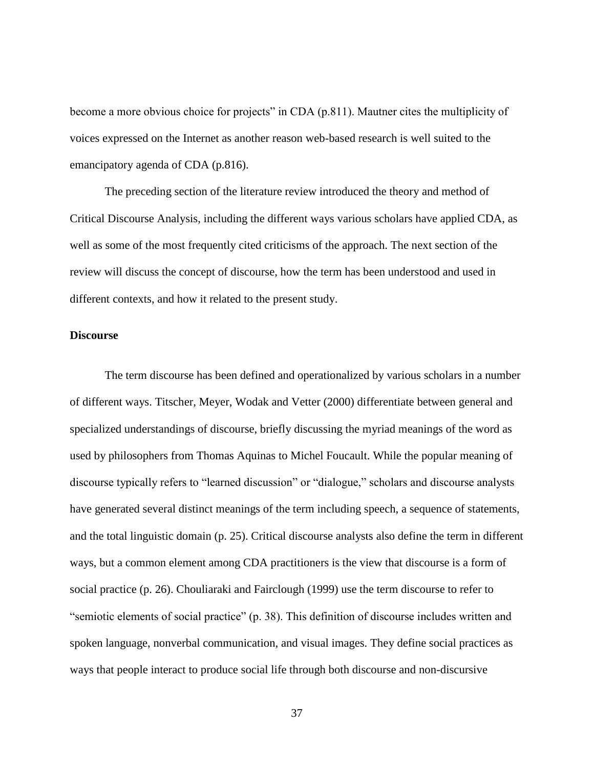become a more obvious choice for projects" in CDA (p.811). Mautner cites the multiplicity of voices expressed on the Internet as another reason web-based research is well suited to the emancipatory agenda of CDA (p.816).

The preceding section of the literature review introduced the theory and method of Critical Discourse Analysis, including the different ways various scholars have applied CDA, as well as some of the most frequently cited criticisms of the approach. The next section of the review will discuss the concept of discourse, how the term has been understood and used in different contexts, and how it related to the present study.

#### **Discourse**

The term discourse has been defined and operationalized by various scholars in a number of different ways. Titscher, Meyer, Wodak and Vetter (2000) differentiate between general and specialized understandings of discourse, briefly discussing the myriad meanings of the word as used by philosophers from Thomas Aquinas to Michel Foucault. While the popular meaning of discourse typically refers to "learned discussion" or "dialogue," scholars and discourse analysts have generated several distinct meanings of the term including speech, a sequence of statements, and the total linguistic domain (p. 25). Critical discourse analysts also define the term in different ways, but a common element among CDA practitioners is the view that discourse is a form of social practice (p. 26). Chouliaraki and Fairclough (1999) use the term discourse to refer to "semiotic elements of social practice" (p. 38). This definition of discourse includes written and spoken language, nonverbal communication, and visual images. They define social practices as ways that people interact to produce social life through both discourse and non-discursive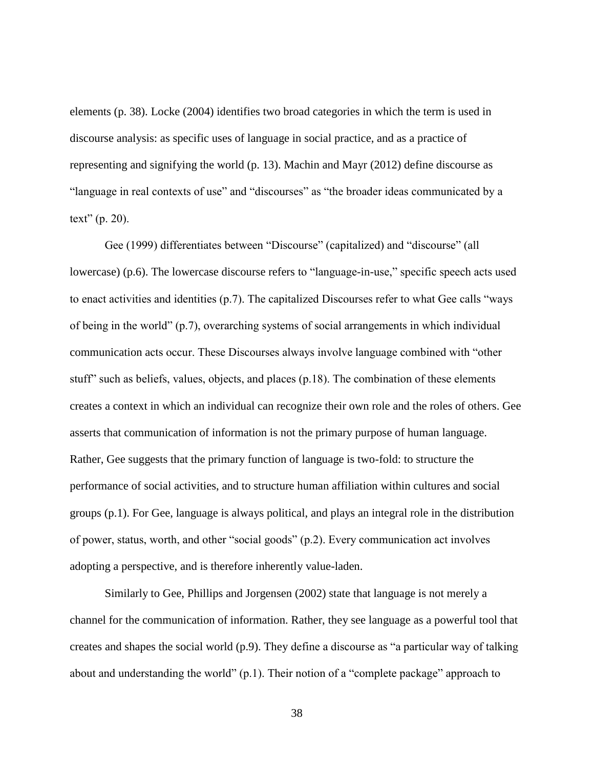elements (p. 38). Locke (2004) identifies two broad categories in which the term is used in discourse analysis: as specific uses of language in social practice, and as a practice of representing and signifying the world (p. 13). Machin and Mayr (2012) define discourse as "language in real contexts of use" and "discourses" as "the broader ideas communicated by a text" (p. 20).

Gee (1999) differentiates between "Discourse" (capitalized) and "discourse" (all lowercase) (p.6). The lowercase discourse refers to "language-in-use," specific speech acts used to enact activities and identities (p.7). The capitalized Discourses refer to what Gee calls "ways of being in the world" (p.7), overarching systems of social arrangements in which individual communication acts occur. These Discourses always involve language combined with "other stuff" such as beliefs, values, objects, and places (p.18). The combination of these elements creates a context in which an individual can recognize their own role and the roles of others. Gee asserts that communication of information is not the primary purpose of human language. Rather, Gee suggests that the primary function of language is two-fold: to structure the performance of social activities, and to structure human affiliation within cultures and social groups (p.1). For Gee, language is always political, and plays an integral role in the distribution of power, status, worth, and other "social goods" (p.2). Every communication act involves adopting a perspective, and is therefore inherently value-laden.

Similarly to Gee, Phillips and Jorgensen (2002) state that language is not merely a channel for the communication of information. Rather, they see language as a powerful tool that creates and shapes the social world (p.9). They define a discourse as "a particular way of talking about and understanding the world" (p.1). Their notion of a "complete package" approach to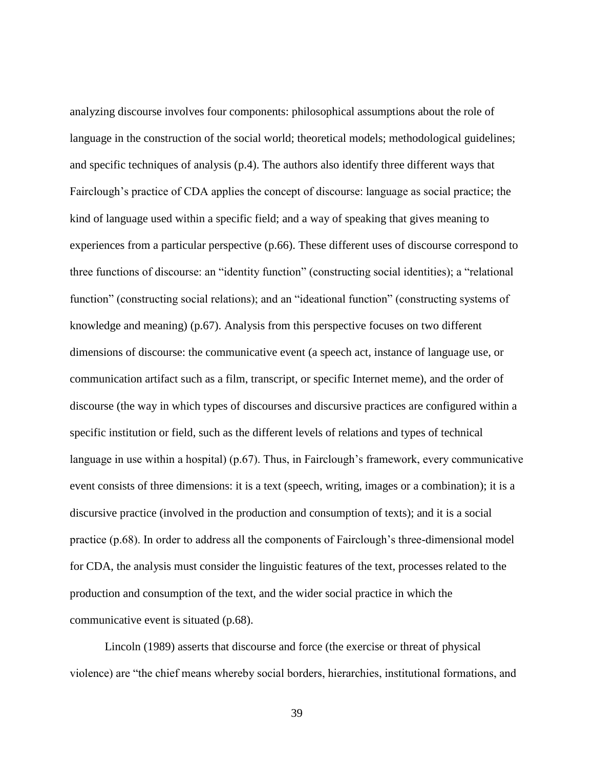analyzing discourse involves four components: philosophical assumptions about the role of language in the construction of the social world; theoretical models; methodological guidelines; and specific techniques of analysis (p.4). The authors also identify three different ways that Fairclough's practice of CDA applies the concept of discourse: language as social practice; the kind of language used within a specific field; and a way of speaking that gives meaning to experiences from a particular perspective (p.66). These different uses of discourse correspond to three functions of discourse: an "identity function" (constructing social identities); a "relational function" (constructing social relations); and an "ideational function" (constructing systems of knowledge and meaning) (p.67). Analysis from this perspective focuses on two different dimensions of discourse: the communicative event (a speech act, instance of language use, or communication artifact such as a film, transcript, or specific Internet meme), and the order of discourse (the way in which types of discourses and discursive practices are configured within a specific institution or field, such as the different levels of relations and types of technical language in use within a hospital) (p.67). Thus, in Fairclough's framework, every communicative event consists of three dimensions: it is a text (speech, writing, images or a combination); it is a discursive practice (involved in the production and consumption of texts); and it is a social practice (p.68). In order to address all the components of Fairclough's three-dimensional model for CDA, the analysis must consider the linguistic features of the text, processes related to the production and consumption of the text, and the wider social practice in which the communicative event is situated (p.68).

Lincoln (1989) asserts that discourse and force (the exercise or threat of physical violence) are "the chief means whereby social borders, hierarchies, institutional formations, and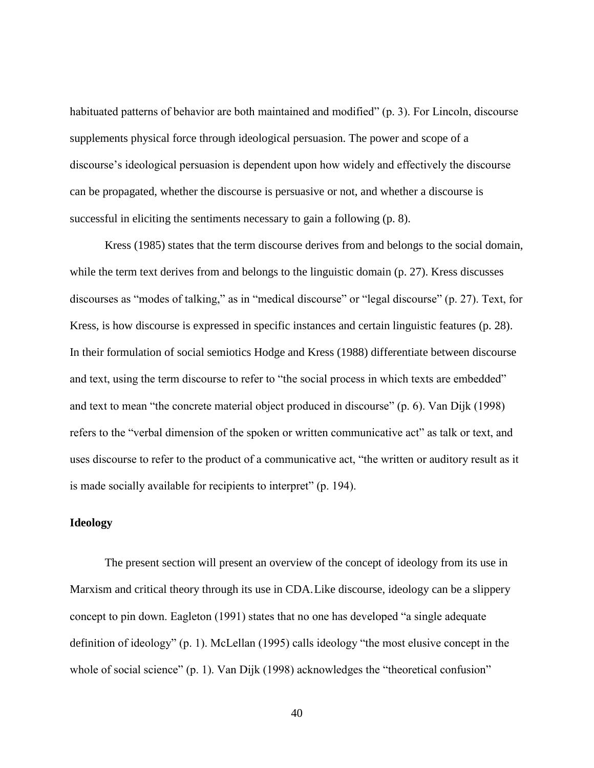habituated patterns of behavior are both maintained and modified" (p. 3). For Lincoln, discourse supplements physical force through ideological persuasion. The power and scope of a discourse's ideological persuasion is dependent upon how widely and effectively the discourse can be propagated, whether the discourse is persuasive or not, and whether a discourse is successful in eliciting the sentiments necessary to gain a following (p. 8).

Kress (1985) states that the term discourse derives from and belongs to the social domain, while the term text derives from and belongs to the linguistic domain (p. 27). Kress discusses discourses as "modes of talking," as in "medical discourse" or "legal discourse" (p. 27). Text, for Kress, is how discourse is expressed in specific instances and certain linguistic features (p. 28). In their formulation of social semiotics Hodge and Kress (1988) differentiate between discourse and text, using the term discourse to refer to "the social process in which texts are embedded" and text to mean "the concrete material object produced in discourse" (p. 6). Van Dijk (1998) refers to the "verbal dimension of the spoken or written communicative act" as talk or text, and uses discourse to refer to the product of a communicative act, "the written or auditory result as it is made socially available for recipients to interpret" (p. 194).

### **Ideology**

The present section will present an overview of the concept of ideology from its use in Marxism and critical theory through its use in CDA.Like discourse, ideology can be a slippery concept to pin down. Eagleton (1991) states that no one has developed "a single adequate definition of ideology" (p. 1). McLellan (1995) calls ideology "the most elusive concept in the whole of social science" (p. 1). Van Dijk (1998) acknowledges the "theoretical confusion"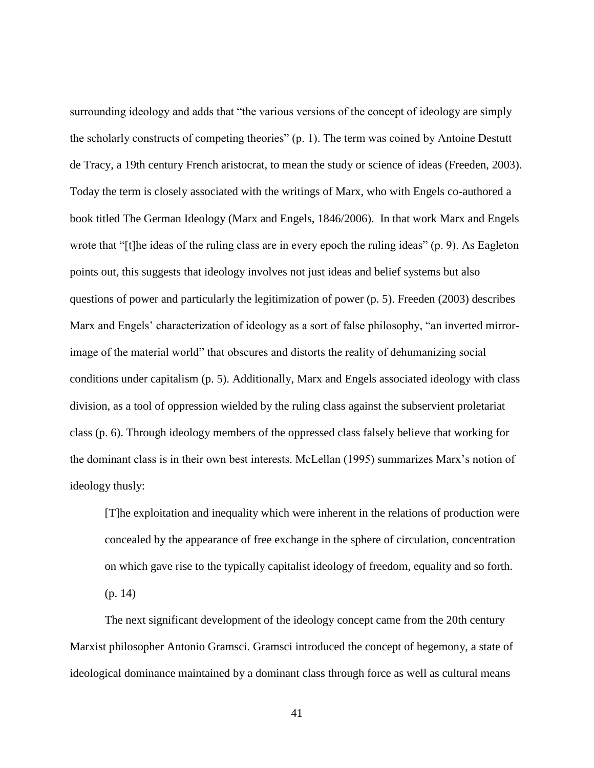surrounding ideology and adds that "the various versions of the concept of ideology are simply the scholarly constructs of competing theories" (p. 1). The term was coined by Antoine Destutt de Tracy, a 19th century French aristocrat, to mean the study or science of ideas (Freeden, 2003). Today the term is closely associated with the writings of Marx, who with Engels co-authored a book titled The German Ideology (Marx and Engels, 1846/2006). In that work Marx and Engels wrote that "[t]he ideas of the ruling class are in every epoch the ruling ideas" (p. 9). As Eagleton points out, this suggests that ideology involves not just ideas and belief systems but also questions of power and particularly the legitimization of power (p. 5). Freeden (2003) describes Marx and Engels' characterization of ideology as a sort of false philosophy, "an inverted mirrorimage of the material world" that obscures and distorts the reality of dehumanizing social conditions under capitalism (p. 5). Additionally, Marx and Engels associated ideology with class division, as a tool of oppression wielded by the ruling class against the subservient proletariat class (p. 6). Through ideology members of the oppressed class falsely believe that working for the dominant class is in their own best interests. McLellan (1995) summarizes Marx's notion of ideology thusly:

[T]he exploitation and inequality which were inherent in the relations of production were concealed by the appearance of free exchange in the sphere of circulation, concentration on which gave rise to the typically capitalist ideology of freedom, equality and so forth. (p. 14)

The next significant development of the ideology concept came from the 20th century Marxist philosopher Antonio Gramsci. Gramsci introduced the concept of hegemony, a state of ideological dominance maintained by a dominant class through force as well as cultural means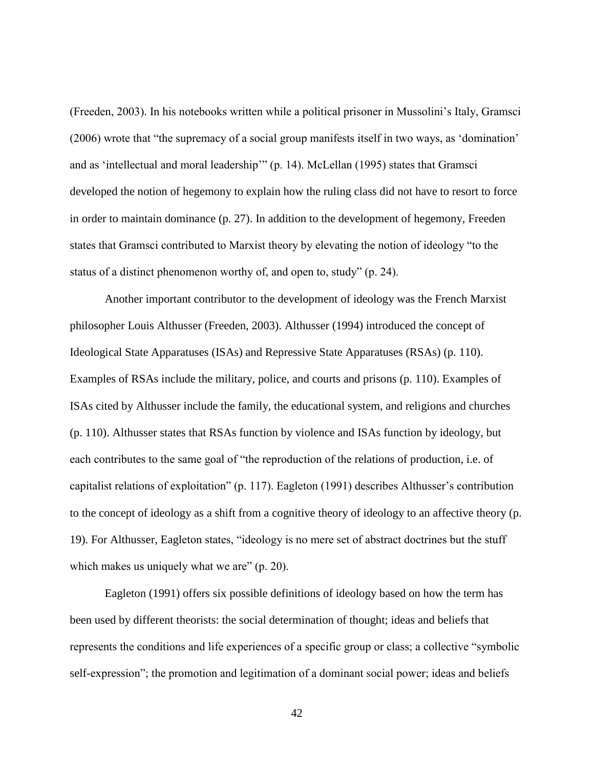(Freeden, 2003). In his notebooks written while a political prisoner in Mussolini's Italy, Gramsci (2006) wrote that "the supremacy of a social group manifests itself in two ways, as 'domination' and as 'intellectual and moral leadership'" (p. 14). McLellan (1995) states that Gramsci developed the notion of hegemony to explain how the ruling class did not have to resort to force in order to maintain dominance (p. 27). In addition to the development of hegemony, Freeden states that Gramsci contributed to Marxist theory by elevating the notion of ideology "to the status of a distinct phenomenon worthy of, and open to, study" (p. 24).

Another important contributor to the development of ideology was the French Marxist philosopher Louis Althusser (Freeden, 2003). Althusser (1994) introduced the concept of Ideological State Apparatuses (ISAs) and Repressive State Apparatuses (RSAs) (p. 110). Examples of RSAs include the military, police, and courts and prisons (p. 110). Examples of ISAs cited by Althusser include the family, the educational system, and religions and churches (p. 110). Althusser states that RSAs function by violence and ISAs function by ideology, but each contributes to the same goal of "the reproduction of the relations of production, i.e. of capitalist relations of exploitation" (p. 117). Eagleton (1991) describes Althusser's contribution to the concept of ideology as a shift from a cognitive theory of ideology to an affective theory (p. 19). For Althusser, Eagleton states, "ideology is no mere set of abstract doctrines but the stuff which makes us uniquely what we are" (p. 20).

Eagleton (1991) offers six possible definitions of ideology based on how the term has been used by different theorists: the social determination of thought; ideas and beliefs that represents the conditions and life experiences of a specific group or class; a collective "symbolic self-expression"; the promotion and legitimation of a dominant social power; ideas and beliefs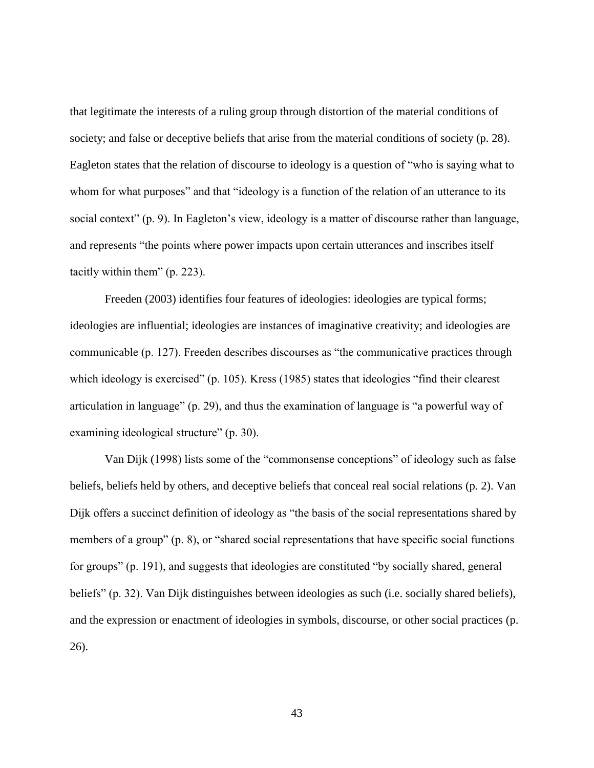that legitimate the interests of a ruling group through distortion of the material conditions of society; and false or deceptive beliefs that arise from the material conditions of society (p. 28). Eagleton states that the relation of discourse to ideology is a question of "who is saying what to whom for what purposes" and that "ideology is a function of the relation of an utterance to its social context" (p. 9). In Eagleton's view, ideology is a matter of discourse rather than language, and represents "the points where power impacts upon certain utterances and inscribes itself tacitly within them" (p. 223).

Freeden (2003) identifies four features of ideologies: ideologies are typical forms; ideologies are influential; ideologies are instances of imaginative creativity; and ideologies are communicable (p. 127). Freeden describes discourses as "the communicative practices through which ideology is exercised" (p. 105). Kress (1985) states that ideologies "find their clearest articulation in language" (p. 29), and thus the examination of language is "a powerful way of examining ideological structure" (p. 30).

Van Dijk (1998) lists some of the "commonsense conceptions" of ideology such as false beliefs, beliefs held by others, and deceptive beliefs that conceal real social relations (p. 2). Van Dijk offers a succinct definition of ideology as "the basis of the social representations shared by members of a group" (p. 8), or "shared social representations that have specific social functions for groups" (p. 191), and suggests that ideologies are constituted "by socially shared, general beliefs" (p. 32). Van Dijk distinguishes between ideologies as such (i.e. socially shared beliefs), and the expression or enactment of ideologies in symbols, discourse, or other social practices (p. 26).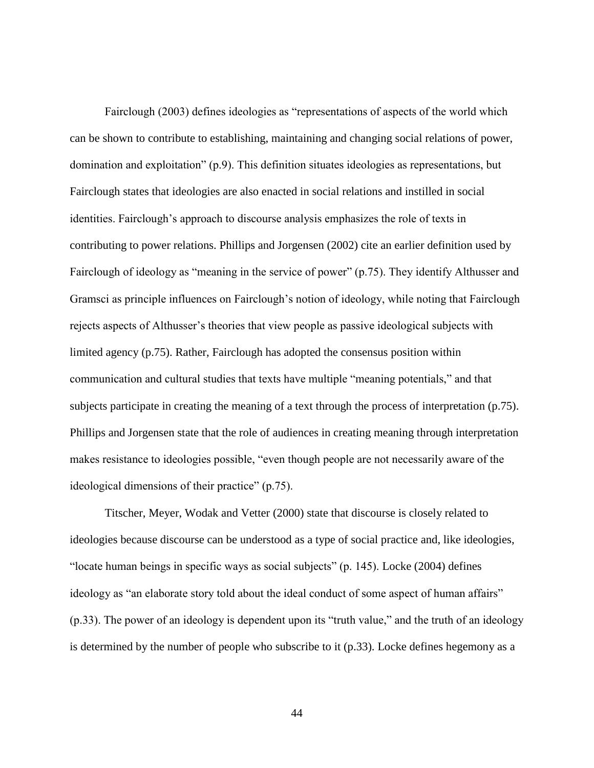Fairclough (2003) defines ideologies as "representations of aspects of the world which can be shown to contribute to establishing, maintaining and changing social relations of power, domination and exploitation" (p.9). This definition situates ideologies as representations, but Fairclough states that ideologies are also enacted in social relations and instilled in social identities. Fairclough's approach to discourse analysis emphasizes the role of texts in contributing to power relations. Phillips and Jorgensen (2002) cite an earlier definition used by Fairclough of ideology as "meaning in the service of power" (p.75). They identify Althusser and Gramsci as principle influences on Fairclough's notion of ideology, while noting that Fairclough rejects aspects of Althusser's theories that view people as passive ideological subjects with limited agency (p.75). Rather, Fairclough has adopted the consensus position within communication and cultural studies that texts have multiple "meaning potentials," and that subjects participate in creating the meaning of a text through the process of interpretation (p.75). Phillips and Jorgensen state that the role of audiences in creating meaning through interpretation makes resistance to ideologies possible, "even though people are not necessarily aware of the ideological dimensions of their practice" (p.75).

Titscher, Meyer, Wodak and Vetter (2000) state that discourse is closely related to ideologies because discourse can be understood as a type of social practice and, like ideologies, "locate human beings in specific ways as social subjects" (p. 145). Locke (2004) defines ideology as "an elaborate story told about the ideal conduct of some aspect of human affairs" (p.33). The power of an ideology is dependent upon its "truth value," and the truth of an ideology is determined by the number of people who subscribe to it (p.33). Locke defines hegemony as a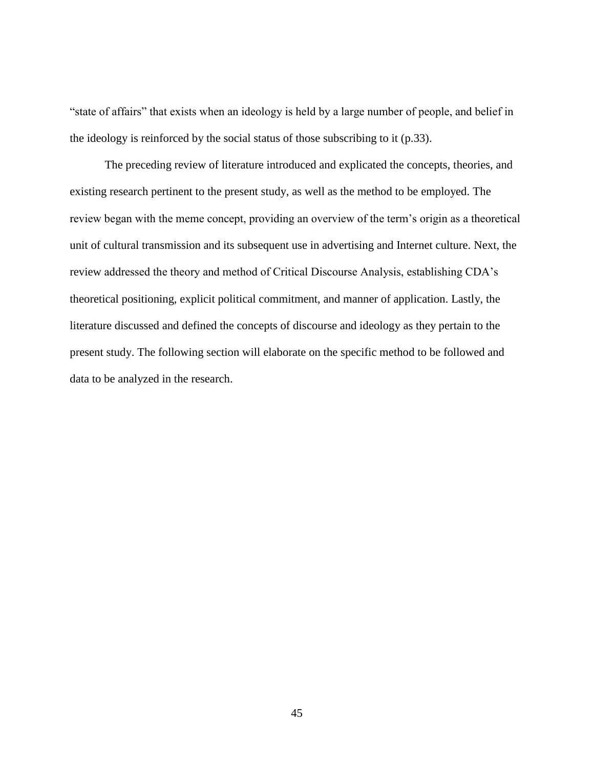"state of affairs" that exists when an ideology is held by a large number of people, and belief in the ideology is reinforced by the social status of those subscribing to it (p.33).

The preceding review of literature introduced and explicated the concepts, theories, and existing research pertinent to the present study, as well as the method to be employed. The review began with the meme concept, providing an overview of the term's origin as a theoretical unit of cultural transmission and its subsequent use in advertising and Internet culture. Next, the review addressed the theory and method of Critical Discourse Analysis, establishing CDA's theoretical positioning, explicit political commitment, and manner of application. Lastly, the literature discussed and defined the concepts of discourse and ideology as they pertain to the present study. The following section will elaborate on the specific method to be followed and data to be analyzed in the research.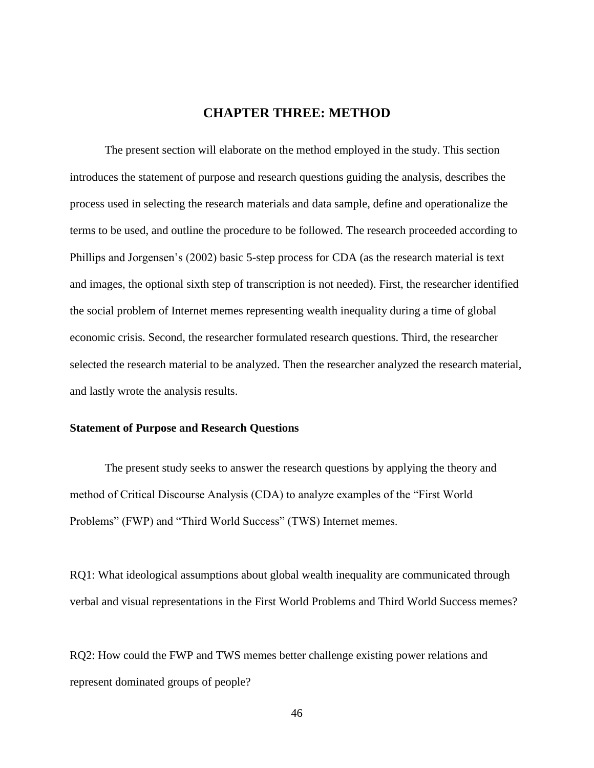# **CHAPTER THREE: METHOD**

The present section will elaborate on the method employed in the study. This section introduces the statement of purpose and research questions guiding the analysis, describes the process used in selecting the research materials and data sample, define and operationalize the terms to be used, and outline the procedure to be followed. The research proceeded according to Phillips and Jorgensen's (2002) basic 5-step process for CDA (as the research material is text and images, the optional sixth step of transcription is not needed). First, the researcher identified the social problem of Internet memes representing wealth inequality during a time of global economic crisis. Second, the researcher formulated research questions. Third, the researcher selected the research material to be analyzed. Then the researcher analyzed the research material, and lastly wrote the analysis results.

#### **Statement of Purpose and Research Questions**

The present study seeks to answer the research questions by applying the theory and method of Critical Discourse Analysis (CDA) to analyze examples of the "First World Problems" (FWP) and "Third World Success" (TWS) Internet memes.

RQ1: What ideological assumptions about global wealth inequality are communicated through verbal and visual representations in the First World Problems and Third World Success memes?

RQ2: How could the FWP and TWS memes better challenge existing power relations and represent dominated groups of people?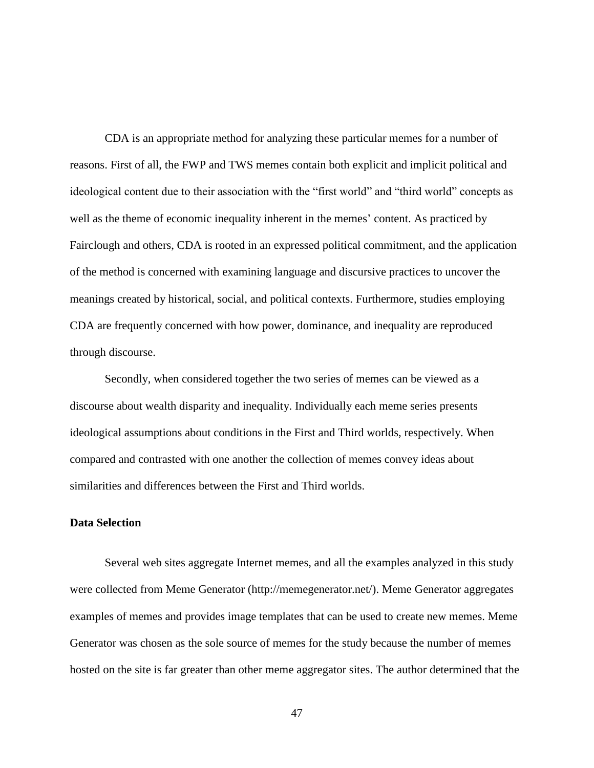CDA is an appropriate method for analyzing these particular memes for a number of reasons. First of all, the FWP and TWS memes contain both explicit and implicit political and ideological content due to their association with the "first world" and "third world" concepts as well as the theme of economic inequality inherent in the memes' content. As practiced by Fairclough and others, CDA is rooted in an expressed political commitment, and the application of the method is concerned with examining language and discursive practices to uncover the meanings created by historical, social, and political contexts. Furthermore, studies employing CDA are frequently concerned with how power, dominance, and inequality are reproduced through discourse.

Secondly, when considered together the two series of memes can be viewed as a discourse about wealth disparity and inequality. Individually each meme series presents ideological assumptions about conditions in the First and Third worlds, respectively. When compared and contrasted with one another the collection of memes convey ideas about similarities and differences between the First and Third worlds.

#### **Data Selection**

Several web sites aggregate Internet memes, and all the examples analyzed in this study were collected from Meme Generator (http://memegenerator.net/). Meme Generator aggregates examples of memes and provides image templates that can be used to create new memes. Meme Generator was chosen as the sole source of memes for the study because the number of memes hosted on the site is far greater than other meme aggregator sites. The author determined that the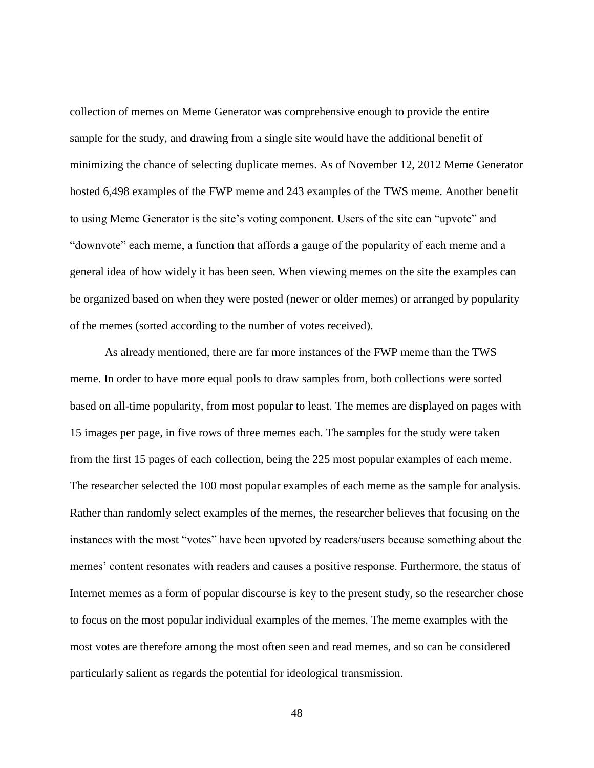collection of memes on Meme Generator was comprehensive enough to provide the entire sample for the study, and drawing from a single site would have the additional benefit of minimizing the chance of selecting duplicate memes. As of November 12, 2012 Meme Generator hosted 6,498 examples of the FWP meme and 243 examples of the TWS meme. Another benefit to using Meme Generator is the site's voting component. Users of the site can "upvote" and "downvote" each meme, a function that affords a gauge of the popularity of each meme and a general idea of how widely it has been seen. When viewing memes on the site the examples can be organized based on when they were posted (newer or older memes) or arranged by popularity of the memes (sorted according to the number of votes received).

As already mentioned, there are far more instances of the FWP meme than the TWS meme. In order to have more equal pools to draw samples from, both collections were sorted based on all-time popularity, from most popular to least. The memes are displayed on pages with 15 images per page, in five rows of three memes each. The samples for the study were taken from the first 15 pages of each collection, being the 225 most popular examples of each meme. The researcher selected the 100 most popular examples of each meme as the sample for analysis. Rather than randomly select examples of the memes, the researcher believes that focusing on the instances with the most "votes" have been upvoted by readers/users because something about the memes' content resonates with readers and causes a positive response. Furthermore, the status of Internet memes as a form of popular discourse is key to the present study, so the researcher chose to focus on the most popular individual examples of the memes. The meme examples with the most votes are therefore among the most often seen and read memes, and so can be considered particularly salient as regards the potential for ideological transmission.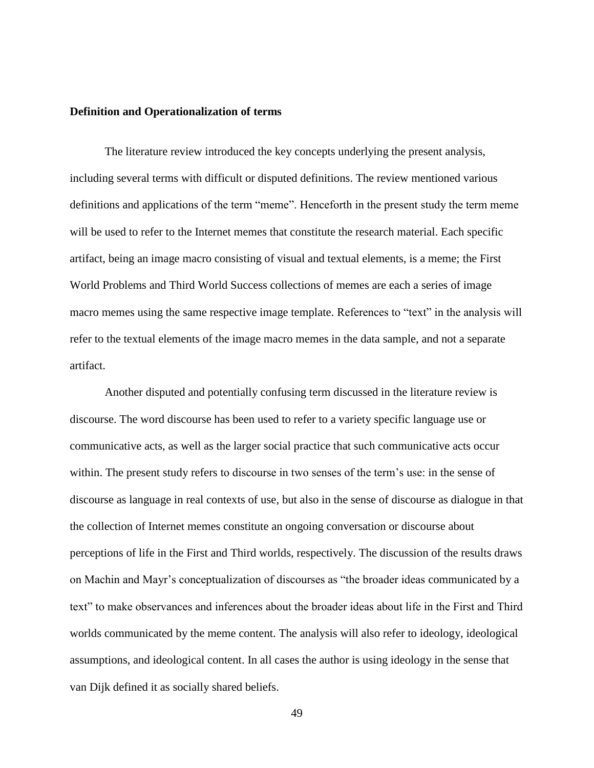#### **Definition and Operationalization of terms**

The literature review introduced the key concepts underlying the present analysis, including several terms with difficult or disputed definitions. The review mentioned various definitions and applications of the term "meme". Henceforth in the present study the term meme will be used to refer to the Internet memes that constitute the research material. Each specific artifact, being an image macro consisting of visual and textual elements, is a meme; the First World Problems and Third World Success collections of memes are each a series of image macro memes using the same respective image template. References to "text" in the analysis will refer to the textual elements of the image macro memes in the data sample, and not a separate artifact.

Another disputed and potentially confusing term discussed in the literature review is discourse. The word discourse has been used to refer to a variety specific language use or communicative acts, as well as the larger social practice that such communicative acts occur within. The present study refers to discourse in two senses of the term's use: in the sense of discourse as language in real contexts of use, but also in the sense of discourse as dialogue in that the collection of Internet memes constitute an ongoing conversation or discourse about perceptions of life in the First and Third worlds, respectively. The discussion of the results draws on Machin and Mayr's conceptualization of discourses as "the broader ideas communicated by a text" to make observances and inferences about the broader ideas about life in the First and Third worlds communicated by the meme content. The analysis will also refer to ideology, ideological assumptions, and ideological content. In all cases the author is using ideology in the sense that van Dijk defined it as socially shared beliefs.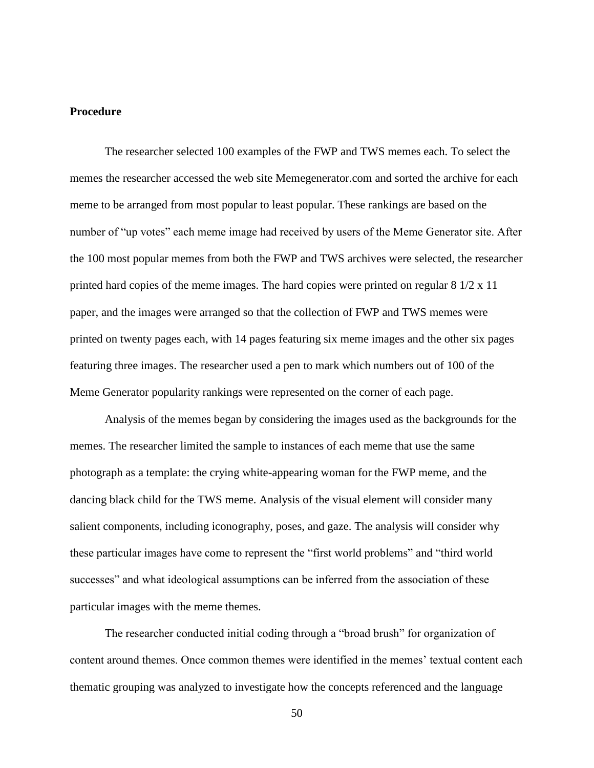## **Procedure**

The researcher selected 100 examples of the FWP and TWS memes each. To select the memes the researcher accessed the web site Memegenerator.com and sorted the archive for each meme to be arranged from most popular to least popular. These rankings are based on the number of "up votes" each meme image had received by users of the Meme Generator site. After the 100 most popular memes from both the FWP and TWS archives were selected, the researcher printed hard copies of the meme images. The hard copies were printed on regular 8 1/2 x 11 paper, and the images were arranged so that the collection of FWP and TWS memes were printed on twenty pages each, with 14 pages featuring six meme images and the other six pages featuring three images. The researcher used a pen to mark which numbers out of 100 of the Meme Generator popularity rankings were represented on the corner of each page.

Analysis of the memes began by considering the images used as the backgrounds for the memes. The researcher limited the sample to instances of each meme that use the same photograph as a template: the crying white-appearing woman for the FWP meme, and the dancing black child for the TWS meme. Analysis of the visual element will consider many salient components, including iconography, poses, and gaze. The analysis will consider why these particular images have come to represent the "first world problems" and "third world successes" and what ideological assumptions can be inferred from the association of these particular images with the meme themes.

The researcher conducted initial coding through a "broad brush" for organization of content around themes. Once common themes were identified in the memes' textual content each thematic grouping was analyzed to investigate how the concepts referenced and the language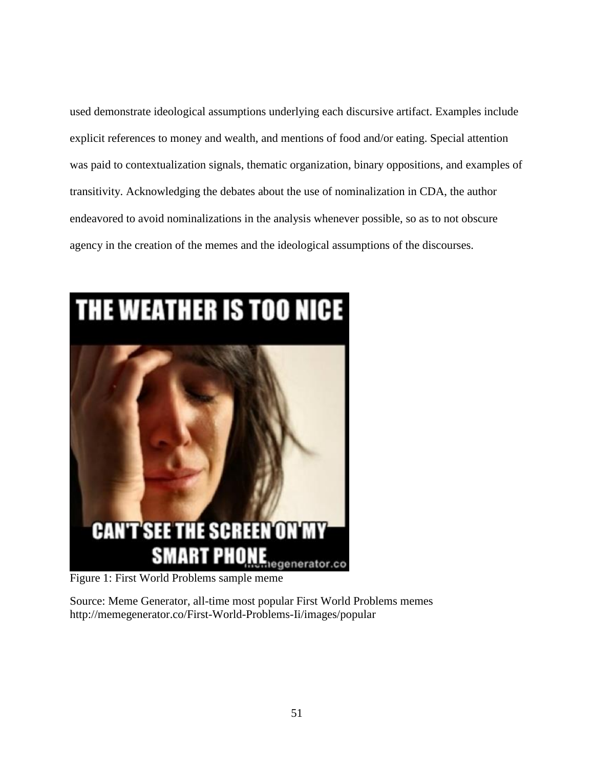used demonstrate ideological assumptions underlying each discursive artifact. Examples include explicit references to money and wealth, and mentions of food and/or eating. Special attention was paid to contextualization signals, thematic organization, binary oppositions, and examples of transitivity. Acknowledging the debates about the use of nominalization in CDA, the author endeavored to avoid nominalizations in the analysis whenever possible, so as to not obscure agency in the creation of the memes and the ideological assumptions of the discourses.



Figure 1: First World Problems sample meme

Source: Meme Generator, all-time most popular First World Problems memes http://memegenerator.co/First-World-Problems-Ii/images/popular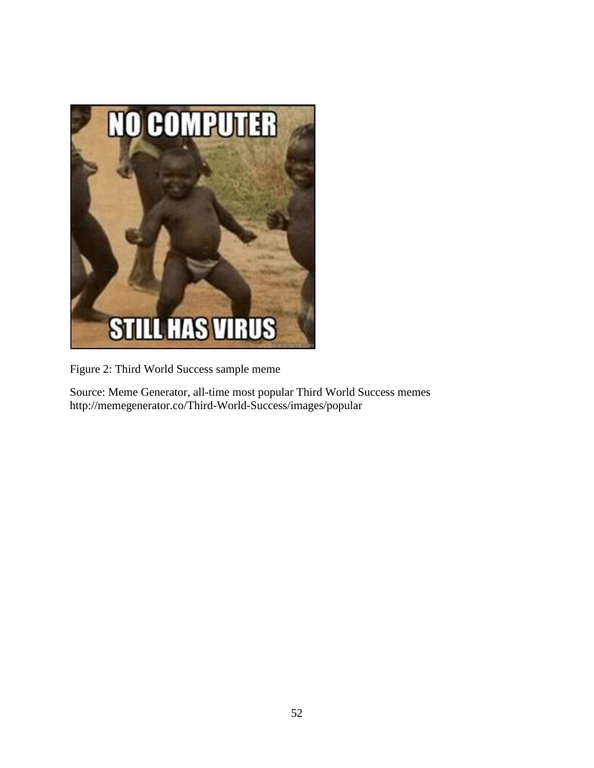

Figure 2: Third World Success sample meme

Source: Meme Generator, all-time most popular Third World Success memes http://memegenerator.co/Third-World-Success/images/popular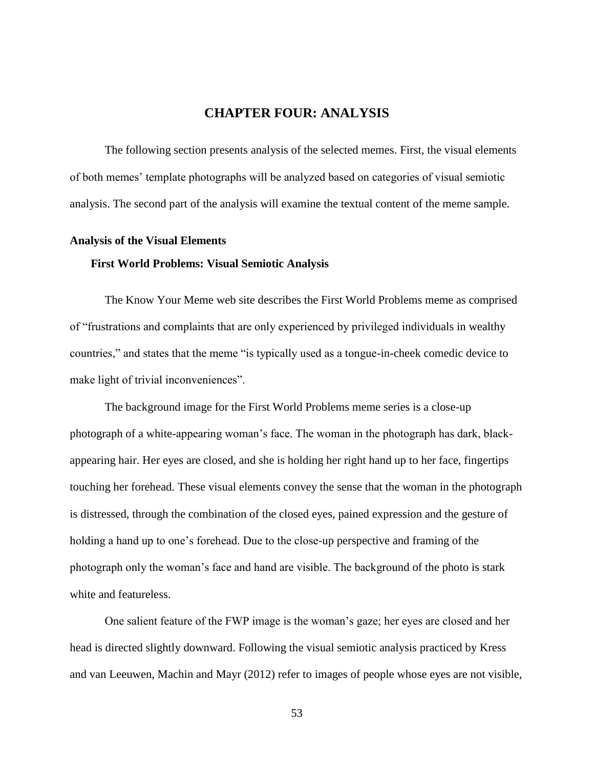# **CHAPTER FOUR: ANALYSIS**

The following section presents analysis of the selected memes. First, the visual elements of both memes' template photographs will be analyzed based on categories of visual semiotic analysis. The second part of the analysis will examine the textual content of the meme sample.

#### **Analysis of the Visual Elements**

#### **First World Problems: Visual Semiotic Analysis**

The Know Your Meme web site describes the First World Problems meme as comprised of "frustrations and complaints that are only experienced by privileged individuals in wealthy countries," and states that the meme "is typically used as a tongue-in-cheek comedic device to make light of trivial inconveniences".

The background image for the First World Problems meme series is a close-up photograph of a white-appearing woman's face. The woman in the photograph has dark, blackappearing hair. Her eyes are closed, and she is holding her right hand up to her face, fingertips touching her forehead. These visual elements convey the sense that the woman in the photograph is distressed, through the combination of the closed eyes, pained expression and the gesture of holding a hand up to one's forehead. Due to the close-up perspective and framing of the photograph only the woman's face and hand are visible. The background of the photo is stark white and featureless.

One salient feature of the FWP image is the woman's gaze; her eyes are closed and her head is directed slightly downward. Following the visual semiotic analysis practiced by Kress and van Leeuwen, Machin and Mayr (2012) refer to images of people whose eyes are not visible,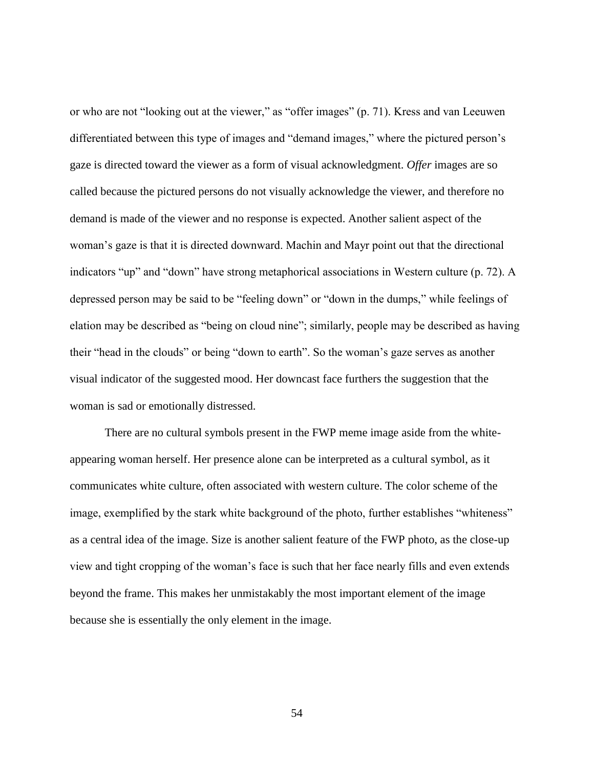or who are not "looking out at the viewer," as "offer images" (p. 71). Kress and van Leeuwen differentiated between this type of images and "demand images," where the pictured person's gaze is directed toward the viewer as a form of visual acknowledgment. *Offer* images are so called because the pictured persons do not visually acknowledge the viewer, and therefore no demand is made of the viewer and no response is expected. Another salient aspect of the woman's gaze is that it is directed downward. Machin and Mayr point out that the directional indicators "up" and "down" have strong metaphorical associations in Western culture (p. 72). A depressed person may be said to be "feeling down" or "down in the dumps," while feelings of elation may be described as "being on cloud nine"; similarly, people may be described as having their "head in the clouds" or being "down to earth". So the woman's gaze serves as another visual indicator of the suggested mood. Her downcast face furthers the suggestion that the woman is sad or emotionally distressed.

There are no cultural symbols present in the FWP meme image aside from the whiteappearing woman herself. Her presence alone can be interpreted as a cultural symbol, as it communicates white culture, often associated with western culture. The color scheme of the image, exemplified by the stark white background of the photo, further establishes "whiteness" as a central idea of the image. Size is another salient feature of the FWP photo, as the close-up view and tight cropping of the woman's face is such that her face nearly fills and even extends beyond the frame. This makes her unmistakably the most important element of the image because she is essentially the only element in the image.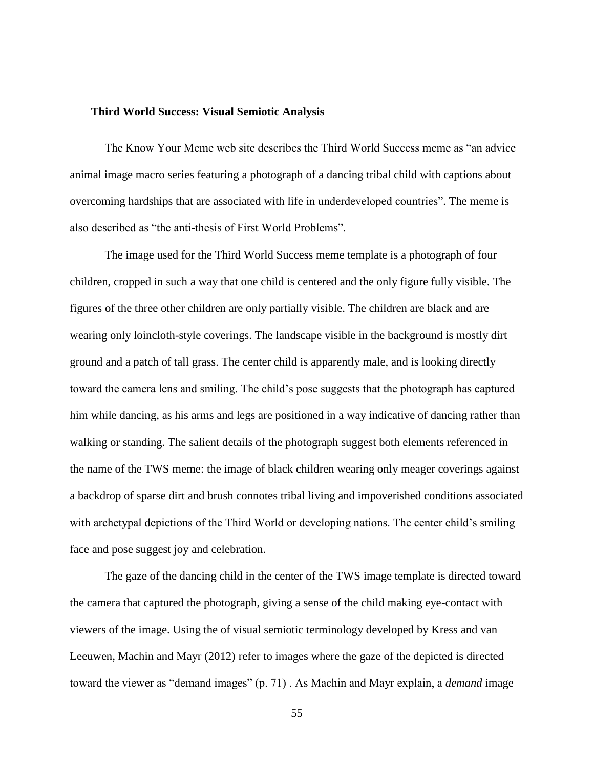#### **Third World Success: Visual Semiotic Analysis**

The Know Your Meme web site describes the Third World Success meme as "an advice animal image macro series featuring a photograph of a dancing tribal child with captions about overcoming hardships that are associated with life in underdeveloped countries". The meme is also described as "the anti-thesis of First World Problems".

The image used for the Third World Success meme template is a photograph of four children, cropped in such a way that one child is centered and the only figure fully visible. The figures of the three other children are only partially visible. The children are black and are wearing only loincloth-style coverings. The landscape visible in the background is mostly dirt ground and a patch of tall grass. The center child is apparently male, and is looking directly toward the camera lens and smiling. The child's pose suggests that the photograph has captured him while dancing, as his arms and legs are positioned in a way indicative of dancing rather than walking or standing. The salient details of the photograph suggest both elements referenced in the name of the TWS meme: the image of black children wearing only meager coverings against a backdrop of sparse dirt and brush connotes tribal living and impoverished conditions associated with archetypal depictions of the Third World or developing nations. The center child's smiling face and pose suggest joy and celebration.

The gaze of the dancing child in the center of the TWS image template is directed toward the camera that captured the photograph, giving a sense of the child making eye-contact with viewers of the image. Using the of visual semiotic terminology developed by Kress and van Leeuwen, Machin and Mayr (2012) refer to images where the gaze of the depicted is directed toward the viewer as "demand images" (p. 71) . As Machin and Mayr explain, a *demand* image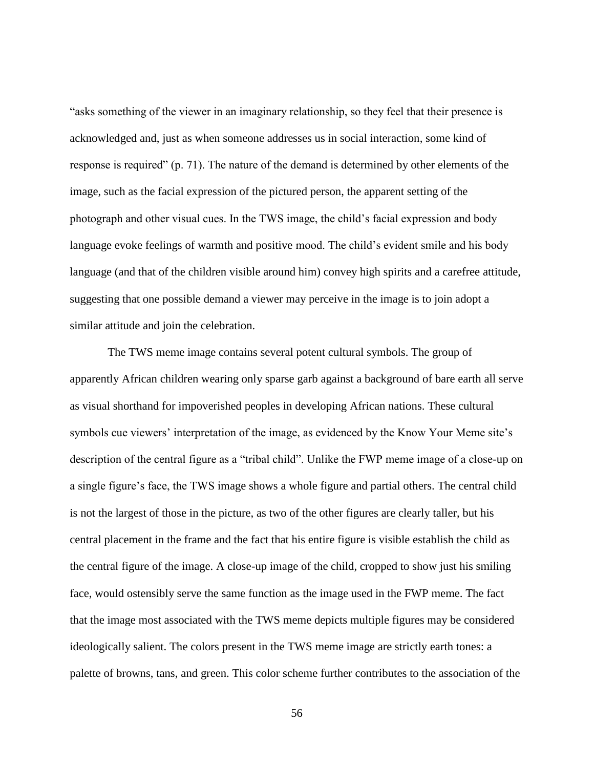"asks something of the viewer in an imaginary relationship, so they feel that their presence is acknowledged and, just as when someone addresses us in social interaction, some kind of response is required" (p. 71). The nature of the demand is determined by other elements of the image, such as the facial expression of the pictured person, the apparent setting of the photograph and other visual cues. In the TWS image, the child's facial expression and body language evoke feelings of warmth and positive mood. The child's evident smile and his body language (and that of the children visible around him) convey high spirits and a carefree attitude, suggesting that one possible demand a viewer may perceive in the image is to join adopt a similar attitude and join the celebration.

The TWS meme image contains several potent cultural symbols. The group of apparently African children wearing only sparse garb against a background of bare earth all serve as visual shorthand for impoverished peoples in developing African nations. These cultural symbols cue viewers' interpretation of the image, as evidenced by the Know Your Meme site's description of the central figure as a "tribal child". Unlike the FWP meme image of a close-up on a single figure's face, the TWS image shows a whole figure and partial others. The central child is not the largest of those in the picture, as two of the other figures are clearly taller, but his central placement in the frame and the fact that his entire figure is visible establish the child as the central figure of the image. A close-up image of the child, cropped to show just his smiling face, would ostensibly serve the same function as the image used in the FWP meme. The fact that the image most associated with the TWS meme depicts multiple figures may be considered ideologically salient. The colors present in the TWS meme image are strictly earth tones: a palette of browns, tans, and green. This color scheme further contributes to the association of the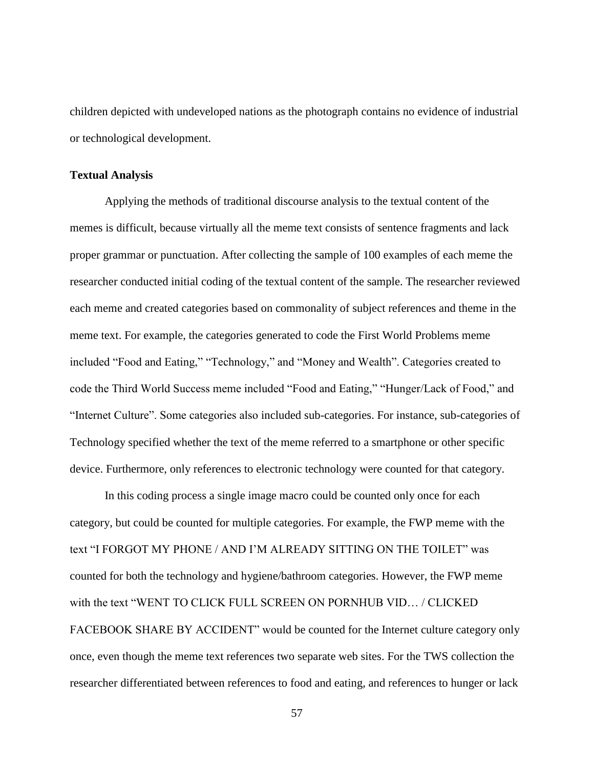children depicted with undeveloped nations as the photograph contains no evidence of industrial or technological development.

### **Textual Analysis**

Applying the methods of traditional discourse analysis to the textual content of the memes is difficult, because virtually all the meme text consists of sentence fragments and lack proper grammar or punctuation. After collecting the sample of 100 examples of each meme the researcher conducted initial coding of the textual content of the sample. The researcher reviewed each meme and created categories based on commonality of subject references and theme in the meme text. For example, the categories generated to code the First World Problems meme included "Food and Eating," "Technology," and "Money and Wealth". Categories created to code the Third World Success meme included "Food and Eating," "Hunger/Lack of Food," and "Internet Culture". Some categories also included sub-categories. For instance, sub-categories of Technology specified whether the text of the meme referred to a smartphone or other specific device. Furthermore, only references to electronic technology were counted for that category.

In this coding process a single image macro could be counted only once for each category, but could be counted for multiple categories. For example, the FWP meme with the text "I FORGOT MY PHONE / AND I'M ALREADY SITTING ON THE TOILET" was counted for both the technology and hygiene/bathroom categories. However, the FWP meme with the text "WENT TO CLICK FULL SCREEN ON PORNHUB VID… / CLICKED FACEBOOK SHARE BY ACCIDENT" would be counted for the Internet culture category only once, even though the meme text references two separate web sites. For the TWS collection the researcher differentiated between references to food and eating, and references to hunger or lack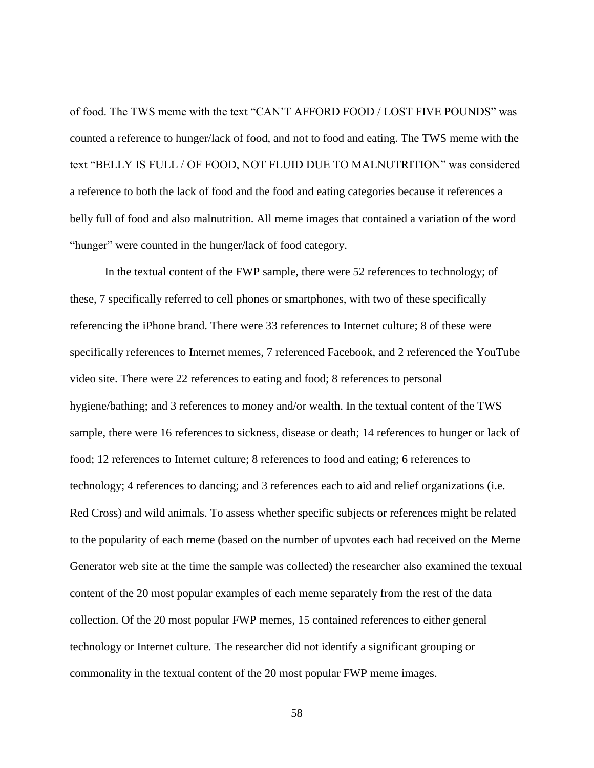of food. The TWS meme with the text "CAN'T AFFORD FOOD / LOST FIVE POUNDS" was counted a reference to hunger/lack of food, and not to food and eating. The TWS meme with the text "BELLY IS FULL / OF FOOD, NOT FLUID DUE TO MALNUTRITION" was considered a reference to both the lack of food and the food and eating categories because it references a belly full of food and also malnutrition. All meme images that contained a variation of the word "hunger" were counted in the hunger/lack of food category.

In the textual content of the FWP sample, there were 52 references to technology; of these, 7 specifically referred to cell phones or smartphones, with two of these specifically referencing the iPhone brand. There were 33 references to Internet culture; 8 of these were specifically references to Internet memes, 7 referenced Facebook, and 2 referenced the YouTube video site. There were 22 references to eating and food; 8 references to personal hygiene/bathing; and 3 references to money and/or wealth. In the textual content of the TWS sample, there were 16 references to sickness, disease or death; 14 references to hunger or lack of food; 12 references to Internet culture; 8 references to food and eating; 6 references to technology; 4 references to dancing; and 3 references each to aid and relief organizations (i.e. Red Cross) and wild animals. To assess whether specific subjects or references might be related to the popularity of each meme (based on the number of upvotes each had received on the Meme Generator web site at the time the sample was collected) the researcher also examined the textual content of the 20 most popular examples of each meme separately from the rest of the data collection. Of the 20 most popular FWP memes, 15 contained references to either general technology or Internet culture. The researcher did not identify a significant grouping or commonality in the textual content of the 20 most popular FWP meme images.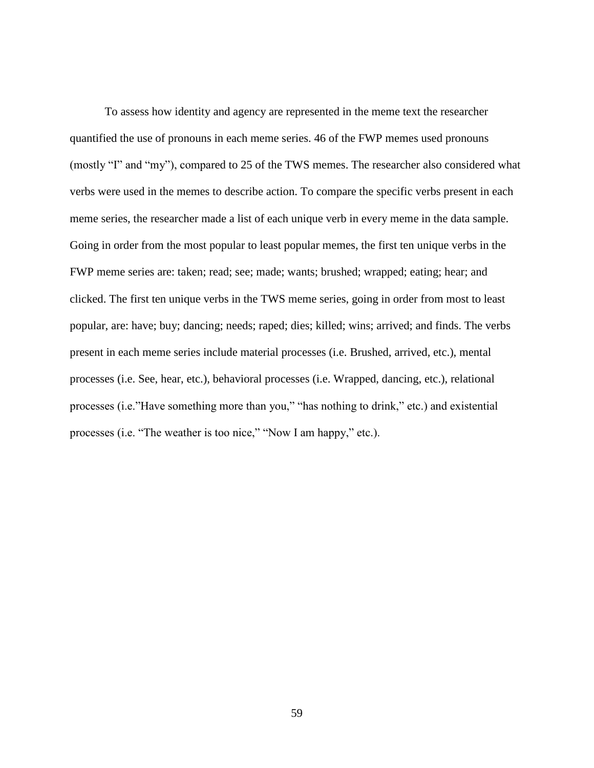To assess how identity and agency are represented in the meme text the researcher quantified the use of pronouns in each meme series. 46 of the FWP memes used pronouns (mostly "I" and "my"), compared to 25 of the TWS memes. The researcher also considered what verbs were used in the memes to describe action. To compare the specific verbs present in each meme series, the researcher made a list of each unique verb in every meme in the data sample. Going in order from the most popular to least popular memes, the first ten unique verbs in the FWP meme series are: taken; read; see; made; wants; brushed; wrapped; eating; hear; and clicked. The first ten unique verbs in the TWS meme series, going in order from most to least popular, are: have; buy; dancing; needs; raped; dies; killed; wins; arrived; and finds. The verbs present in each meme series include material processes (i.e. Brushed, arrived, etc.), mental processes (i.e. See, hear, etc.), behavioral processes (i.e. Wrapped, dancing, etc.), relational processes (i.e."Have something more than you," "has nothing to drink," etc.) and existential processes (i.e. "The weather is too nice," "Now I am happy," etc.).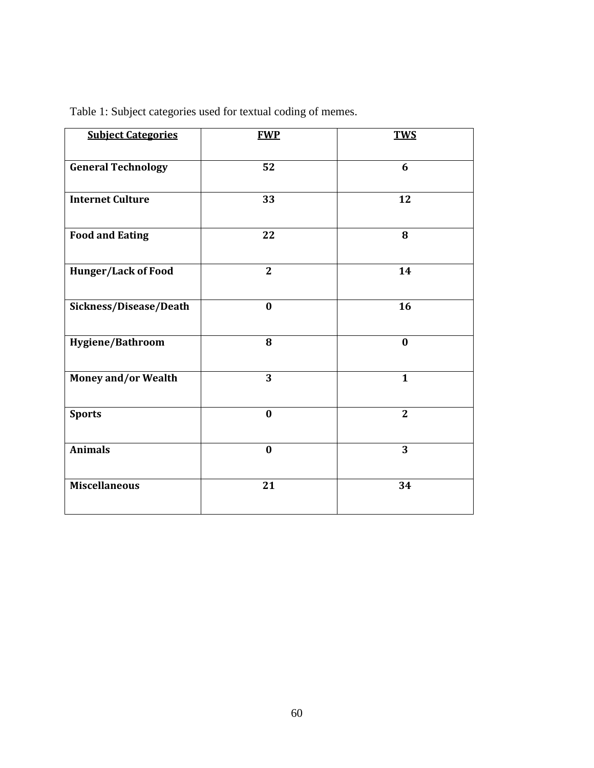| <b>Subject Categories</b>  | <b>FWP</b>     | <b>TWS</b>     |
|----------------------------|----------------|----------------|
| <b>General Technology</b>  | 52             | 6              |
| <b>Internet Culture</b>    | 33             | 12             |
| <b>Food and Eating</b>     | 22             | 8              |
| Hunger/Lack of Food        | $\overline{2}$ | 14             |
| Sickness/Disease/Death     | $\bf{0}$       | 16             |
| Hygiene/Bathroom           | 8              | $\bf{0}$       |
| <b>Money and/or Wealth</b> | 3              | $\mathbf{1}$   |
| <b>Sports</b>              | $\bf{0}$       | $\overline{2}$ |
| <b>Animals</b>             | $\bf{0}$       | 3              |
| <b>Miscellaneous</b>       | 21             | 34             |
|                            |                |                |

Table 1: Subject categories used for textual coding of memes.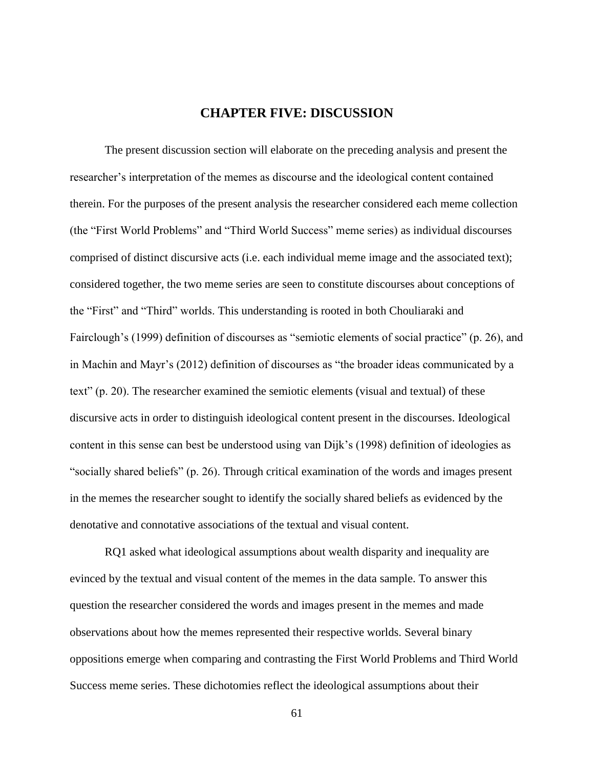# **CHAPTER FIVE: DISCUSSION**

The present discussion section will elaborate on the preceding analysis and present the researcher's interpretation of the memes as discourse and the ideological content contained therein. For the purposes of the present analysis the researcher considered each meme collection (the "First World Problems" and "Third World Success" meme series) as individual discourses comprised of distinct discursive acts (i.e. each individual meme image and the associated text); considered together, the two meme series are seen to constitute discourses about conceptions of the "First" and "Third" worlds. This understanding is rooted in both Chouliaraki and Fairclough's (1999) definition of discourses as "semiotic elements of social practice" (p. 26), and in Machin and Mayr's (2012) definition of discourses as "the broader ideas communicated by a text" (p. 20). The researcher examined the semiotic elements (visual and textual) of these discursive acts in order to distinguish ideological content present in the discourses. Ideological content in this sense can best be understood using van Dijk's (1998) definition of ideologies as "socially shared beliefs" (p. 26). Through critical examination of the words and images present in the memes the researcher sought to identify the socially shared beliefs as evidenced by the denotative and connotative associations of the textual and visual content.

RQ1 asked what ideological assumptions about wealth disparity and inequality are evinced by the textual and visual content of the memes in the data sample. To answer this question the researcher considered the words and images present in the memes and made observations about how the memes represented their respective worlds. Several binary oppositions emerge when comparing and contrasting the First World Problems and Third World Success meme series. These dichotomies reflect the ideological assumptions about their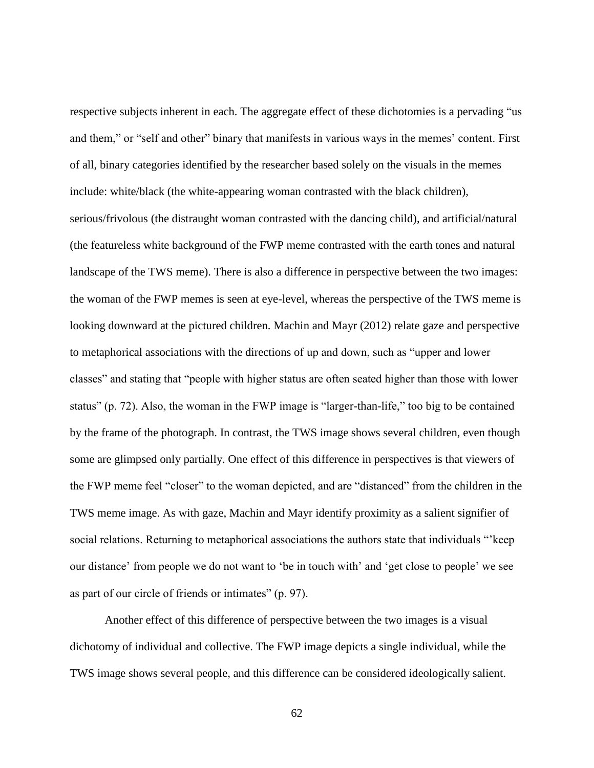respective subjects inherent in each. The aggregate effect of these dichotomies is a pervading "us and them," or "self and other" binary that manifests in various ways in the memes' content. First of all, binary categories identified by the researcher based solely on the visuals in the memes include: white/black (the white-appearing woman contrasted with the black children), serious/frivolous (the distraught woman contrasted with the dancing child), and artificial/natural (the featureless white background of the FWP meme contrasted with the earth tones and natural landscape of the TWS meme). There is also a difference in perspective between the two images: the woman of the FWP memes is seen at eye-level, whereas the perspective of the TWS meme is looking downward at the pictured children. Machin and Mayr (2012) relate gaze and perspective to metaphorical associations with the directions of up and down, such as "upper and lower classes" and stating that "people with higher status are often seated higher than those with lower status" (p. 72). Also, the woman in the FWP image is "larger-than-life," too big to be contained by the frame of the photograph. In contrast, the TWS image shows several children, even though some are glimpsed only partially. One effect of this difference in perspectives is that viewers of the FWP meme feel "closer" to the woman depicted, and are "distanced" from the children in the TWS meme image. As with gaze, Machin and Mayr identify proximity as a salient signifier of social relations. Returning to metaphorical associations the authors state that individuals "'keep our distance' from people we do not want to 'be in touch with' and 'get close to people' we see as part of our circle of friends or intimates" (p. 97).

Another effect of this difference of perspective between the two images is a visual dichotomy of individual and collective. The FWP image depicts a single individual, while the TWS image shows several people, and this difference can be considered ideologically salient.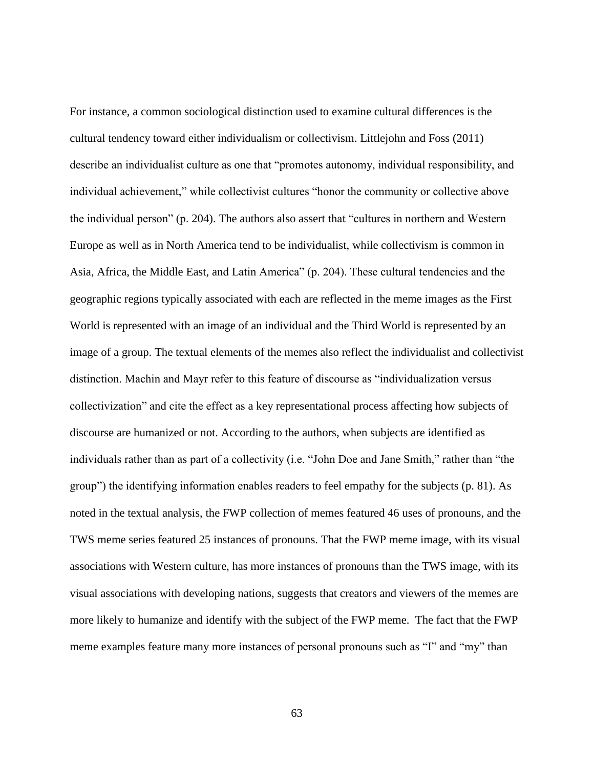For instance, a common sociological distinction used to examine cultural differences is the cultural tendency toward either individualism or collectivism. Littlejohn and Foss (2011) describe an individualist culture as one that "promotes autonomy, individual responsibility, and individual achievement," while collectivist cultures "honor the community or collective above the individual person" (p. 204). The authors also assert that "cultures in northern and Western Europe as well as in North America tend to be individualist, while collectivism is common in Asia, Africa, the Middle East, and Latin America" (p. 204). These cultural tendencies and the geographic regions typically associated with each are reflected in the meme images as the First World is represented with an image of an individual and the Third World is represented by an image of a group. The textual elements of the memes also reflect the individualist and collectivist distinction. Machin and Mayr refer to this feature of discourse as "individualization versus collectivization" and cite the effect as a key representational process affecting how subjects of discourse are humanized or not. According to the authors, when subjects are identified as individuals rather than as part of a collectivity (i.e. "John Doe and Jane Smith," rather than "the group") the identifying information enables readers to feel empathy for the subjects (p. 81). As noted in the textual analysis, the FWP collection of memes featured 46 uses of pronouns, and the TWS meme series featured 25 instances of pronouns. That the FWP meme image, with its visual associations with Western culture, has more instances of pronouns than the TWS image, with its visual associations with developing nations, suggests that creators and viewers of the memes are more likely to humanize and identify with the subject of the FWP meme. The fact that the FWP meme examples feature many more instances of personal pronouns such as "I" and "my" than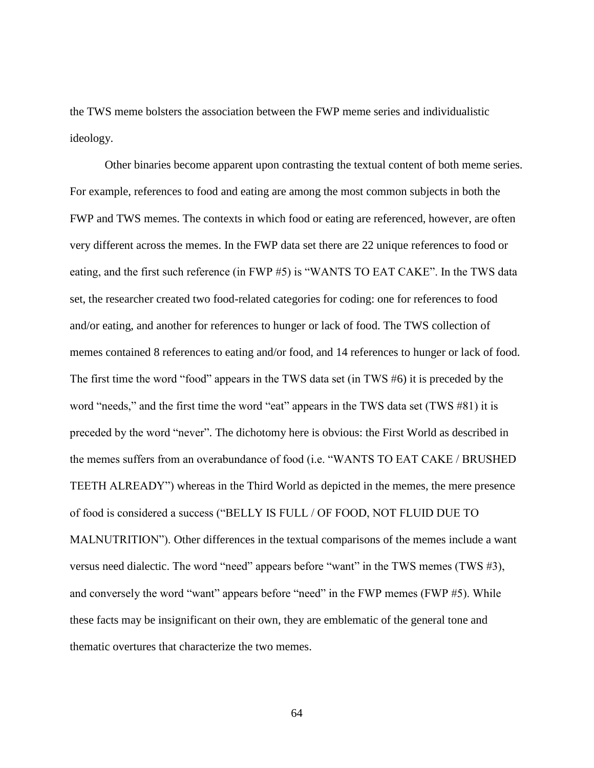the TWS meme bolsters the association between the FWP meme series and individualistic ideology.

Other binaries become apparent upon contrasting the textual content of both meme series. For example, references to food and eating are among the most common subjects in both the FWP and TWS memes. The contexts in which food or eating are referenced, however, are often very different across the memes. In the FWP data set there are 22 unique references to food or eating, and the first such reference (in FWP #5) is "WANTS TO EAT CAKE". In the TWS data set, the researcher created two food-related categories for coding: one for references to food and/or eating, and another for references to hunger or lack of food. The TWS collection of memes contained 8 references to eating and/or food, and 14 references to hunger or lack of food. The first time the word "food" appears in the TWS data set (in TWS #6) it is preceded by the word "needs," and the first time the word "eat" appears in the TWS data set (TWS #81) it is preceded by the word "never". The dichotomy here is obvious: the First World as described in the memes suffers from an overabundance of food (i.e. "WANTS TO EAT CAKE / BRUSHED TEETH ALREADY") whereas in the Third World as depicted in the memes, the mere presence of food is considered a success ("BELLY IS FULL / OF FOOD, NOT FLUID DUE TO MALNUTRITION"). Other differences in the textual comparisons of the memes include a want versus need dialectic. The word "need" appears before "want" in the TWS memes (TWS #3), and conversely the word "want" appears before "need" in the FWP memes (FWP #5). While these facts may be insignificant on their own, they are emblematic of the general tone and thematic overtures that characterize the two memes.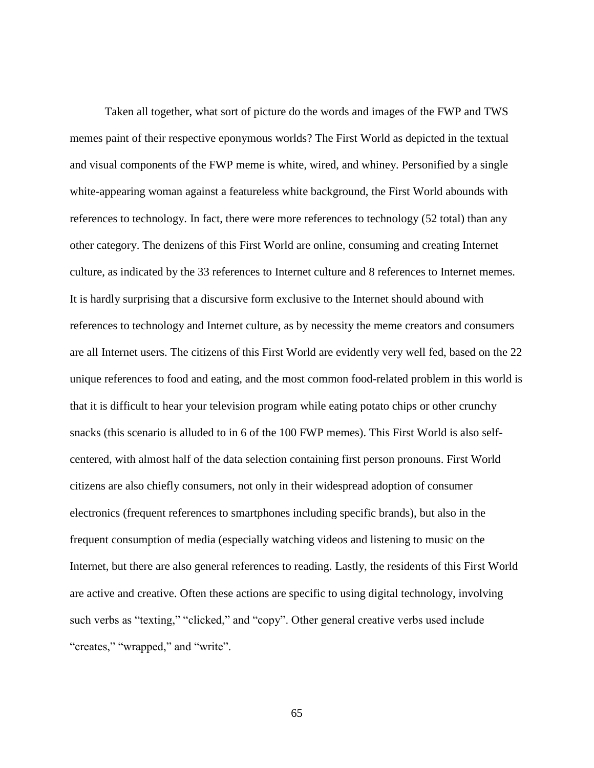Taken all together, what sort of picture do the words and images of the FWP and TWS memes paint of their respective eponymous worlds? The First World as depicted in the textual and visual components of the FWP meme is white, wired, and whiney. Personified by a single white-appearing woman against a featureless white background, the First World abounds with references to technology. In fact, there were more references to technology (52 total) than any other category. The denizens of this First World are online, consuming and creating Internet culture, as indicated by the 33 references to Internet culture and 8 references to Internet memes. It is hardly surprising that a discursive form exclusive to the Internet should abound with references to technology and Internet culture, as by necessity the meme creators and consumers are all Internet users. The citizens of this First World are evidently very well fed, based on the 22 unique references to food and eating, and the most common food-related problem in this world is that it is difficult to hear your television program while eating potato chips or other crunchy snacks (this scenario is alluded to in 6 of the 100 FWP memes). This First World is also selfcentered, with almost half of the data selection containing first person pronouns. First World citizens are also chiefly consumers, not only in their widespread adoption of consumer electronics (frequent references to smartphones including specific brands), but also in the frequent consumption of media (especially watching videos and listening to music on the Internet, but there are also general references to reading. Lastly, the residents of this First World are active and creative. Often these actions are specific to using digital technology, involving such verbs as "texting," "clicked," and "copy". Other general creative verbs used include "creates," "wrapped," and "write".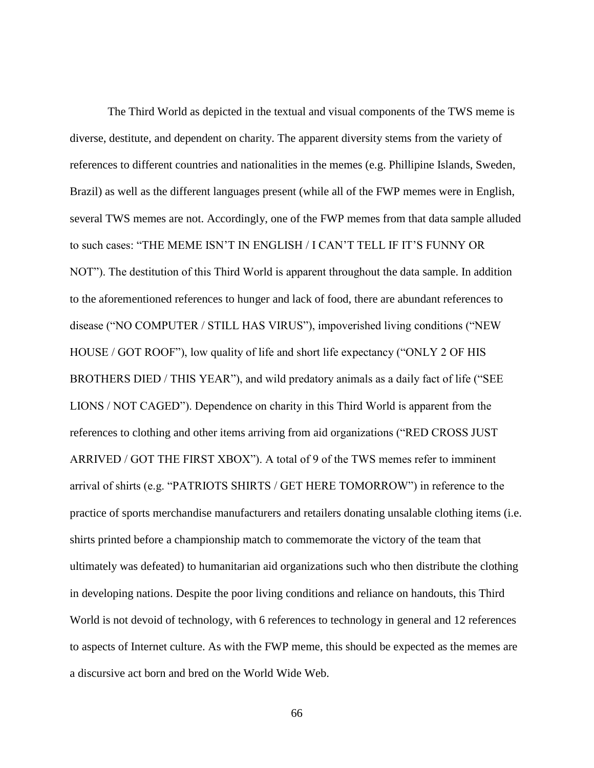The Third World as depicted in the textual and visual components of the TWS meme is diverse, destitute, and dependent on charity. The apparent diversity stems from the variety of references to different countries and nationalities in the memes (e.g. Phillipine Islands, Sweden, Brazil) as well as the different languages present (while all of the FWP memes were in English, several TWS memes are not. Accordingly, one of the FWP memes from that data sample alluded to such cases: "THE MEME ISN'T IN ENGLISH / I CAN'T TELL IF IT'S FUNNY OR NOT"). The destitution of this Third World is apparent throughout the data sample. In addition to the aforementioned references to hunger and lack of food, there are abundant references to disease ("NO COMPUTER / STILL HAS VIRUS"), impoverished living conditions ("NEW HOUSE / GOT ROOF"), low quality of life and short life expectancy ("ONLY 2 OF HIS BROTHERS DIED / THIS YEAR"), and wild predatory animals as a daily fact of life ("SEE LIONS / NOT CAGED"). Dependence on charity in this Third World is apparent from the references to clothing and other items arriving from aid organizations ("RED CROSS JUST ARRIVED / GOT THE FIRST XBOX"). A total of 9 of the TWS memes refer to imminent arrival of shirts (e.g. "PATRIOTS SHIRTS / GET HERE TOMORROW") in reference to the practice of sports merchandise manufacturers and retailers donating unsalable clothing items (i.e. shirts printed before a championship match to commemorate the victory of the team that ultimately was defeated) to humanitarian aid organizations such who then distribute the clothing in developing nations. Despite the poor living conditions and reliance on handouts, this Third World is not devoid of technology, with 6 references to technology in general and 12 references to aspects of Internet culture. As with the FWP meme, this should be expected as the memes are a discursive act born and bred on the World Wide Web.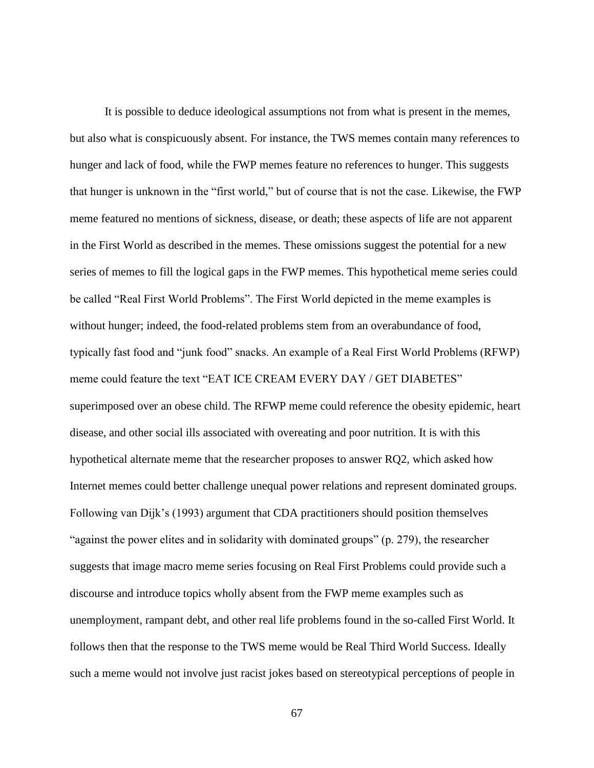It is possible to deduce ideological assumptions not from what is present in the memes, but also what is conspicuously absent. For instance, the TWS memes contain many references to hunger and lack of food, while the FWP memes feature no references to hunger. This suggests that hunger is unknown in the "first world," but of course that is not the case. Likewise, the FWP meme featured no mentions of sickness, disease, or death; these aspects of life are not apparent in the First World as described in the memes. These omissions suggest the potential for a new series of memes to fill the logical gaps in the FWP memes. This hypothetical meme series could be called "Real First World Problems". The First World depicted in the meme examples is without hunger; indeed, the food-related problems stem from an overabundance of food, typically fast food and "junk food" snacks. An example of a Real First World Problems (RFWP) meme could feature the text "EAT ICE CREAM EVERY DAY / GET DIABETES" superimposed over an obese child. The RFWP meme could reference the obesity epidemic, heart disease, and other social ills associated with overeating and poor nutrition. It is with this hypothetical alternate meme that the researcher proposes to answer RQ2, which asked how Internet memes could better challenge unequal power relations and represent dominated groups. Following van Dijk's (1993) argument that CDA practitioners should position themselves "against the power elites and in solidarity with dominated groups" (p. 279), the researcher suggests that image macro meme series focusing on Real First Problems could provide such a discourse and introduce topics wholly absent from the FWP meme examples such as unemployment, rampant debt, and other real life problems found in the so-called First World. It follows then that the response to the TWS meme would be Real Third World Success. Ideally such a meme would not involve just racist jokes based on stereotypical perceptions of people in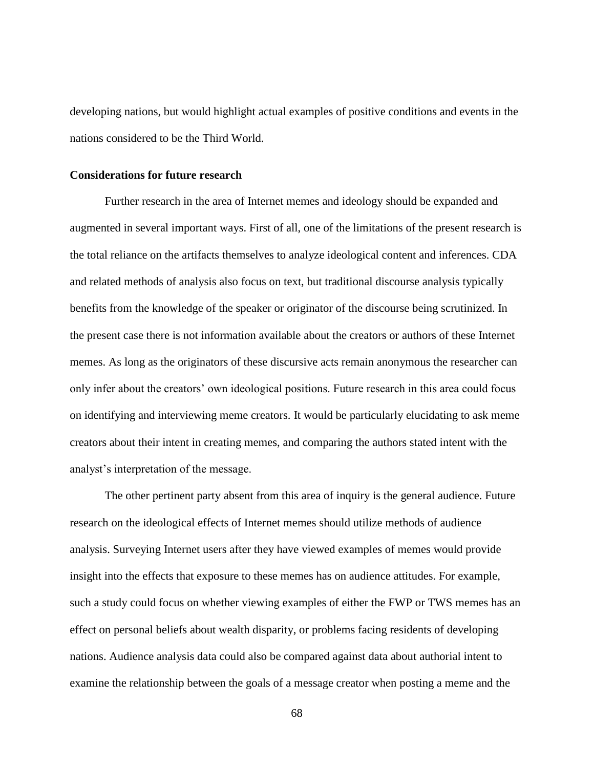developing nations, but would highlight actual examples of positive conditions and events in the nations considered to be the Third World.

#### **Considerations for future research**

Further research in the area of Internet memes and ideology should be expanded and augmented in several important ways. First of all, one of the limitations of the present research is the total reliance on the artifacts themselves to analyze ideological content and inferences. CDA and related methods of analysis also focus on text, but traditional discourse analysis typically benefits from the knowledge of the speaker or originator of the discourse being scrutinized. In the present case there is not information available about the creators or authors of these Internet memes. As long as the originators of these discursive acts remain anonymous the researcher can only infer about the creators' own ideological positions. Future research in this area could focus on identifying and interviewing meme creators. It would be particularly elucidating to ask meme creators about their intent in creating memes, and comparing the authors stated intent with the analyst's interpretation of the message.

The other pertinent party absent from this area of inquiry is the general audience. Future research on the ideological effects of Internet memes should utilize methods of audience analysis. Surveying Internet users after they have viewed examples of memes would provide insight into the effects that exposure to these memes has on audience attitudes. For example, such a study could focus on whether viewing examples of either the FWP or TWS memes has an effect on personal beliefs about wealth disparity, or problems facing residents of developing nations. Audience analysis data could also be compared against data about authorial intent to examine the relationship between the goals of a message creator when posting a meme and the

68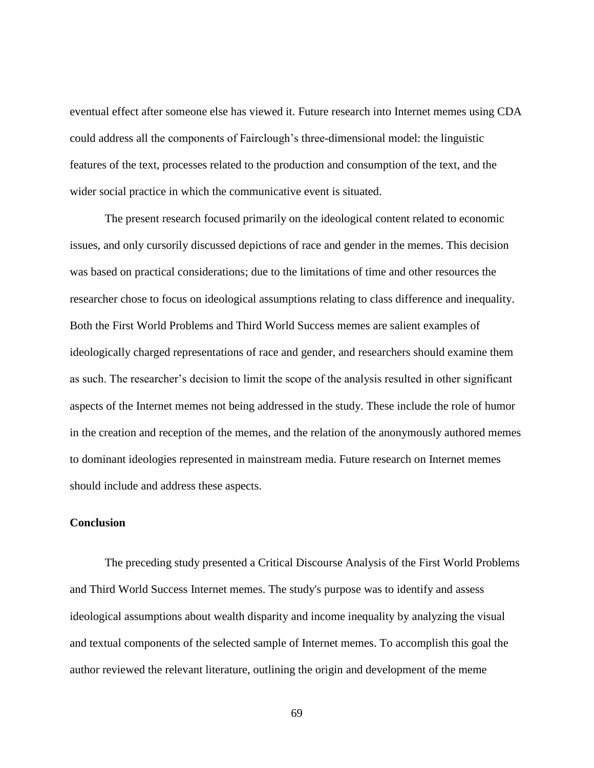eventual effect after someone else has viewed it. Future research into Internet memes using CDA could address all the components of Fairclough's three-dimensional model: the linguistic features of the text, processes related to the production and consumption of the text, and the wider social practice in which the communicative event is situated.

The present research focused primarily on the ideological content related to economic issues, and only cursorily discussed depictions of race and gender in the memes. This decision was based on practical considerations; due to the limitations of time and other resources the researcher chose to focus on ideological assumptions relating to class difference and inequality. Both the First World Problems and Third World Success memes are salient examples of ideologically charged representations of race and gender, and researchers should examine them as such. The researcher's decision to limit the scope of the analysis resulted in other significant aspects of the Internet memes not being addressed in the study. These include the role of humor in the creation and reception of the memes, and the relation of the anonymously authored memes to dominant ideologies represented in mainstream media. Future research on Internet memes should include and address these aspects.

# **Conclusion**

The preceding study presented a Critical Discourse Analysis of the First World Problems and Third World Success Internet memes. The study's purpose was to identify and assess ideological assumptions about wealth disparity and income inequality by analyzing the visual and textual components of the selected sample of Internet memes. To accomplish this goal the author reviewed the relevant literature, outlining the origin and development of the meme

69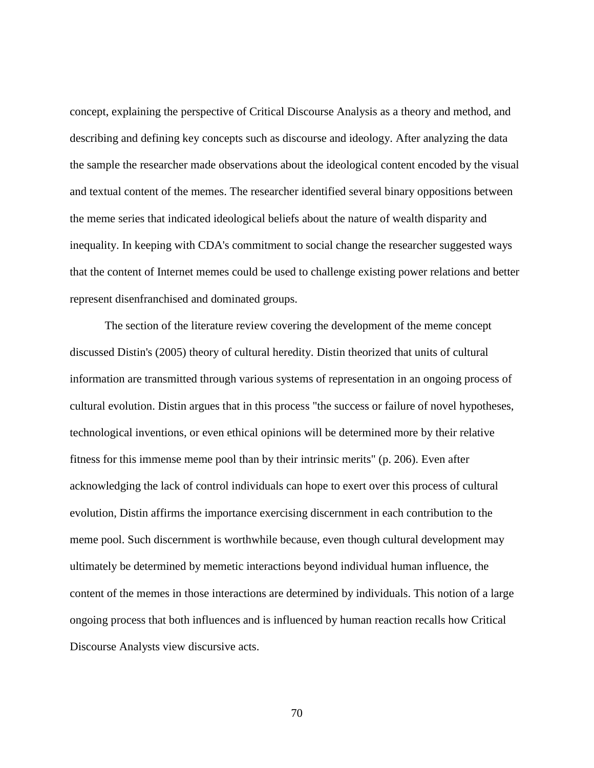concept, explaining the perspective of Critical Discourse Analysis as a theory and method, and describing and defining key concepts such as discourse and ideology. After analyzing the data the sample the researcher made observations about the ideological content encoded by the visual and textual content of the memes. The researcher identified several binary oppositions between the meme series that indicated ideological beliefs about the nature of wealth disparity and inequality. In keeping with CDA's commitment to social change the researcher suggested ways that the content of Internet memes could be used to challenge existing power relations and better represent disenfranchised and dominated groups.

The section of the literature review covering the development of the meme concept discussed Distin's (2005) theory of cultural heredity. Distin theorized that units of cultural information are transmitted through various systems of representation in an ongoing process of cultural evolution. Distin argues that in this process "the success or failure of novel hypotheses, technological inventions, or even ethical opinions will be determined more by their relative fitness for this immense meme pool than by their intrinsic merits" (p. 206). Even after acknowledging the lack of control individuals can hope to exert over this process of cultural evolution, Distin affirms the importance exercising discernment in each contribution to the meme pool. Such discernment is worthwhile because, even though cultural development may ultimately be determined by memetic interactions beyond individual human influence, the content of the memes in those interactions are determined by individuals. This notion of a large ongoing process that both influences and is influenced by human reaction recalls how Critical Discourse Analysts view discursive acts.

70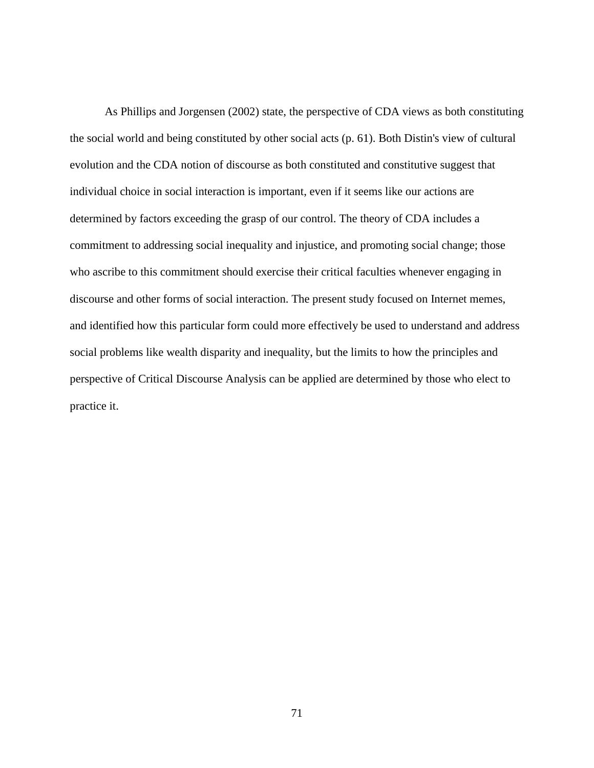As Phillips and Jorgensen (2002) state, the perspective of CDA views as both constituting the social world and being constituted by other social acts (p. 61). Both Distin's view of cultural evolution and the CDA notion of discourse as both constituted and constitutive suggest that individual choice in social interaction is important, even if it seems like our actions are determined by factors exceeding the grasp of our control. The theory of CDA includes a commitment to addressing social inequality and injustice, and promoting social change; those who ascribe to this commitment should exercise their critical faculties whenever engaging in discourse and other forms of social interaction. The present study focused on Internet memes, and identified how this particular form could more effectively be used to understand and address social problems like wealth disparity and inequality, but the limits to how the principles and perspective of Critical Discourse Analysis can be applied are determined by those who elect to practice it.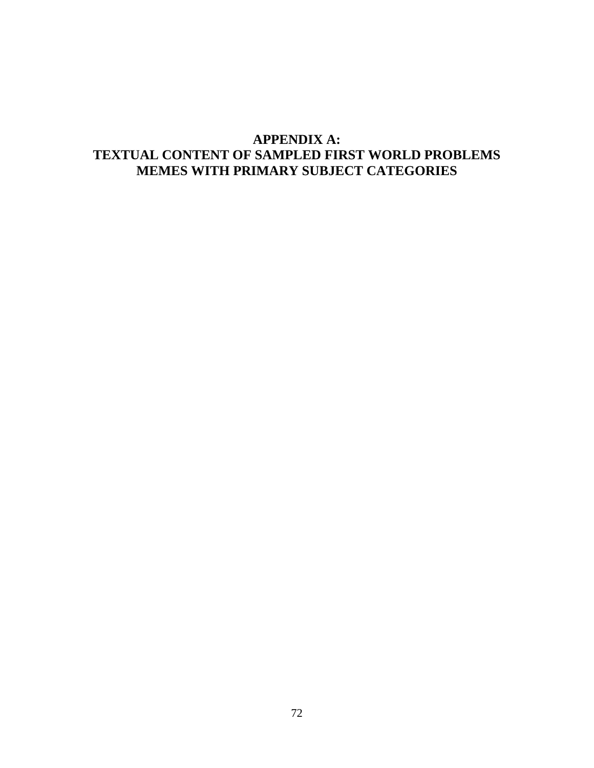# **APPENDIX A: TEXTUAL CONTENT OF SAMPLED FIRST WORLD PROBLEMS MEMES WITH PRIMARY SUBJECT CATEGORIES**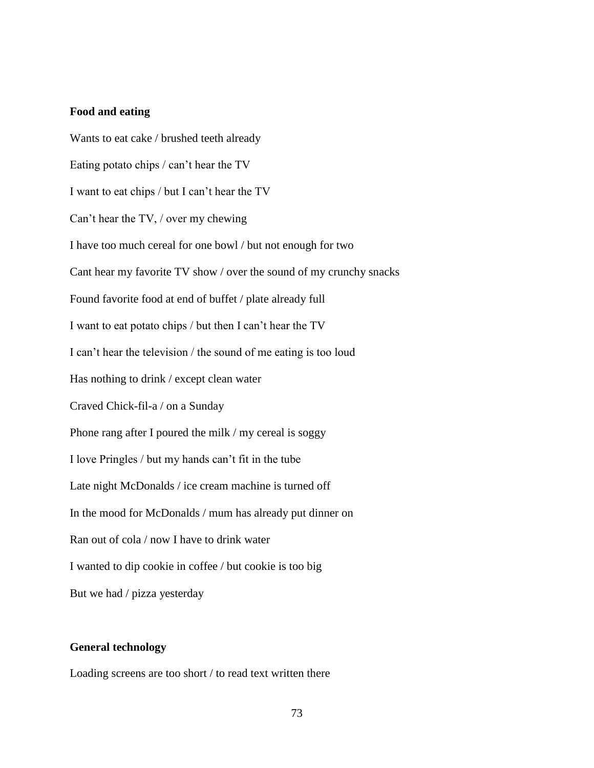#### **Food and eating**

Wants to eat cake / brushed teeth already Eating potato chips / can't hear the TV I want to eat chips / but I can't hear the TV Can't hear the TV, / over my chewing I have too much cereal for one bowl / but not enough for two Cant hear my favorite TV show / over the sound of my crunchy snacks Found favorite food at end of buffet / plate already full I want to eat potato chips / but then I can't hear the TV I can't hear the television / the sound of me eating is too loud Has nothing to drink / except clean water Craved Chick-fil-a / on a Sunday Phone rang after I poured the milk / my cereal is soggy I love Pringles / but my hands can't fit in the tube Late night McDonalds / ice cream machine is turned off In the mood for McDonalds / mum has already put dinner on Ran out of cola / now I have to drink water I wanted to dip cookie in coffee / but cookie is too big But we had / pizza yesterday

## **General technology**

Loading screens are too short / to read text written there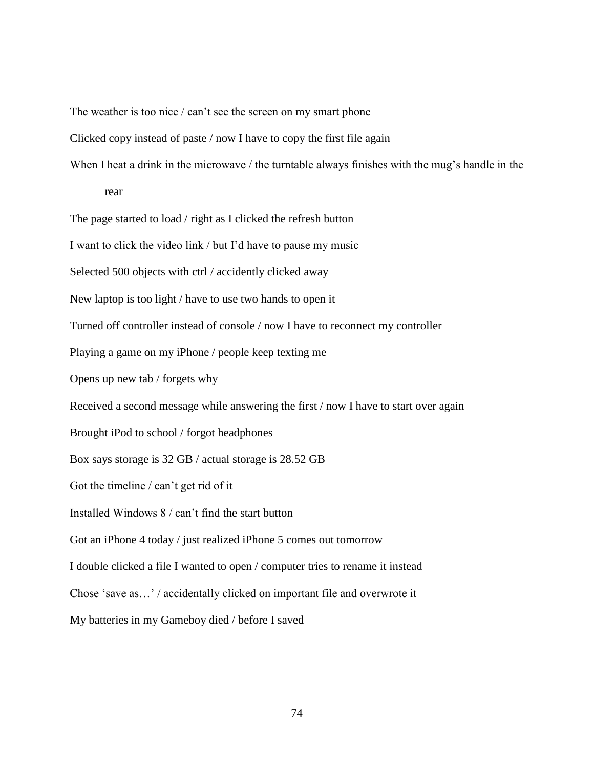The weather is too nice / can't see the screen on my smart phone

Clicked copy instead of paste / now I have to copy the first file again

When I heat a drink in the microwave / the turntable always finishes with the mug's handle in the

rear

The page started to load / right as I clicked the refresh button

I want to click the video link / but I'd have to pause my music

Selected 500 objects with ctrl / accidently clicked away

New laptop is too light / have to use two hands to open it

Turned off controller instead of console / now I have to reconnect my controller

Playing a game on my iPhone / people keep texting me

Opens up new tab / forgets why

Received a second message while answering the first / now I have to start over again

Brought iPod to school / forgot headphones

Box says storage is 32 GB / actual storage is 28.52 GB

Got the timeline / can't get rid of it

Installed Windows 8 / can't find the start button

Got an iPhone 4 today / just realized iPhone 5 comes out tomorrow

I double clicked a file I wanted to open / computer tries to rename it instead

Chose 'save as…' / accidentally clicked on important file and overwrote it

My batteries in my Gameboy died / before I saved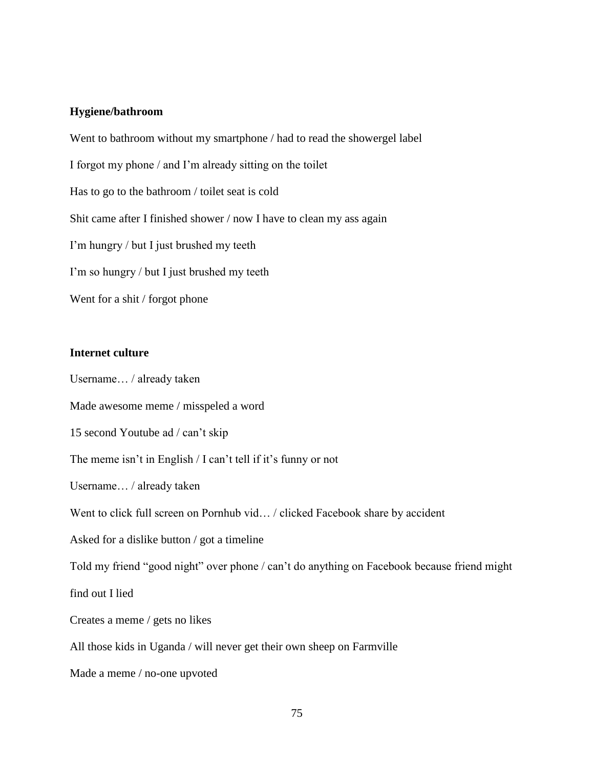## **Hygiene/bathroom**

Went to bathroom without my smartphone / had to read the showergel label I forgot my phone / and I'm already sitting on the toilet Has to go to the bathroom / toilet seat is cold Shit came after I finished shower / now I have to clean my ass again I'm hungry / but I just brushed my teeth I'm so hungry / but I just brushed my teeth Went for a shit / forgot phone

# **Internet culture**

Username… / already taken Made awesome meme / misspeled a word 15 second Youtube ad / can't skip The meme isn't in English / I can't tell if it's funny or not Username… / already taken Went to click full screen on Pornhub vid... / clicked Facebook share by accident Asked for a dislike button / got a timeline Told my friend "good night" over phone / can't do anything on Facebook because friend might find out I lied Creates a meme / gets no likes All those kids in Uganda / will never get their own sheep on Farmville Made a meme / no-one upvoted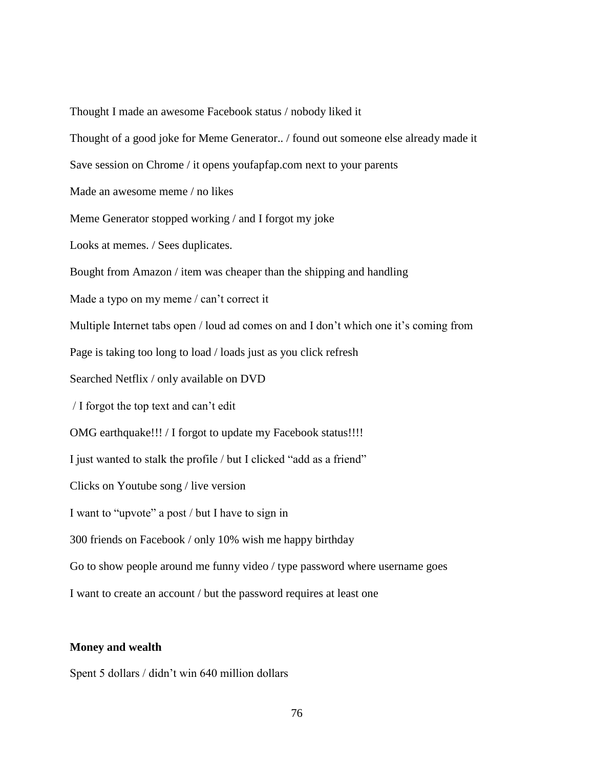Thought I made an awesome Facebook status / nobody liked it

Thought of a good joke for Meme Generator.. / found out someone else already made it

Save session on Chrome / it opens youfapfap.com next to your parents

Made an awesome meme / no likes

Meme Generator stopped working / and I forgot my joke

Looks at memes. / Sees duplicates.

Bought from Amazon / item was cheaper than the shipping and handling

Made a typo on my meme / can't correct it

Multiple Internet tabs open / loud ad comes on and I don't which one it's coming from

Page is taking too long to load / loads just as you click refresh

Searched Netflix / only available on DVD

/ I forgot the top text and can't edit

OMG earthquake!!! / I forgot to update my Facebook status!!!!

I just wanted to stalk the profile / but I clicked "add as a friend"

Clicks on Youtube song / live version

I want to "upvote" a post / but I have to sign in

300 friends on Facebook / only 10% wish me happy birthday

Go to show people around me funny video / type password where username goes

I want to create an account / but the password requires at least one

#### **Money and wealth**

Spent 5 dollars / didn't win 640 million dollars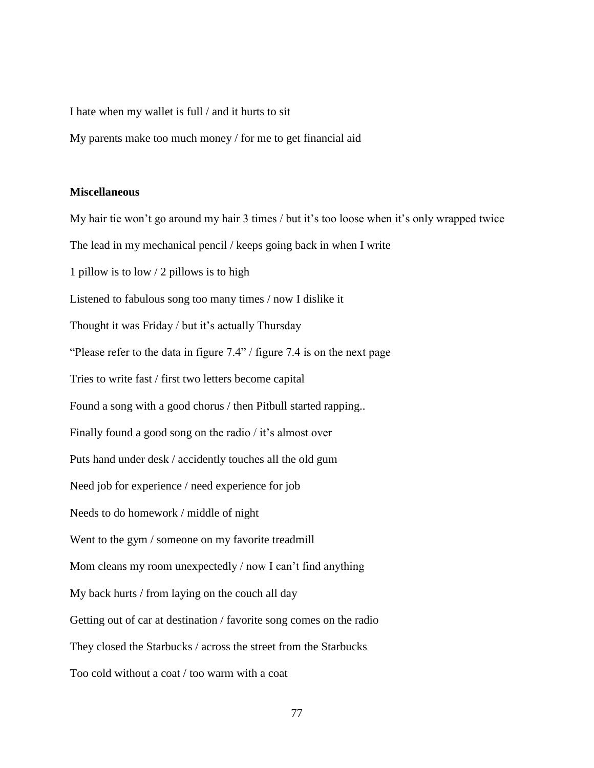I hate when my wallet is full / and it hurts to sit

My parents make too much money / for me to get financial aid

#### **Miscellaneous**

My hair tie won't go around my hair 3 times / but it's too loose when it's only wrapped twice The lead in my mechanical pencil / keeps going back in when I write 1 pillow is to low / 2 pillows is to high Listened to fabulous song too many times / now I dislike it Thought it was Friday / but it's actually Thursday "Please refer to the data in figure 7.4" / figure 7.4 is on the next page Tries to write fast / first two letters become capital Found a song with a good chorus / then Pitbull started rapping.. Finally found a good song on the radio / it's almost over Puts hand under desk / accidently touches all the old gum Need job for experience / need experience for job Needs to do homework / middle of night Went to the gym / someone on my favorite treadmill Mom cleans my room unexpectedly / now I can't find anything My back hurts / from laying on the couch all day Getting out of car at destination / favorite song comes on the radio They closed the Starbucks / across the street from the Starbucks Too cold without a coat / too warm with a coat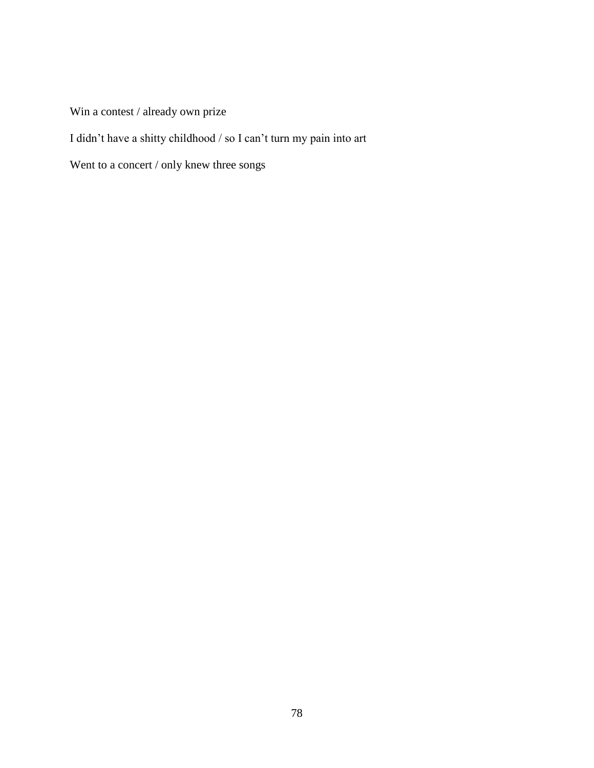Win a contest / already own prize

I didn't have a shitty childhood / so I can't turn my pain into art

Went to a concert / only knew three songs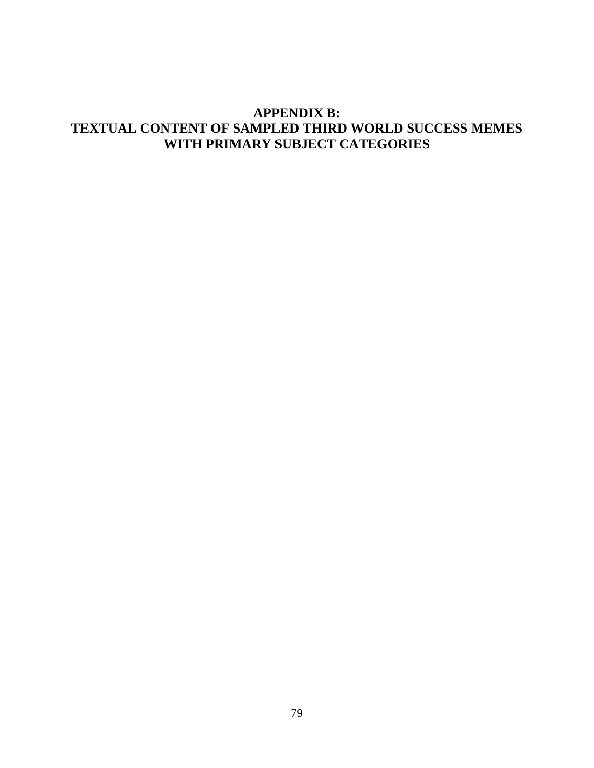# **APPENDIX B: TEXTUAL CONTENT OF SAMPLED THIRD WORLD SUCCESS MEMES WITH PRIMARY SUBJECT CATEGORIES**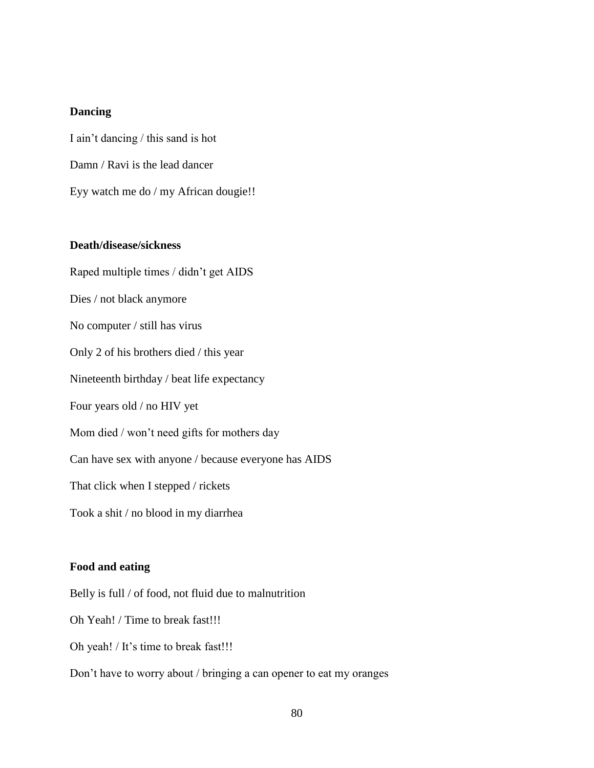## **Dancing**

I ain't dancing / this sand is hot Damn / Ravi is the lead dancer Eyy watch me do / my African dougie!!

## **Death/disease/sickness**

Raped multiple times / didn't get AIDS Dies / not black anymore No computer / still has virus Only 2 of his brothers died / this year Nineteenth birthday / beat life expectancy Four years old / no HIV yet Mom died / won't need gifts for mothers day Can have sex with anyone / because everyone has AIDS That click when I stepped / rickets Took a shit / no blood in my diarrhea

#### **Food and eating**

Belly is full / of food, not fluid due to malnutrition

Oh Yeah! / Time to break fast!!!

Oh yeah! / It's time to break fast!!!

Don't have to worry about / bringing a can opener to eat my oranges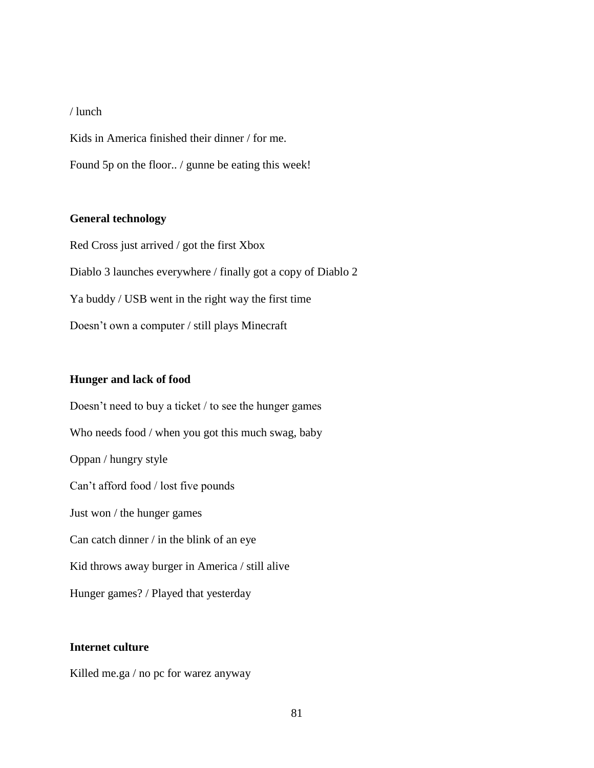#### / lunch

Kids in America finished their dinner / for me.

Found 5p on the floor.. / gunne be eating this week!

### **General technology**

Red Cross just arrived / got the first Xbox Diablo 3 launches everywhere / finally got a copy of Diablo 2 Ya buddy / USB went in the right way the first time Doesn't own a computer / still plays Minecraft

#### **Hunger and lack of food**

Doesn't need to buy a ticket / to see the hunger games Who needs food / when you got this much swag, baby Oppan / hungry style Can't afford food / lost five pounds Just won / the hunger games Can catch dinner / in the blink of an eye Kid throws away burger in America / still alive Hunger games? / Played that yesterday

# **Internet culture**

Killed me.ga / no pc for warez anyway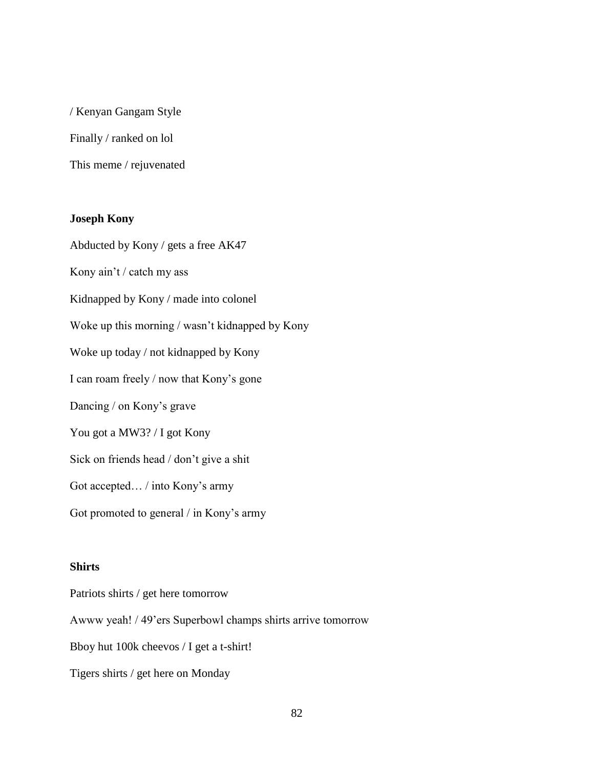/ Kenyan Gangam Style Finally / ranked on lol This meme / rejuvenated

# **Joseph Kony**

Abducted by Kony / gets a free AK47 Kony ain't / catch my ass

Kidnapped by Kony / made into colonel

Woke up this morning / wasn't kidnapped by Kony

Woke up today / not kidnapped by Kony

I can roam freely / now that Kony's gone

Dancing / on Kony's grave

You got a MW3? / I got Kony

Sick on friends head / don't give a shit

Got accepted… / into Kony's army

Got promoted to general / in Kony's army

#### **Shirts**

Patriots shirts / get here tomorrow

Awww yeah! / 49'ers Superbowl champs shirts arrive tomorrow

Bboy hut 100k cheevos / I get a t-shirt!

Tigers shirts / get here on Monday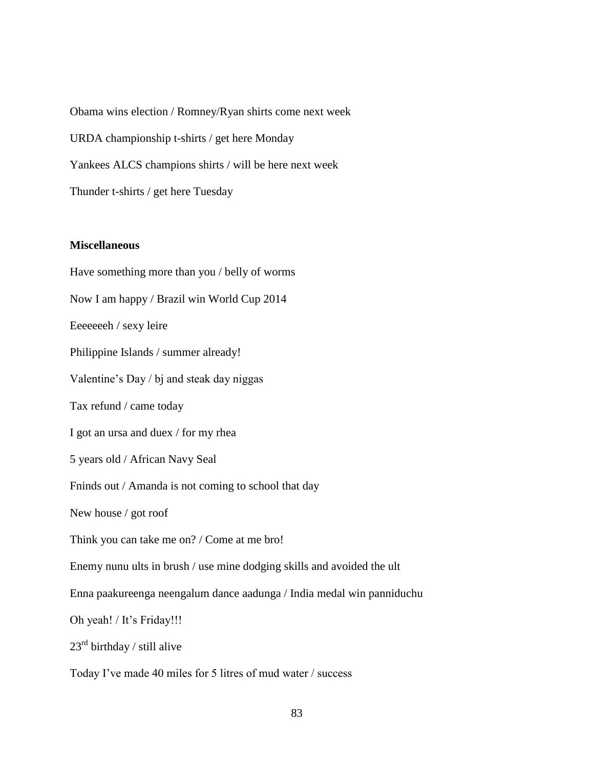Obama wins election / Romney/Ryan shirts come next week URDA championship t-shirts / get here Monday Yankees ALCS champions shirts / will be here next week Thunder t-shirts / get here Tuesday

## **Miscellaneous**

Have something more than you / belly of worms Now I am happy / Brazil win World Cup 2014 Eeeeeeeh / sexy leire Philippine Islands / summer already! Valentine's Day / bj and steak day niggas Tax refund / came today I got an ursa and duex / for my rhea 5 years old / African Navy Seal Fninds out / Amanda is not coming to school that day New house / got roof Think you can take me on? / Come at me bro! Enemy nunu ults in brush / use mine dodging skills and avoided the ult Enna paakureenga neengalum dance aadunga / India medal win panniduchu Oh yeah! / It's Friday!!!  $23<sup>rd</sup>$  birthday / still alive Today I've made 40 miles for 5 litres of mud water / success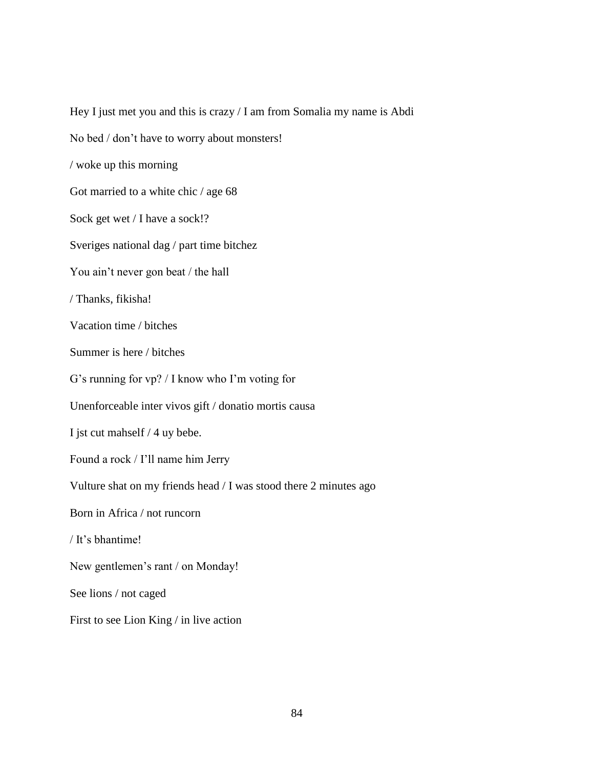Hey I just met you and this is crazy / I am from Somalia my name is Abdi No bed / don't have to worry about monsters! / woke up this morning Got married to a white chic / age 68 Sock get wet / I have a sock!? Sveriges national dag / part time bitchez You ain't never gon beat / the hall / Thanks, fikisha! Vacation time / bitches Summer is here / bitches G's running for vp? / I know who I'm voting for Unenforceable inter vivos gift / donatio mortis causa I jst cut mahself / 4 uy bebe. Found a rock / I'll name him Jerry Vulture shat on my friends head / I was stood there 2 minutes ago Born in Africa / not runcorn / It's bhantime! New gentlemen's rant / on Monday! See lions / not caged First to see Lion King / in live action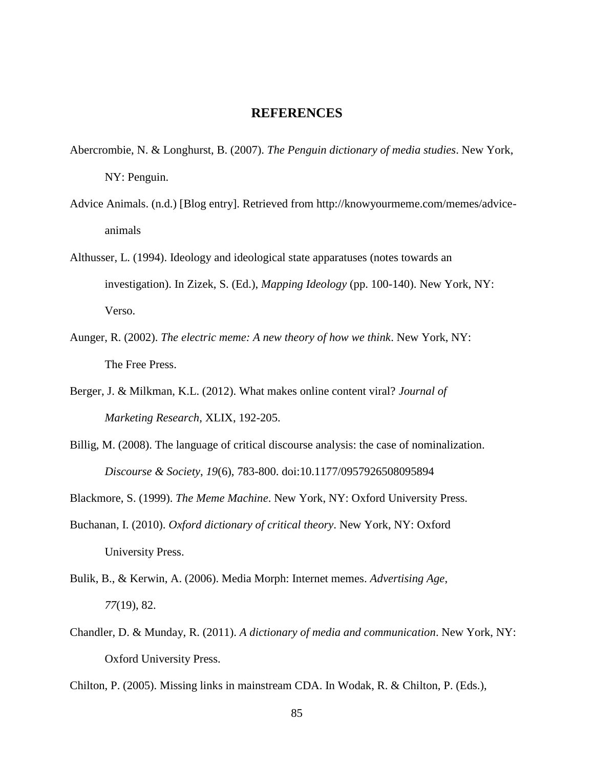## **REFERENCES**

- Abercrombie, N. & Longhurst, B. (2007). *The Penguin dictionary of media studies*. New York, NY: Penguin.
- Advice Animals. (n.d.) [Blog entry]. Retrieved from http://knowyourmeme.com/memes/adviceanimals
- Althusser, L. (1994). Ideology and ideological state apparatuses (notes towards an investigation). In Zizek, S. (Ed.), *Mapping Ideology* (pp. 100-140). New York, NY: Verso.
- Aunger, R. (2002). *The electric meme: A new theory of how we think*. New York, NY: The Free Press.
- Berger, J. & Milkman, K.L. (2012). What makes online content viral? *Journal of Marketing Research*, XLIX, 192-205.
- Billig, M. (2008). The language of critical discourse analysis: the case of nominalization. *Discourse & Society*, *19*(6), 783-800. doi:10.1177/0957926508095894

Blackmore, S. (1999). *The Meme Machine*. New York, NY: Oxford University Press.

- Buchanan, I. (2010). *Oxford dictionary of critical theory*. New York, NY: Oxford University Press.
- Bulik, B., & Kerwin, A. (2006). Media Morph: Internet memes. *Advertising Age*, *77*(19), 82.
- Chandler, D. & Munday, R. (2011). *A dictionary of media and communication*. New York, NY: Oxford University Press.

Chilton, P. (2005). Missing links in mainstream CDA. In Wodak, R. & Chilton, P. (Eds.),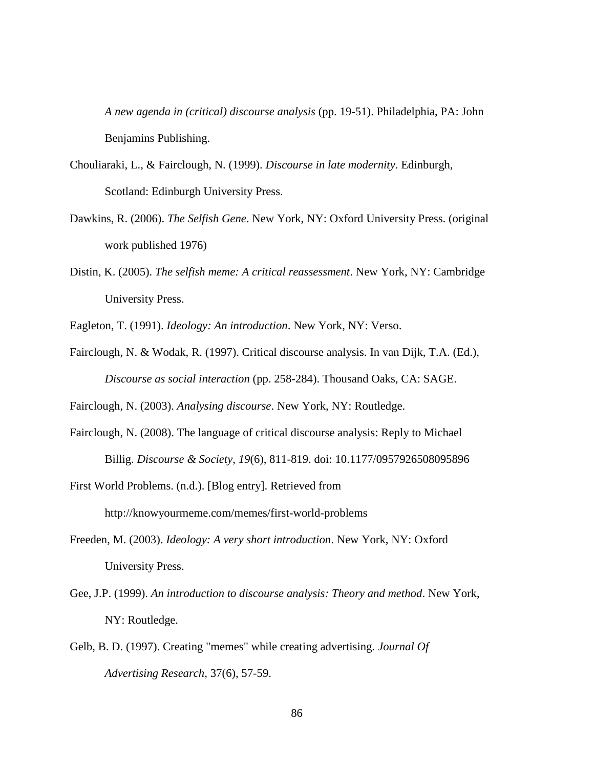*A new agenda in (critical) discourse analysis* (pp. 19-51). Philadelphia, PA: John Benjamins Publishing.

- Chouliaraki, L., & Fairclough, N. (1999). *Discourse in late modernity*. Edinburgh, Scotland: Edinburgh University Press.
- Dawkins, R. (2006). *The Selfish Gene*. New York, NY: Oxford University Press. (original work published 1976)
- Distin, K. (2005). *The selfish meme: A critical reassessment*. New York, NY: Cambridge University Press.
- Eagleton, T. (1991). *Ideology: An introduction*. New York, NY: Verso.
- Fairclough, N. & Wodak, R. (1997). Critical discourse analysis. In van Dijk, T.A. (Ed.), *Discourse as social interaction* (pp. 258-284). Thousand Oaks, CA: SAGE.

Fairclough, N. (2003). *Analysing discourse*. New York, NY: Routledge.

- Fairclough, N. (2008). The language of critical discourse analysis: Reply to Michael Billig. *Discourse & Society*, *19*(6), 811-819. doi: 10.1177/0957926508095896
- First World Problems. (n.d.). [Blog entry]. Retrieved from http://knowyourmeme.com/memes/first-world-problems
- Freeden, M. (2003). *Ideology: A very short introduction*. New York, NY: Oxford University Press.
- Gee, J.P. (1999). *An introduction to discourse analysis: Theory and method*. New York, NY: Routledge.
- Gelb, B. D. (1997). Creating "memes" while creating advertising. *Journal Of Advertising Research*, 37(6), 57-59.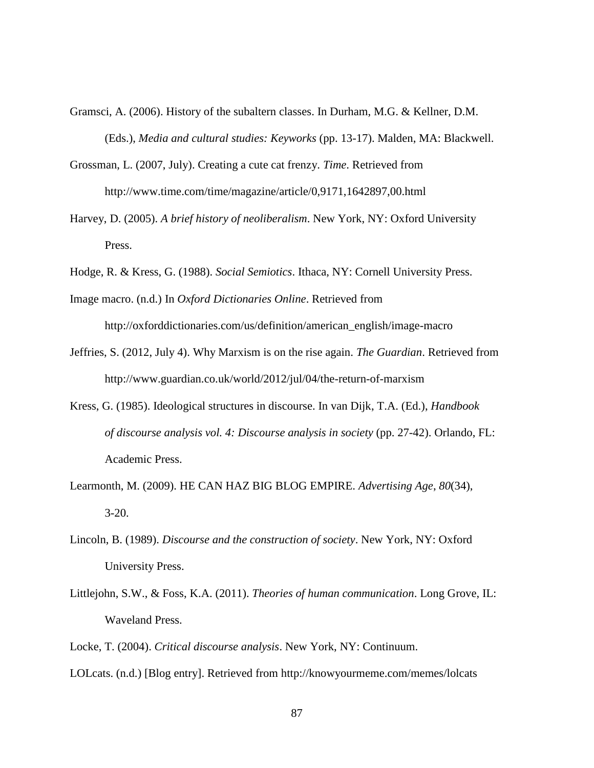- Gramsci, A. (2006). History of the subaltern classes. In Durham, M.G. & Kellner, D.M. (Eds.), *Media and cultural studies: Keyworks* (pp. 13-17). Malden, MA: Blackwell.
- Grossman, L. (2007, July). Creating a cute cat frenzy. *Time*. Retrieved from http://www.time.com/time/magazine/article/0,9171,1642897,00.html
- Harvey, D. (2005). *A brief history of neoliberalism*. New York, NY: Oxford University Press.
- Hodge, R. & Kress, G. (1988). *Social Semiotics*. Ithaca, NY: Cornell University Press.
- Image macro. (n.d.) In *Oxford Dictionaries Online*. Retrieved from http://oxforddictionaries.com/us/definition/american\_english/image-macro
- Jeffries, S. (2012, July 4). Why Marxism is on the rise again. *The Guardian*. Retrieved from http://www.guardian.co.uk/world/2012/jul/04/the-return-of-marxism
- Kress, G. (1985). Ideological structures in discourse. In van Dijk, T.A. (Ed.), *Handbook of discourse analysis vol. 4: Discourse analysis in society* (pp. 27-42). Orlando, FL: Academic Press.
- Learmonth, M. (2009). HE CAN HAZ BIG BLOG EMPIRE. *Advertising Age*, *80*(34), 3-20.
- Lincoln, B. (1989). *Discourse and the construction of society*. New York, NY: Oxford University Press.
- Littlejohn, S.W., & Foss, K.A. (2011). *Theories of human communication*. Long Grove, IL: Waveland Press.
- Locke, T. (2004). *Critical discourse analysis*. New York, NY: Continuum.
- LOLcats. (n.d.) [Blog entry]. Retrieved from http://knowyourmeme.com/memes/lolcats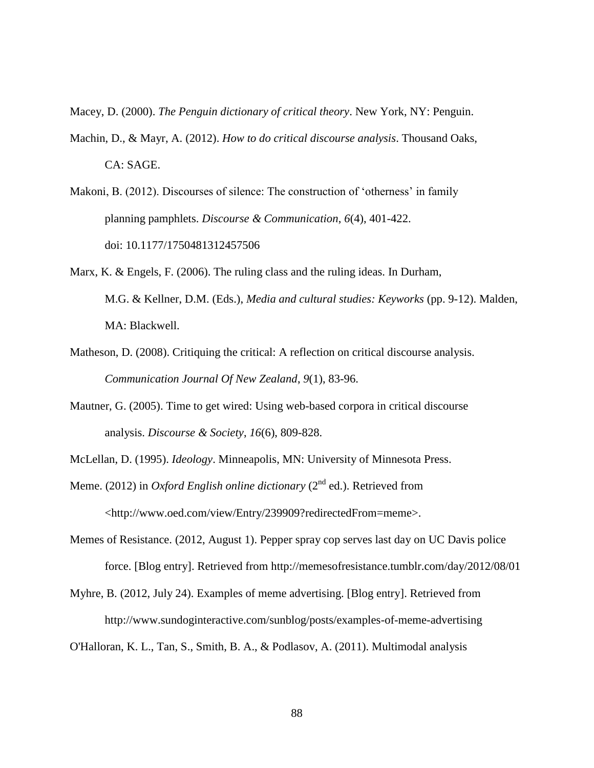Macey, D. (2000). *The Penguin dictionary of critical theory*. New York, NY: Penguin.

- Machin, D., & Mayr, A. (2012). *How to do critical discourse analysis*. Thousand Oaks, CA: SAGE.
- Makoni, B. (2012). Discourses of silence: The construction of 'otherness' in family planning pamphlets. *Discourse & Communication*, *6*(4), 401-422. doi: 10.1177/1750481312457506
- Marx, K. & Engels, F. (2006). The ruling class and the ruling ideas. In Durham, M.G. & Kellner, D.M. (Eds.), *Media and cultural studies: Keyworks* (pp. 9-12). Malden, MA: Blackwell.
- Matheson, D. (2008). Critiquing the critical: A reflection on critical discourse analysis. *Communication Journal Of New Zealand*, *9*(1), 83-96.
- Mautner, G. (2005). Time to get wired: Using web-based corpora in critical discourse analysis. *Discourse & Society*, *16*(6), 809-828.
- McLellan, D. (1995). *Ideology*. Minneapolis, MN: University of Minnesota Press.
- Meme. (2012) in *Oxford English online dictionary* (2<sup>nd</sup> ed.). Retrieved from <http://www.oed.com/view/Entry/239909?redirectedFrom=meme>.
- Memes of Resistance. (2012, August 1). Pepper spray cop serves last day on UC Davis police force. [Blog entry]. Retrieved from http://memesofresistance.tumblr.com/day/2012/08/01
- Myhre, B. (2012, July 24). Examples of meme advertising. [Blog entry]. Retrieved from http://www.sundoginteractive.com/sunblog/posts/examples-of-meme-advertising

O'Halloran, K. L., Tan, S., Smith, B. A., & Podlasov, A. (2011). Multimodal analysis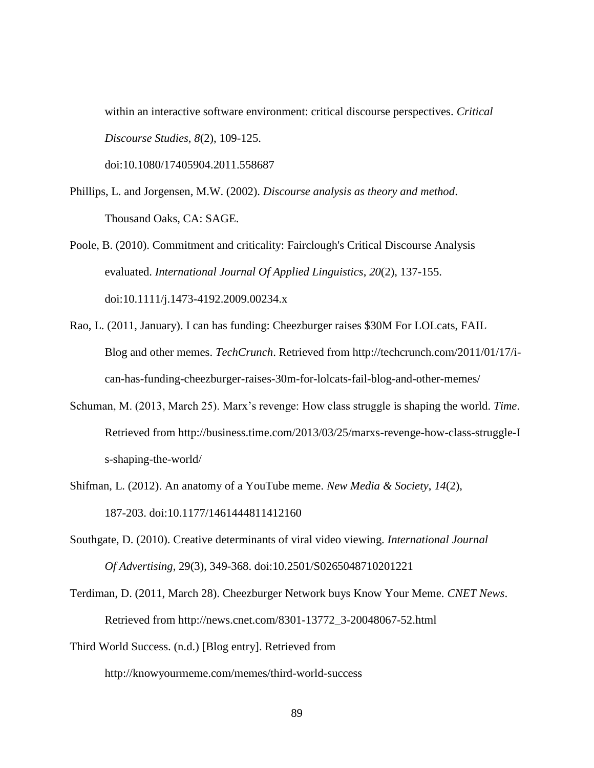within an interactive software environment: critical discourse perspectives. *Critical Discourse Studies*, *8*(2), 109-125.

doi:10.1080/17405904.2011.558687

- Phillips, L. and Jorgensen, M.W. (2002). *Discourse analysis as theory and method*. Thousand Oaks, CA: SAGE.
- Poole, B. (2010). Commitment and criticality: Fairclough's Critical Discourse Analysis evaluated. *International Journal Of Applied Linguistics*, *20*(2), 137-155. doi:10.1111/j.1473-4192.2009.00234.x
- Rao, L. (2011, January). I can has funding: Cheezburger raises \$30M For LOLcats, FAIL Blog and other memes. *TechCrunch*. Retrieved from http://techcrunch.com/2011/01/17/ican-has-funding-cheezburger-raises-30m-for-lolcats-fail-blog-and-other-memes/
- Schuman, M. (2013, March 25). Marx's revenge: How class struggle is shaping the world. *Time*. Retrieved from http://business.time.com/2013/03/25/marxs-revenge-how-class-struggle-I s-shaping-the-world/
- Shifman, L. (2012). An anatomy of a YouTube meme. *New Media & Society*, *14*(2), 187-203. doi:10.1177/1461444811412160
- Southgate, D. (2010). Creative determinants of viral video viewing. *International Journal Of Advertising*, 29(3), 349-368. doi:10.2501/S0265048710201221
- Terdiman, D. (2011, March 28). Cheezburger Network buys Know Your Meme. *CNET News*. Retrieved from http://news.cnet.com/8301-13772\_3-20048067-52.html
- Third World Success. (n.d.) [Blog entry]. Retrieved from http://knowyourmeme.com/memes/third-world-success